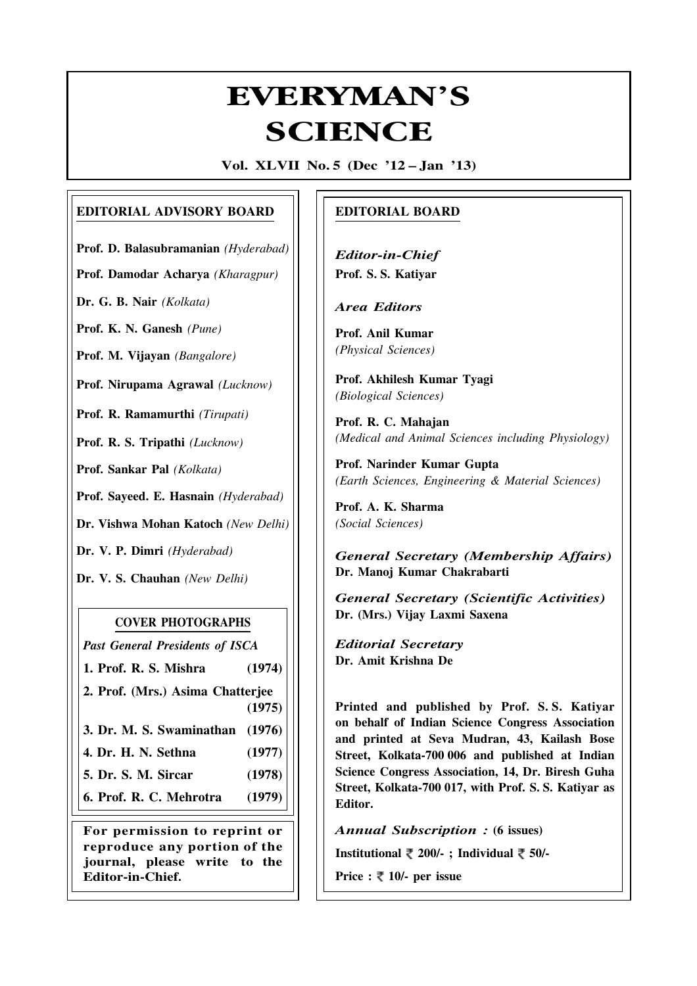## **Everyman's Science Vol. XLVII No. 5, Dec '12 — Jan '13** EVERYMAN'S **SCIENCE**

**Vol. XLVII No. 5 (Dec '12 – Jan '13)**

## **EDITORIAL ADVISORY BOARD**

**Prof. D. Balasubramanian** *(Hyderabad)*

**Prof. Damodar Acharya** *(Kharagpur)*

**Dr. G. B. Nair** *(Kolkata)*

**Prof. K. N. Ganesh** *(Pune)*

**Prof. M. Vijayan** *(Bangalore)*

**Prof. Nirupama Agrawal** *(Lucknow)*

**Prof. R. Ramamurthi** *(Tirupati)*

**Prof. R. S. Tripathi** *(Lucknow)*

**Prof. Sankar Pal** *(Kolkata)*

**Prof. Sayeed. E. Hasnain** *(Hyderabad)*

**Dr. Vishwa Mohan Katoch** *(New Delhi)*

**Dr. V. P. Dimri** *(Hyderabad)*

**Dr. V. S. Chauhan** *(New Delhi)*

## **COVER PHOTOGRAPHS**

*Past General Presidents of ISCA*

**1. Prof. R. S. Mishra (1974)**

**2. Prof. (Mrs.) Asima Chatterjee (1975)**

**3. Dr. M. S. Swaminathan (1976)**

- **4. Dr. H. N. Sethna (1977)**
- **5. Dr. S. M. Sircar (1978)**

**6. Prof. R. C. Mehrotra (1979)**

**For permission to reprint or reproduce any portion of the journal, please write to the Editor-in-Chief.**

## **EDITORIAL BOARD**

*Editor-in-Chief* **Prof. S. S. Katiyar**

*Area Editors*

**Prof. Anil Kumar** *(Physical Sciences)*

**Prof. Akhilesh Kumar Tyagi** *(Biological Sciences)*

**Prof. R. C. Mahajan** *(Medical and Animal Sciences including Physiology)*

**Prof. Narinder Kumar Gupta** *(Earth Sciences, Engineering & Material Sciences)*

**Prof. A. K. Sharma** *(Social Sciences)*

*General Secretary (Membership Affairs)* **Dr. Manoj Kumar Chakrabarti**

*General Secretary (Scientific Activities)* **Dr. (Mrs.) Vijay Laxmi Saxena**

*Editorial Secretary* **Dr. Amit Krishna De**

**Printed and published by Prof. S. S. Katiyar on behalf of Indian Science Congress Association and printed at Seva Mudran, 43, Kailash Bose Street, Kolkata-700 006 and published at Indian Science Congress Association, 14, Dr. Biresh Guha Street, Kolkata-700 017, with Prof. S. S. Katiyar as Editor.**

*Annual Subscription :* **(6 issues)**

**Institutional 200/- ; Individual 50/-**

**Price :**  $\overline{\xi}$  **10/- per issue** 

261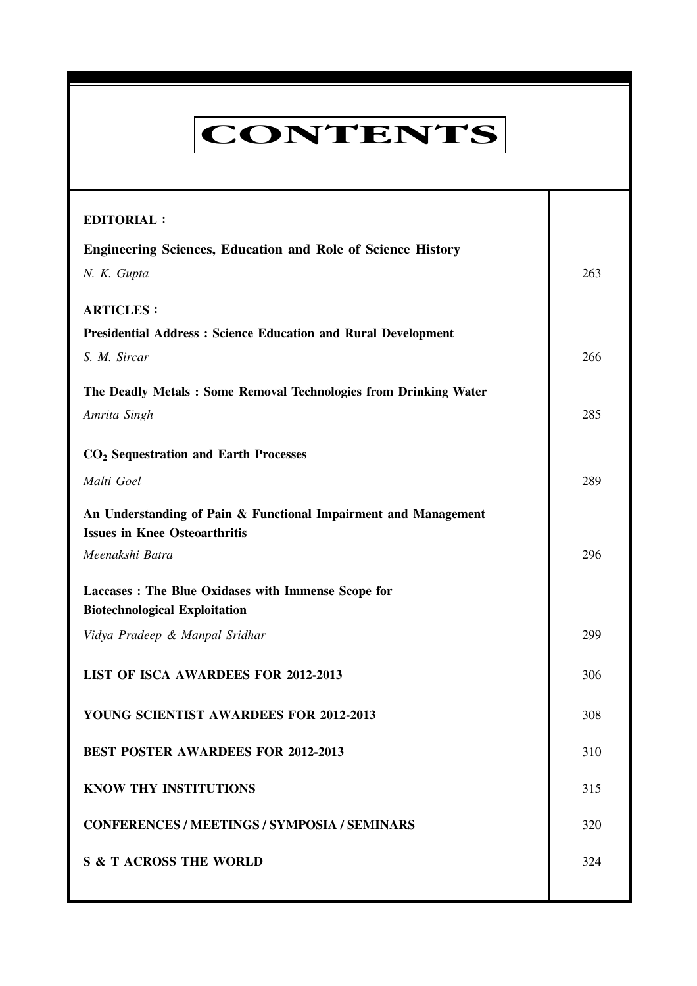| <b>CONTENTS</b>                                                                                         |     |
|---------------------------------------------------------------------------------------------------------|-----|
| <b>EDITORIAL:</b>                                                                                       |     |
| <b>Engineering Sciences, Education and Role of Science History</b>                                      |     |
| N. K. Gupta                                                                                             | 263 |
| <b>ARTICLES:</b>                                                                                        |     |
| <b>Presidential Address: Science Education and Rural Development</b>                                    |     |
| S. M. Sircar                                                                                            | 266 |
| The Deadly Metals: Some Removal Technologies from Drinking Water                                        |     |
| Amrita Singh                                                                                            | 285 |
| CO <sub>2</sub> Sequestration and Earth Processes                                                       |     |
| Malti Goel                                                                                              | 289 |
| An Understanding of Pain & Functional Impairment and Management<br><b>Issues in Knee Osteoarthritis</b> |     |
| Meenakshi Batra                                                                                         | 296 |
| Laccases : The Blue Oxidases with Immense Scope for<br><b>Biotechnological Exploitation</b>             |     |
| Vidya Pradeep & Manpal Sridhar                                                                          | 299 |
| <b>LIST OF ISCA AWARDEES FOR 2012-2013</b>                                                              | 306 |
| YOUNG SCIENTIST AWARDEES FOR 2012-2013                                                                  | 308 |
| <b>BEST POSTER AWARDEES FOR 2012-2013</b>                                                               | 310 |
| <b>KNOW THY INSTITUTIONS</b>                                                                            | 315 |
| <b>CONFERENCES / MEETINGS / SYMPOSIA / SEMINARS</b>                                                     | 320 |
| <b>S &amp; T ACROSS THE WORLD</b>                                                                       | 324 |

262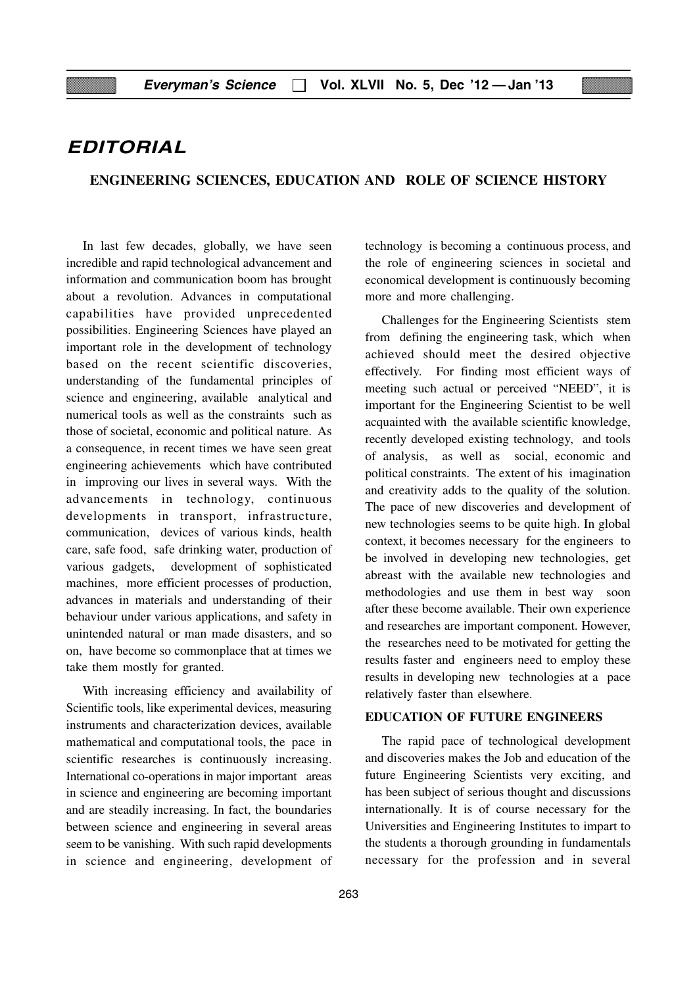## **EDITORIAL**

#### **ENGINEERING SCIENCES, EDUCATION AND ROLE OF SCIENCE HISTORY**

In last few decades, globally, we have seen incredible and rapid technological advancement and information and communication boom has brought about a revolution. Advances in computational capabilities have provided unprecedented possibilities. Engineering Sciences have played an important role in the development of technology based on the recent scientific discoveries, understanding of the fundamental principles of science and engineering, available analytical and numerical tools as well as the constraints such as those of societal, economic and political nature. As a consequence, in recent times we have seen great engineering achievements which have contributed in improving our lives in several ways. With the advancements in technology, continuous developments in transport, infrastructure, communication, devices of various kinds, health care, safe food, safe drinking water, production of various gadgets, development of sophisticated machines, more efficient processes of production, advances in materials and understanding of their behaviour under various applications, and safety in unintended natural or man made disasters, and so on, have become so commonplace that at times we take them mostly for granted.

With increasing efficiency and availability of Scientific tools, like experimental devices, measuring instruments and characterization devices, available mathematical and computational tools, the pace in scientific researches is continuously increasing. International co-operations in major important areas in science and engineering are becoming important and are steadily increasing. In fact, the boundaries between science and engineering in several areas seem to be vanishing. With such rapid developments in science and engineering, development of

technology is becoming a continuous process, and the role of engineering sciences in societal and economical development is continuously becoming more and more challenging.

Challenges for the Engineering Scientists stem from defining the engineering task, which when achieved should meet the desired objective effectively. For finding most efficient ways of meeting such actual or perceived "NEED", it is important for the Engineering Scientist to be well acquainted with the available scientific knowledge, recently developed existing technology, and tools of analysis, as well as social, economic and political constraints. The extent of his imagination and creativity adds to the quality of the solution. The pace of new discoveries and development of new technologies seems to be quite high. In global context, it becomes necessary for the engineers to be involved in developing new technologies, get abreast with the available new technologies and methodologies and use them in best way soon after these become available. Their own experience and researches are important component. However, the researches need to be motivated for getting the results faster and engineers need to employ these results in developing new technologies at a pace relatively faster than elsewhere.

#### **EDUCATION OF FUTURE ENGINEERS**

The rapid pace of technological development and discoveries makes the Job and education of the future Engineering Scientists very exciting, and has been subject of serious thought and discussions internationally. It is of course necessary for the Universities and Engineering Institutes to impart to the students a thorough grounding in fundamentals necessary for the profession and in several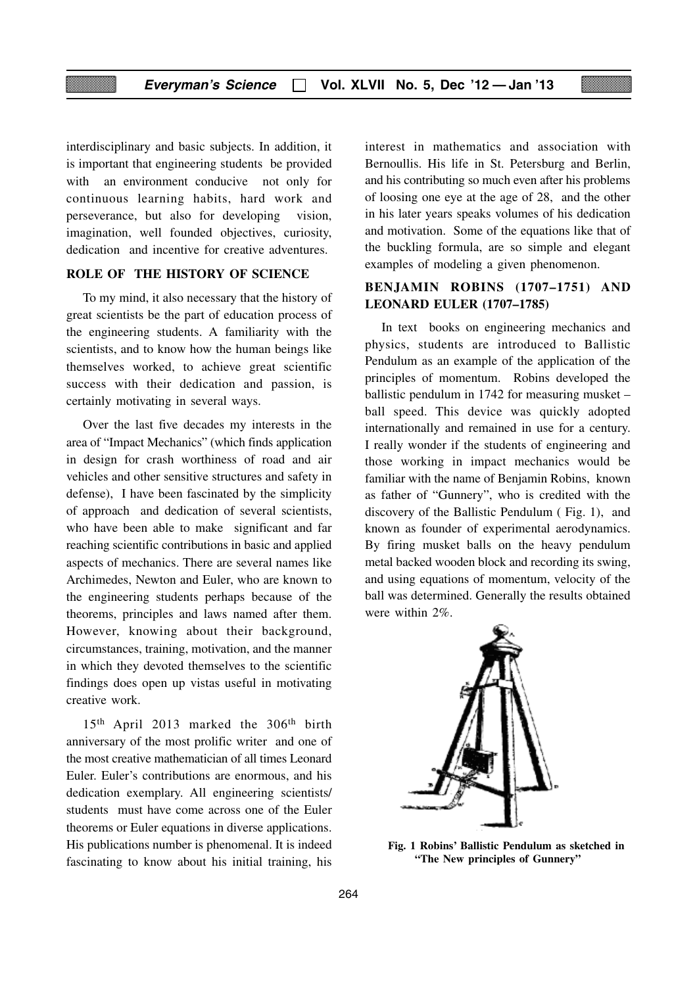interdisciplinary and basic subjects. In addition, it is important that engineering students be provided with an environment conducive not only for continuous learning habits, hard work and perseverance, but also for developing vision, imagination, well founded objectives, curiosity, dedication and incentive for creative adventures.

#### **ROLE OF THE HISTORY OF SCIENCE**

To my mind, it also necessary that the history of great scientists be the part of education process of the engineering students. A familiarity with the scientists, and to know how the human beings like themselves worked, to achieve great scientific success with their dedication and passion, is certainly motivating in several ways.

Over the last five decades my interests in the area of "Impact Mechanics" (which finds application in design for crash worthiness of road and air vehicles and other sensitive structures and safety in defense), I have been fascinated by the simplicity of approach and dedication of several scientists, who have been able to make significant and far reaching scientific contributions in basic and applied aspects of mechanics. There are several names like Archimedes, Newton and Euler, who are known to the engineering students perhaps because of the theorems, principles and laws named after them. However, knowing about their background, circumstances, training, motivation, and the manner in which they devoted themselves to the scientific findings does open up vistas useful in motivating creative work.

15<sup>th</sup> April 2013 marked the 306<sup>th</sup> birth anniversary of the most prolific writer and one of the most creative mathematician of all times Leonard Euler. Euler's contributions are enormous, and his dedication exemplary. All engineering scientists/ students must have come across one of the Euler theorems or Euler equations in diverse applications. His publications number is phenomenal. It is indeed fascinating to know about his initial training, his

interest in mathematics and association with Bernoullis. His life in St. Petersburg and Berlin, and his contributing so much even after his problems of loosing one eye at the age of 28, and the other in his later years speaks volumes of his dedication and motivation. Some of the equations like that of the buckling formula, are so simple and elegant examples of modeling a given phenomenon.

#### **BENJAMIN ROBINS (1707–1751) AND LEONARD EULER (1707–1785)**

In text books on engineering mechanics and physics, students are introduced to Ballistic Pendulum as an example of the application of the principles of momentum. Robins developed the ballistic pendulum in 1742 for measuring musket – ball speed. This device was quickly adopted internationally and remained in use for a century. I really wonder if the students of engineering and those working in impact mechanics would be familiar with the name of Benjamin Robins, known as father of "Gunnery", who is credited with the discovery of the Ballistic Pendulum ( Fig. 1), and known as founder of experimental aerodynamics. By firing musket balls on the heavy pendulum metal backed wooden block and recording its swing, and using equations of momentum, velocity of the ball was determined. Generally the results obtained were within 2%.



**Fig. 1 Robins' Ballistic Pendulum as sketched in "The New principles of Gunnery"**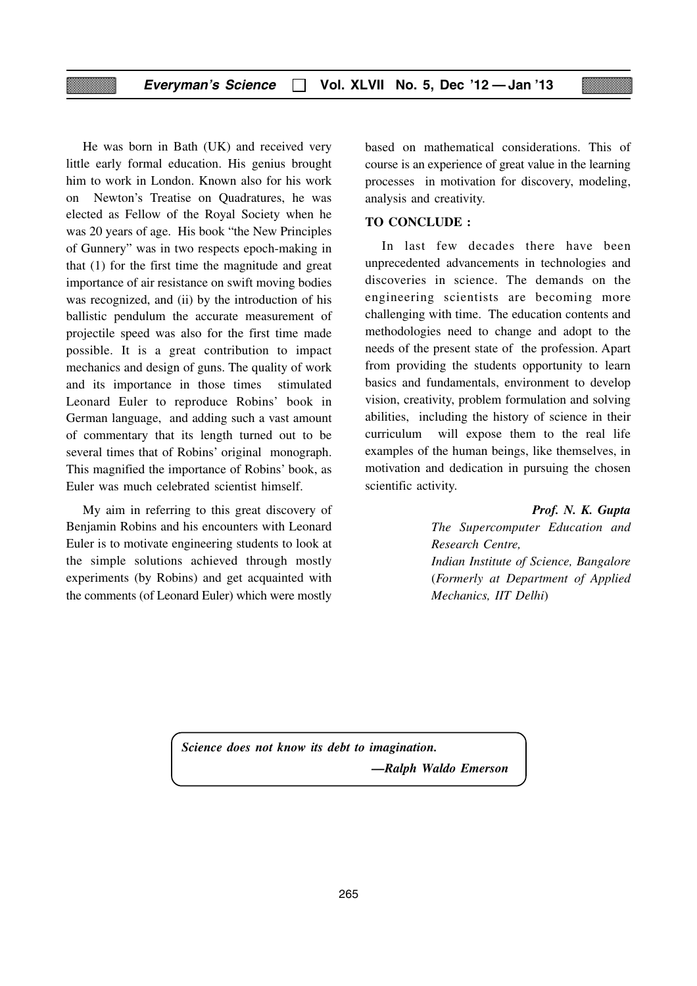He was born in Bath (UK) and received very little early formal education. His genius brought him to work in London. Known also for his work on Newton's Treatise on Quadratures, he was elected as Fellow of the Royal Society when he was 20 years of age. His book "the New Principles of Gunnery" was in two respects epoch-making in that (1) for the first time the magnitude and great importance of air resistance on swift moving bodies was recognized, and (ii) by the introduction of his ballistic pendulum the accurate measurement of projectile speed was also for the first time made possible. It is a great contribution to impact mechanics and design of guns. The quality of work and its importance in those times stimulated Leonard Euler to reproduce Robins' book in German language, and adding such a vast amount of commentary that its length turned out to be several times that of Robins' original monograph. This magnified the importance of Robins' book, as Euler was much celebrated scientist himself.

My aim in referring to this great discovery of Benjamin Robins and his encounters with Leonard Euler is to motivate engineering students to look at the simple solutions achieved through mostly experiments (by Robins) and get acquainted with the comments (of Leonard Euler) which were mostly

based on mathematical considerations. This of course is an experience of great value in the learning processes in motivation for discovery, modeling, analysis and creativity.

#### **TO CONCLUDE :**

In last few decades there have been unprecedented advancements in technologies and discoveries in science. The demands on the engineering scientists are becoming more challenging with time. The education contents and methodologies need to change and adopt to the needs of the present state of the profession. Apart from providing the students opportunity to learn basics and fundamentals, environment to develop vision, creativity, problem formulation and solving abilities, including the history of science in their curriculum will expose them to the real life examples of the human beings, like themselves, in motivation and dedication in pursuing the chosen scientific activity.

#### *Prof. N. K. Gupta*

*The Supercomputer Education and Research Centre, Indian Institute of Science, Bangalore* (*Formerly at Department of Applied Mechanics, IIT Delhi*)

*Science does not know its debt to imagination. —Ralph Waldo Emerson*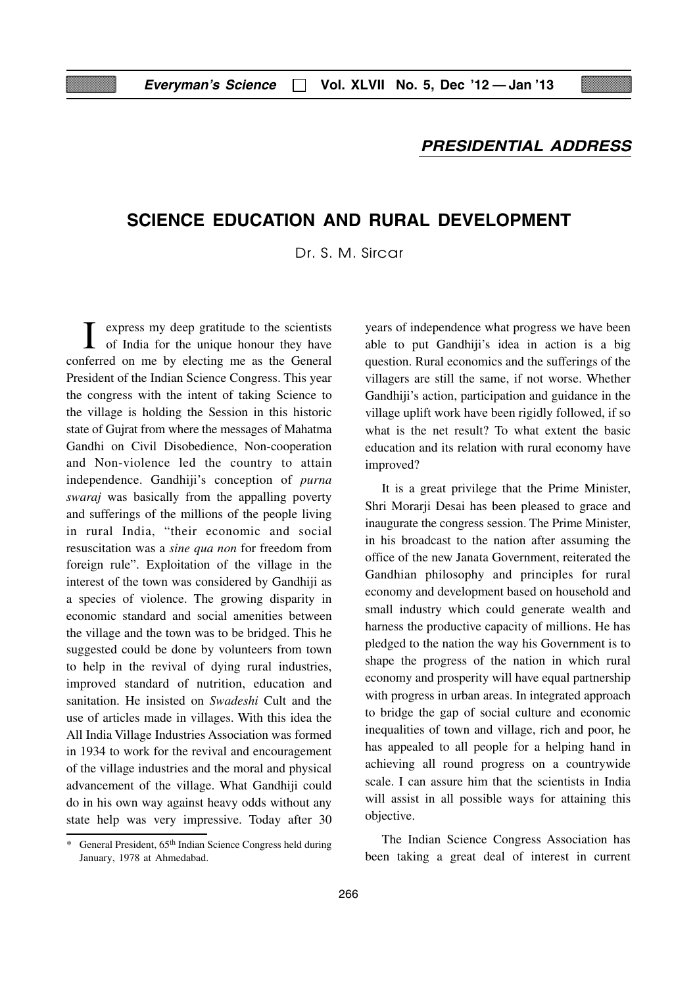#### **PRESIDENTIAL ADDRESS**

## **SCIENCE EDUCATION AND RURAL DEVELOPMENT**

Dr. S. M. Sircar

I express my deep gratitude to the scientists of India for the unique honour they have conferred on me by electing me as the General President of the Indian Science Congress. This year the congress with the intent of taking Science to the village is holding the Session in this historic state of Gujrat from where the messages of Mahatma Gandhi on Civil Disobedience, Non-cooperation and Non-violence led the country to attain independence. Gandhiji's conception of *purna swaraj* was basically from the appalling poverty and sufferings of the millions of the people living in rural India, "their economic and social resuscitation was a *sine qua non* for freedom from foreign rule". Exploitation of the village in the interest of the town was considered by Gandhiji as a species of violence. The growing disparity in economic standard and social amenities between the village and the town was to be bridged. This he suggested could be done by volunteers from town to help in the revival of dying rural industries, improved standard of nutrition, education and sanitation. He insisted on *Swadeshi* Cult and the use of articles made in villages. With this idea the All India Village Industries Association was formed in 1934 to work for the revival and encouragement of the village industries and the moral and physical advancement of the village. What Gandhiji could do in his own way against heavy odds without any state help was very impressive. Today after 30

years of independence what progress we have been able to put Gandhiji's idea in action is a big question. Rural economics and the sufferings of the villagers are still the same, if not worse. Whether Gandhiji's action, participation and guidance in the village uplift work have been rigidly followed, if so what is the net result? To what extent the basic education and its relation with rural economy have improved?

It is a great privilege that the Prime Minister, Shri Morarji Desai has been pleased to grace and inaugurate the congress session. The Prime Minister, in his broadcast to the nation after assuming the office of the new Janata Government, reiterated the Gandhian philosophy and principles for rural economy and development based on household and small industry which could generate wealth and harness the productive capacity of millions. He has pledged to the nation the way his Government is to shape the progress of the nation in which rural economy and prosperity will have equal partnership with progress in urban areas. In integrated approach to bridge the gap of social culture and economic inequalities of town and village, rich and poor, he has appealed to all people for a helping hand in achieving all round progress on a countrywide scale. I can assure him that the scientists in India will assist in all possible ways for attaining this objective.

The Indian Science Congress Association has been taking a great deal of interest in current

<sup>\*</sup> General President, 65th Indian Science Congress held during January, 1978 at Ahmedabad.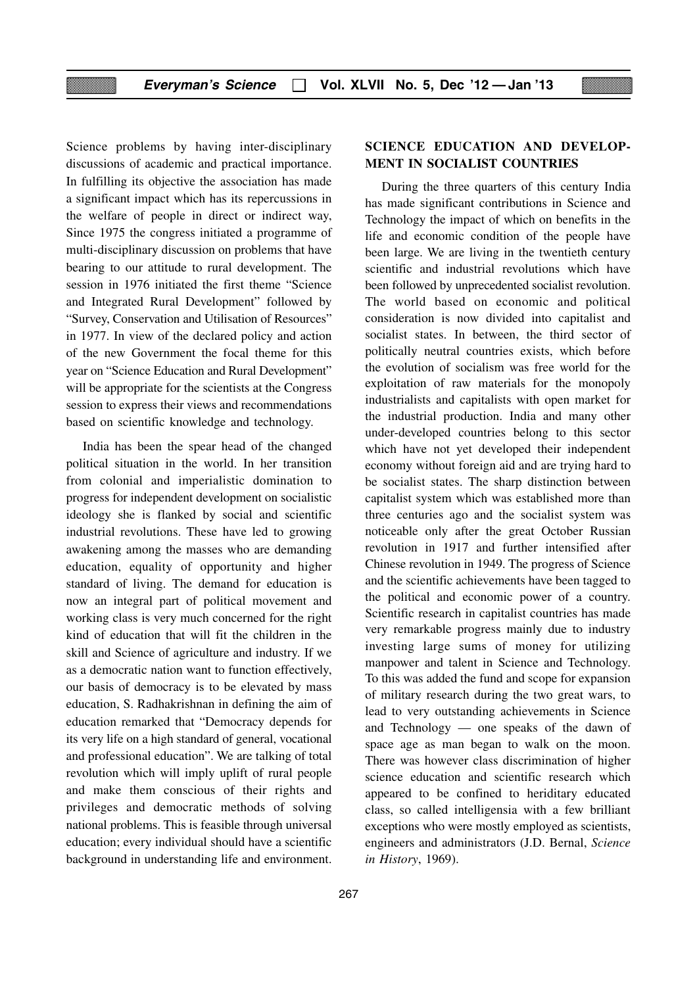Science problems by having inter-disciplinary discussions of academic and practical importance. In fulfilling its objective the association has made a significant impact which has its repercussions in the welfare of people in direct or indirect way, Since 1975 the congress initiated a programme of multi-disciplinary discussion on problems that have bearing to our attitude to rural development. The session in 1976 initiated the first theme "Science and Integrated Rural Development" followed by "Survey, Conservation and Utilisation of Resources" in 1977. In view of the declared policy and action of the new Government the focal theme for this year on "Science Education and Rural Development" will be appropriate for the scientists at the Congress session to express their views and recommendations based on scientific knowledge and technology.

India has been the spear head of the changed political situation in the world. In her transition from colonial and imperialistic domination to progress for independent development on socialistic ideology she is flanked by social and scientific industrial revolutions. These have led to growing awakening among the masses who are demanding education, equality of opportunity and higher standard of living. The demand for education is now an integral part of political movement and working class is very much concerned for the right kind of education that will fit the children in the skill and Science of agriculture and industry. If we as a democratic nation want to function effectively, our basis of democracy is to be elevated by mass education, S. Radhakrishnan in defining the aim of education remarked that "Democracy depends for its very life on a high standard of general, vocational and professional education". We are talking of total revolution which will imply uplift of rural people and make them conscious of their rights and privileges and democratic methods of solving national problems. This is feasible through universal education; every individual should have a scientific background in understanding life and environment.

## 267

### **SCIENCE EDUCATION AND DEVELOP-MENT IN SOCIALIST COUNTRIES**

During the three quarters of this century India has made significant contributions in Science and Technology the impact of which on benefits in the life and economic condition of the people have been large. We are living in the twentieth century scientific and industrial revolutions which have been followed by unprecedented socialist revolution. The world based on economic and political consideration is now divided into capitalist and socialist states. In between, the third sector of politically neutral countries exists, which before the evolution of socialism was free world for the exploitation of raw materials for the monopoly industrialists and capitalists with open market for the industrial production. India and many other under-developed countries belong to this sector which have not yet developed their independent economy without foreign aid and are trying hard to be socialist states. The sharp distinction between capitalist system which was established more than three centuries ago and the socialist system was noticeable only after the great October Russian revolution in 1917 and further intensified after Chinese revolution in 1949. The progress of Science and the scientific achievements have been tagged to the political and economic power of a country. Scientific research in capitalist countries has made very remarkable progress mainly due to industry investing large sums of money for utilizing manpower and talent in Science and Technology. To this was added the fund and scope for expansion of military research during the two great wars, to lead to very outstanding achievements in Science and Technology — one speaks of the dawn of space age as man began to walk on the moon. There was however class discrimination of higher science education and scientific research which appeared to be confined to heriditary educated class, so called intelligensia with a few brilliant exceptions who were mostly employed as scientists, engineers and administrators (J.D. Bernal, *Science in History*, 1969).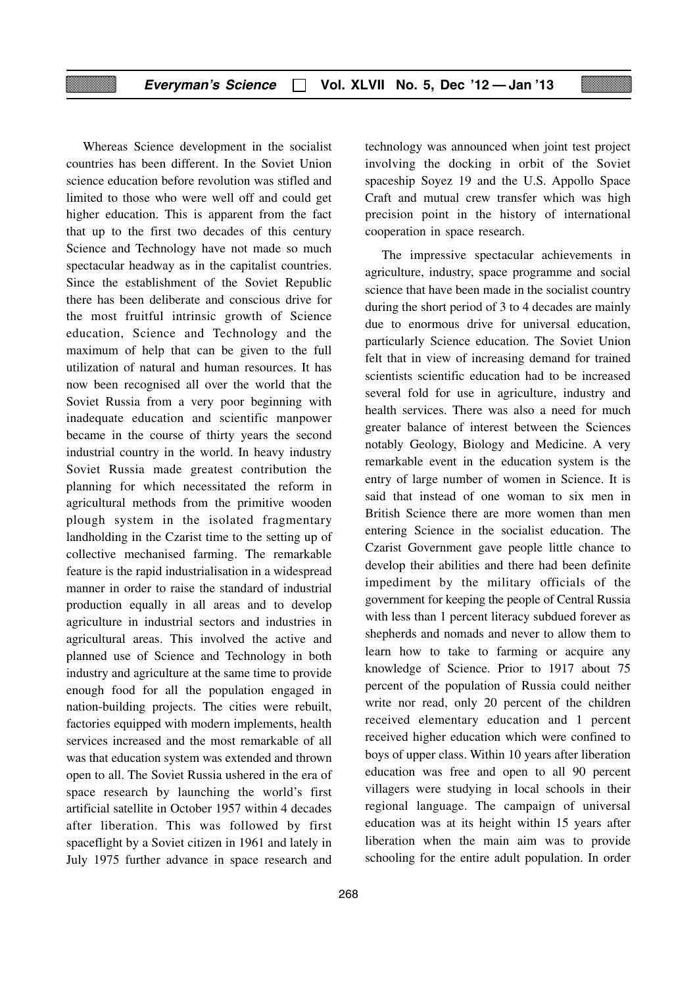Whereas Science development in the socialist countries has been different. In the Soviet Union science education before revolution was stifled and limited to those who were well off and could get higher education. This is apparent from the fact that up to the first two decades of this century Science and Technology have not made so much spectacular headway as in the capitalist countries. Since the establishment of the Soviet Republic there has been deliberate and conscious drive for the most fruitful intrinsic growth of Science education, Science and Technology and the maximum of help that can be given to the full utilization of natural and human resources. It has now been recognised all over the world that the Soviet Russia from a very poor beginning with inadequate education and scientific manpower became in the course of thirty years the second industrial country in the world. In heavy industry Soviet Russia made greatest contribution the planning for which necessitated the reform in agricultural methods from the primitive wooden plough system in the isolated fragmentary landholding in the Czarist time to the setting up of collective mechanised farming. The remarkable feature is the rapid industrialisation in a widespread manner in order to raise the standard of industrial production equally in all areas and to develop agriculture in industrial sectors and industries in agricultural areas. This involved the active and planned use of Science and Technology in both industry and agriculture at the same time to provide enough food for all the population engaged in nation-building projects. The cities were rebuilt, factories equipped with modern implements, health services increased and the most remarkable of all was that education system was extended and thrown open to all. The Soviet Russia ushered in the era of space research by launching the world's first artificial satellite in October 1957 within 4 decades after liberation. This was followed by first spaceflight by a Soviet citizen in 1961 and lately in July 1975 further advance in space research and technology was announced when joint test project involving the docking in orbit of the Soviet spaceship Soyez 19 and the U.S. Appollo Space Craft and mutual crew transfer which was high precision point in the history of international cooperation in space research.

The impressive spectacular achievements in agriculture, industry, space programme and social science that have been made in the socialist country during the short period of 3 to 4 decades are mainly due to enormous drive for universal education, particularly Science education. The Soviet Union felt that in view of increasing demand for trained scientists scientific education had to be increased several fold for use in agriculture, industry and health services. There was also a need for much greater balance of interest between the Sciences notably Geology, Biology and Medicine. A very remarkable event in the education system is the entry of large number of women in Science. It is said that instead of one woman to six men in British Science there are more women than men entering Science in the socialist education. The Czarist Government gave people little chance to develop their abilities and there had been definite impediment by the military officials of the government for keeping the people of Central Russia with less than 1 percent literacy subdued forever as shepherds and nomads and never to allow them to learn how to take to farming or acquire any knowledge of Science. Prior to 1917 about 75 percent of the population of Russia could neither write nor read, only 20 percent of the children received elementary education and 1 percent received higher education which were confined to boys of upper class. Within 10 years after liberation education was free and open to all 90 percent villagers were studying in local schools in their regional language. The campaign of universal education was at its height within 15 years after liberation when the main aim was to provide schooling for the entire adult population. In order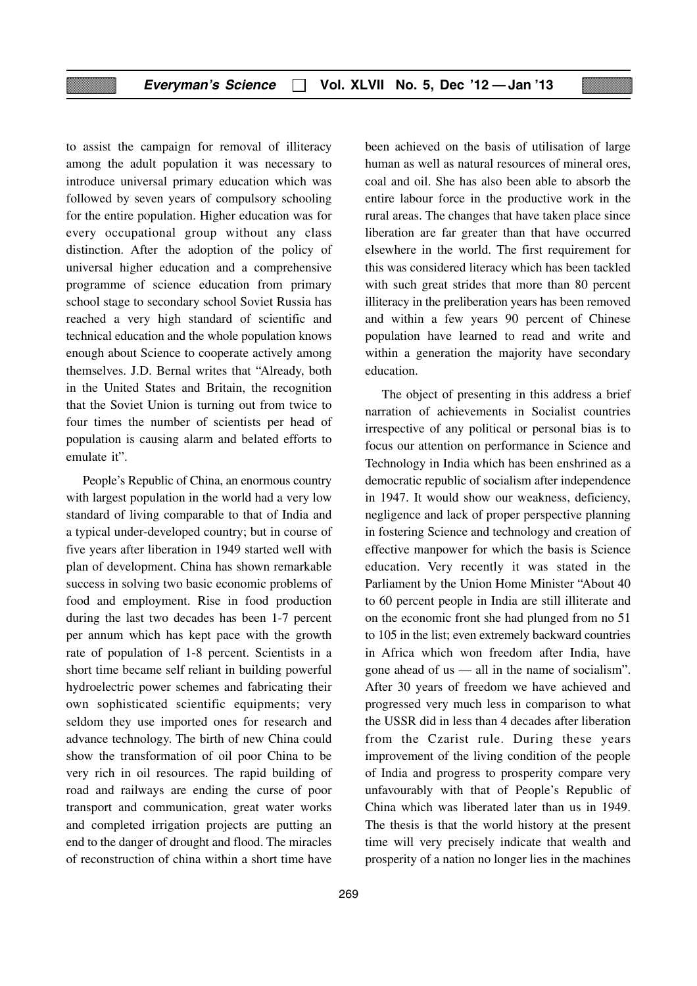to assist the campaign for removal of illiteracy among the adult population it was necessary to introduce universal primary education which was followed by seven years of compulsory schooling for the entire population. Higher education was for every occupational group without any class distinction. After the adoption of the policy of universal higher education and a comprehensive programme of science education from primary school stage to secondary school Soviet Russia has reached a very high standard of scientific and technical education and the whole population knows enough about Science to cooperate actively among themselves. J.D. Bernal writes that "Already, both in the United States and Britain, the recognition that the Soviet Union is turning out from twice to four times the number of scientists per head of population is causing alarm and belated efforts to emulate it".

People's Republic of China, an enormous country with largest population in the world had a very low standard of living comparable to that of India and a typical under-developed country; but in course of five years after liberation in 1949 started well with plan of development. China has shown remarkable success in solving two basic economic problems of food and employment. Rise in food production during the last two decades has been 1-7 percent per annum which has kept pace with the growth rate of population of 1-8 percent. Scientists in a short time became self reliant in building powerful hydroelectric power schemes and fabricating their own sophisticated scientific equipments; very seldom they use imported ones for research and advance technology. The birth of new China could show the transformation of oil poor China to be very rich in oil resources. The rapid building of road and railways are ending the curse of poor transport and communication, great water works and completed irrigation projects are putting an end to the danger of drought and flood. The miracles of reconstruction of china within a short time have

been achieved on the basis of utilisation of large human as well as natural resources of mineral ores, coal and oil. She has also been able to absorb the entire labour force in the productive work in the rural areas. The changes that have taken place since liberation are far greater than that have occurred elsewhere in the world. The first requirement for this was considered literacy which has been tackled with such great strides that more than 80 percent illiteracy in the preliberation years has been removed and within a few years 90 percent of Chinese population have learned to read and write and within a generation the majority have secondary education.

The object of presenting in this address a brief narration of achievements in Socialist countries irrespective of any political or personal bias is to focus our attention on performance in Science and Technology in India which has been enshrined as a democratic republic of socialism after independence in 1947. It would show our weakness, deficiency, negligence and lack of proper perspective planning in fostering Science and technology and creation of effective manpower for which the basis is Science education. Very recently it was stated in the Parliament by the Union Home Minister "About 40 to 60 percent people in India are still illiterate and on the economic front she had plunged from no 51 to 105 in the list; even extremely backward countries in Africa which won freedom after India, have gone ahead of us — all in the name of socialism". After 30 years of freedom we have achieved and progressed very much less in comparison to what the USSR did in less than 4 decades after liberation from the Czarist rule. During these years improvement of the living condition of the people of India and progress to prosperity compare very unfavourably with that of People's Republic of China which was liberated later than us in 1949. The thesis is that the world history at the present time will very precisely indicate that wealth and prosperity of a nation no longer lies in the machines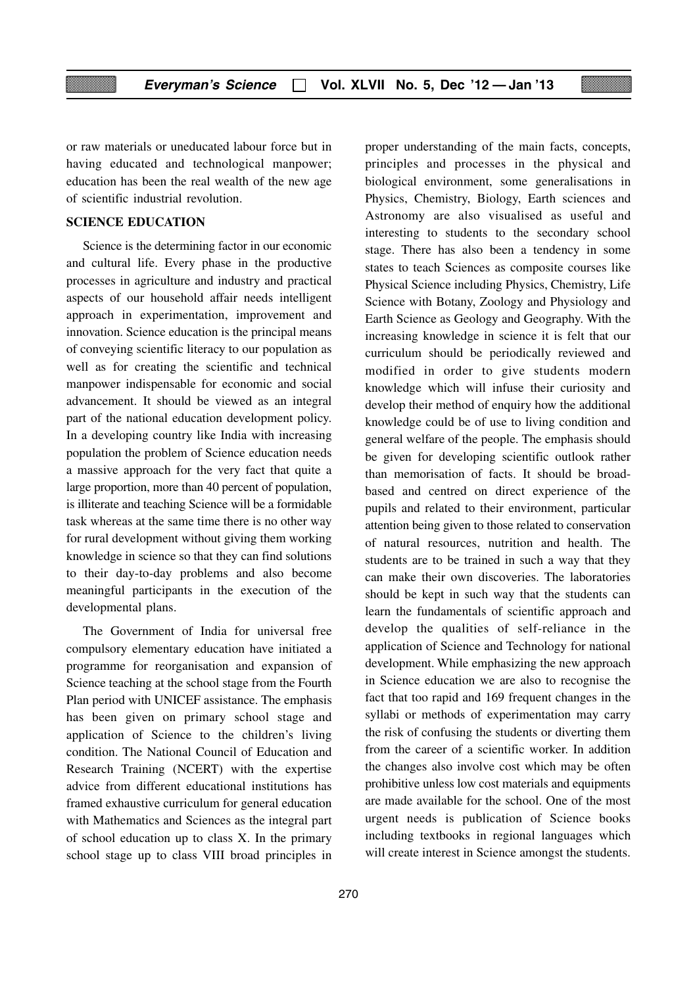or raw materials or uneducated labour force but in having educated and technological manpower; education has been the real wealth of the new age of scientific industrial revolution.

#### **SCIENCE EDUCATION**

Science is the determining factor in our economic and cultural life. Every phase in the productive processes in agriculture and industry and practical aspects of our household affair needs intelligent approach in experimentation, improvement and innovation. Science education is the principal means of conveying scientific literacy to our population as well as for creating the scientific and technical manpower indispensable for economic and social advancement. It should be viewed as an integral part of the national education development policy. In a developing country like India with increasing population the problem of Science education needs a massive approach for the very fact that quite a large proportion, more than 40 percent of population, is illiterate and teaching Science will be a formidable task whereas at the same time there is no other way for rural development without giving them working knowledge in science so that they can find solutions to their day-to-day problems and also become meaningful participants in the execution of the developmental plans.

The Government of India for universal free compulsory elementary education have initiated a programme for reorganisation and expansion of Science teaching at the school stage from the Fourth Plan period with UNICEF assistance. The emphasis has been given on primary school stage and application of Science to the children's living condition. The National Council of Education and Research Training (NCERT) with the expertise advice from different educational institutions has framed exhaustive curriculum for general education with Mathematics and Sciences as the integral part of school education up to class X. In the primary school stage up to class VIII broad principles in

principles and processes in the physical and biological environment, some generalisations in Physics, Chemistry, Biology, Earth sciences and Astronomy are also visualised as useful and interesting to students to the secondary school stage. There has also been a tendency in some states to teach Sciences as composite courses like Physical Science including Physics, Chemistry, Life Science with Botany, Zoology and Physiology and Earth Science as Geology and Geography. With the increasing knowledge in science it is felt that our curriculum should be periodically reviewed and modified in order to give students modern knowledge which will infuse their curiosity and develop their method of enquiry how the additional knowledge could be of use to living condition and general welfare of the people. The emphasis should be given for developing scientific outlook rather than memorisation of facts. It should be broadbased and centred on direct experience of the pupils and related to their environment, particular attention being given to those related to conservation of natural resources, nutrition and health. The students are to be trained in such a way that they can make their own discoveries. The laboratories should be kept in such way that the students can learn the fundamentals of scientific approach and develop the qualities of self-reliance in the application of Science and Technology for national development. While emphasizing the new approach in Science education we are also to recognise the fact that too rapid and 169 frequent changes in the syllabi or methods of experimentation may carry the risk of confusing the students or diverting them from the career of a scientific worker. In addition the changes also involve cost which may be often prohibitive unless low cost materials and equipments are made available for the school. One of the most urgent needs is publication of Science books including textbooks in regional languages which will create interest in Science amongst the students.

proper understanding of the main facts, concepts,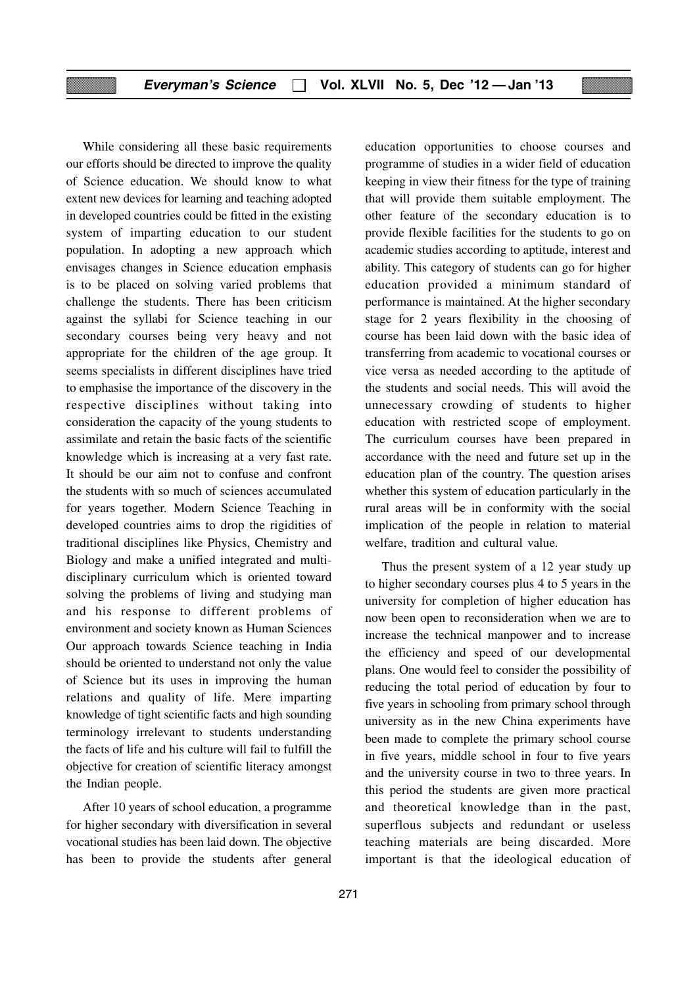While considering all these basic requirements our efforts should be directed to improve the quality of Science education. We should know to what extent new devices for learning and teaching adopted in developed countries could be fitted in the existing system of imparting education to our student population. In adopting a new approach which envisages changes in Science education emphasis is to be placed on solving varied problems that challenge the students. There has been criticism against the syllabi for Science teaching in our secondary courses being very heavy and not appropriate for the children of the age group. It seems specialists in different disciplines have tried to emphasise the importance of the discovery in the respective disciplines without taking into consideration the capacity of the young students to assimilate and retain the basic facts of the scientific knowledge which is increasing at a very fast rate. It should be our aim not to confuse and confront the students with so much of sciences accumulated for years together. Modern Science Teaching in developed countries aims to drop the rigidities of traditional disciplines like Physics, Chemistry and Biology and make a unified integrated and multidisciplinary curriculum which is oriented toward solving the problems of living and studying man and his response to different problems of environment and society known as Human Sciences Our approach towards Science teaching in India should be oriented to understand not only the value of Science but its uses in improving the human relations and quality of life. Mere imparting knowledge of tight scientific facts and high sounding terminology irrelevant to students understanding the facts of life and his culture will fail to fulfill the objective for creation of scientific literacy amongst the Indian people.

After 10 years of school education, a programme for higher secondary with diversification in several vocational studies has been laid down. The objective has been to provide the students after general education opportunities to choose courses and programme of studies in a wider field of education keeping in view their fitness for the type of training that will provide them suitable employment. The other feature of the secondary education is to provide flexible facilities for the students to go on academic studies according to aptitude, interest and ability. This category of students can go for higher education provided a minimum standard of performance is maintained. At the higher secondary stage for 2 years flexibility in the choosing of course has been laid down with the basic idea of transferring from academic to vocational courses or vice versa as needed according to the aptitude of the students and social needs. This will avoid the unnecessary crowding of students to higher education with restricted scope of employment. The curriculum courses have been prepared in accordance with the need and future set up in the education plan of the country. The question arises whether this system of education particularly in the rural areas will be in conformity with the social implication of the people in relation to material welfare, tradition and cultural value.

Thus the present system of a 12 year study up to higher secondary courses plus 4 to 5 years in the university for completion of higher education has now been open to reconsideration when we are to increase the technical manpower and to increase the efficiency and speed of our developmental plans. One would feel to consider the possibility of reducing the total period of education by four to five years in schooling from primary school through university as in the new China experiments have been made to complete the primary school course in five years, middle school in four to five years and the university course in two to three years. In this period the students are given more practical and theoretical knowledge than in the past, superflous subjects and redundant or useless teaching materials are being discarded. More important is that the ideological education of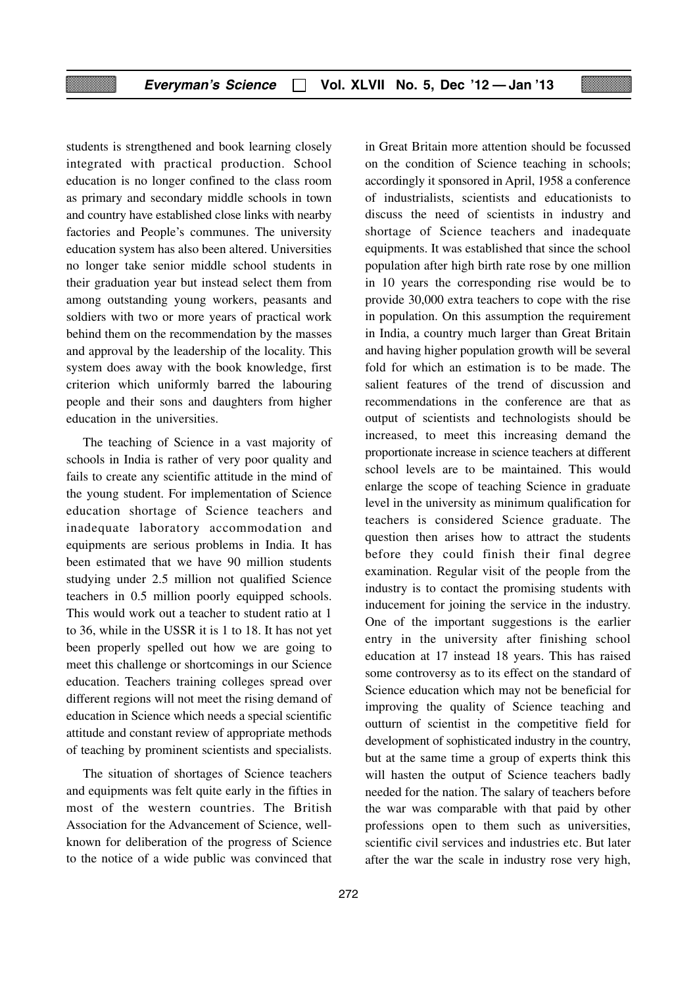students is strengthened and book learning closely integrated with practical production. School education is no longer confined to the class room as primary and secondary middle schools in town and country have established close links with nearby factories and People's communes. The university education system has also been altered. Universities no longer take senior middle school students in their graduation year but instead select them from among outstanding young workers, peasants and soldiers with two or more years of practical work behind them on the recommendation by the masses and approval by the leadership of the locality. This system does away with the book knowledge, first criterion which uniformly barred the labouring people and their sons and daughters from higher education in the universities.

The teaching of Science in a vast majority of schools in India is rather of very poor quality and fails to create any scientific attitude in the mind of the young student. For implementation of Science education shortage of Science teachers and inadequate laboratory accommodation and equipments are serious problems in India. It has been estimated that we have 90 million students studying under 2.5 million not qualified Science teachers in 0.5 million poorly equipped schools. This would work out a teacher to student ratio at 1 to 36, while in the USSR it is 1 to 18. It has not yet been properly spelled out how we are going to meet this challenge or shortcomings in our Science education. Teachers training colleges spread over different regions will not meet the rising demand of education in Science which needs a special scientific attitude and constant review of appropriate methods of teaching by prominent scientists and specialists.

The situation of shortages of Science teachers and equipments was felt quite early in the fifties in most of the western countries. The British Association for the Advancement of Science, wellknown for deliberation of the progress of Science to the notice of a wide public was convinced that in Great Britain more attention should be focussed on the condition of Science teaching in schools; accordingly it sponsored in April, 1958 a conference of industrialists, scientists and educationists to discuss the need of scientists in industry and shortage of Science teachers and inadequate equipments. It was established that since the school population after high birth rate rose by one million in 10 years the corresponding rise would be to provide 30,000 extra teachers to cope with the rise in population. On this assumption the requirement in India, a country much larger than Great Britain and having higher population growth will be several fold for which an estimation is to be made. The salient features of the trend of discussion and recommendations in the conference are that as output of scientists and technologists should be increased, to meet this increasing demand the proportionate increase in science teachers at different school levels are to be maintained. This would enlarge the scope of teaching Science in graduate level in the university as minimum qualification for teachers is considered Science graduate. The question then arises how to attract the students before they could finish their final degree examination. Regular visit of the people from the industry is to contact the promising students with inducement for joining the service in the industry. One of the important suggestions is the earlier entry in the university after finishing school education at 17 instead 18 years. This has raised some controversy as to its effect on the standard of Science education which may not be beneficial for improving the quality of Science teaching and outturn of scientist in the competitive field for development of sophisticated industry in the country, but at the same time a group of experts think this will hasten the output of Science teachers badly needed for the nation. The salary of teachers before the war was comparable with that paid by other professions open to them such as universities, scientific civil services and industries etc. But later after the war the scale in industry rose very high,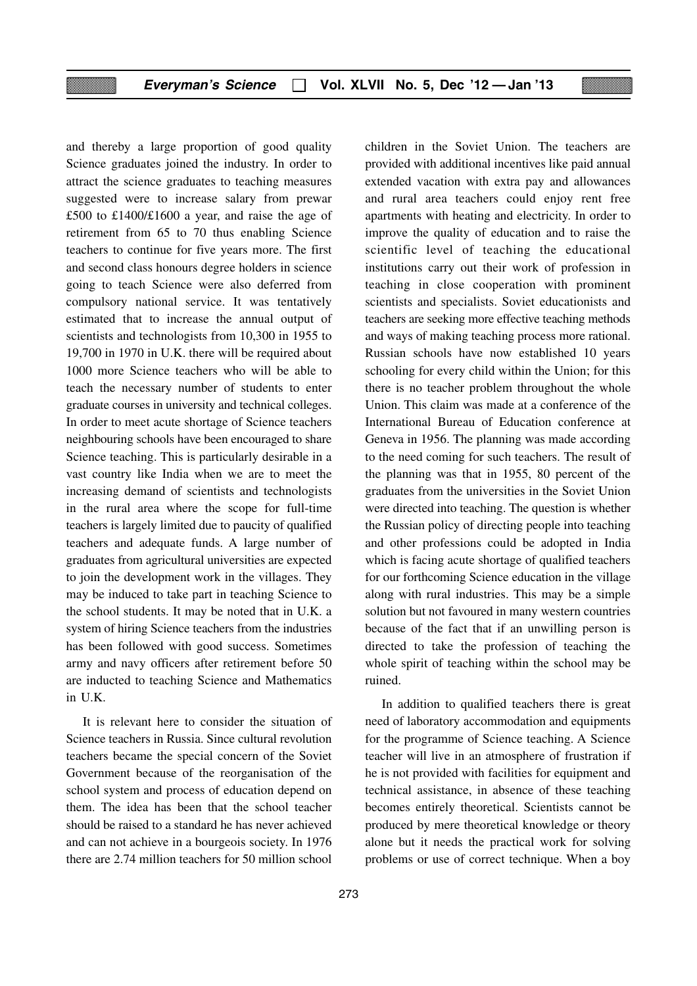and thereby a large proportion of good quality Science graduates joined the industry. In order to attract the science graduates to teaching measures suggested were to increase salary from prewar £500 to £1400/£1600 a year, and raise the age of retirement from 65 to 70 thus enabling Science teachers to continue for five years more. The first and second class honours degree holders in science going to teach Science were also deferred from compulsory national service. It was tentatively estimated that to increase the annual output of scientists and technologists from 10,300 in 1955 to 19,700 in 1970 in U.K. there will be required about 1000 more Science teachers who will be able to teach the necessary number of students to enter graduate courses in university and technical colleges. In order to meet acute shortage of Science teachers neighbouring schools have been encouraged to share Science teaching. This is particularly desirable in a vast country like India when we are to meet the increasing demand of scientists and technologists in the rural area where the scope for full-time teachers is largely limited due to paucity of qualified teachers and adequate funds. A large number of graduates from agricultural universities are expected to join the development work in the villages. They may be induced to take part in teaching Science to the school students. It may be noted that in U.K. a system of hiring Science teachers from the industries has been followed with good success. Sometimes army and navy officers after retirement before 50 are inducted to teaching Science and Mathematics in U.K.

It is relevant here to consider the situation of Science teachers in Russia. Since cultural revolution teachers became the special concern of the Soviet Government because of the reorganisation of the school system and process of education depend on them. The idea has been that the school teacher should be raised to a standard he has never achieved and can not achieve in a bourgeois society. In 1976 there are 2.74 million teachers for 50 million school

273

children in the Soviet Union. The teachers are provided with additional incentives like paid annual extended vacation with extra pay and allowances and rural area teachers could enjoy rent free apartments with heating and electricity. In order to improve the quality of education and to raise the scientific level of teaching the educational institutions carry out their work of profession in teaching in close cooperation with prominent scientists and specialists. Soviet educationists and teachers are seeking more effective teaching methods and ways of making teaching process more rational. Russian schools have now established 10 years schooling for every child within the Union; for this there is no teacher problem throughout the whole Union. This claim was made at a conference of the International Bureau of Education conference at Geneva in 1956. The planning was made according to the need coming for such teachers. The result of the planning was that in 1955, 80 percent of the graduates from the universities in the Soviet Union were directed into teaching. The question is whether the Russian policy of directing people into teaching and other professions could be adopted in India which is facing acute shortage of qualified teachers for our forthcoming Science education in the village along with rural industries. This may be a simple solution but not favoured in many western countries because of the fact that if an unwilling person is directed to take the profession of teaching the whole spirit of teaching within the school may be ruined.

In addition to qualified teachers there is great need of laboratory accommodation and equipments for the programme of Science teaching. A Science teacher will live in an atmosphere of frustration if he is not provided with facilities for equipment and technical assistance, in absence of these teaching becomes entirely theoretical. Scientists cannot be produced by mere theoretical knowledge or theory alone but it needs the practical work for solving problems or use of correct technique. When a boy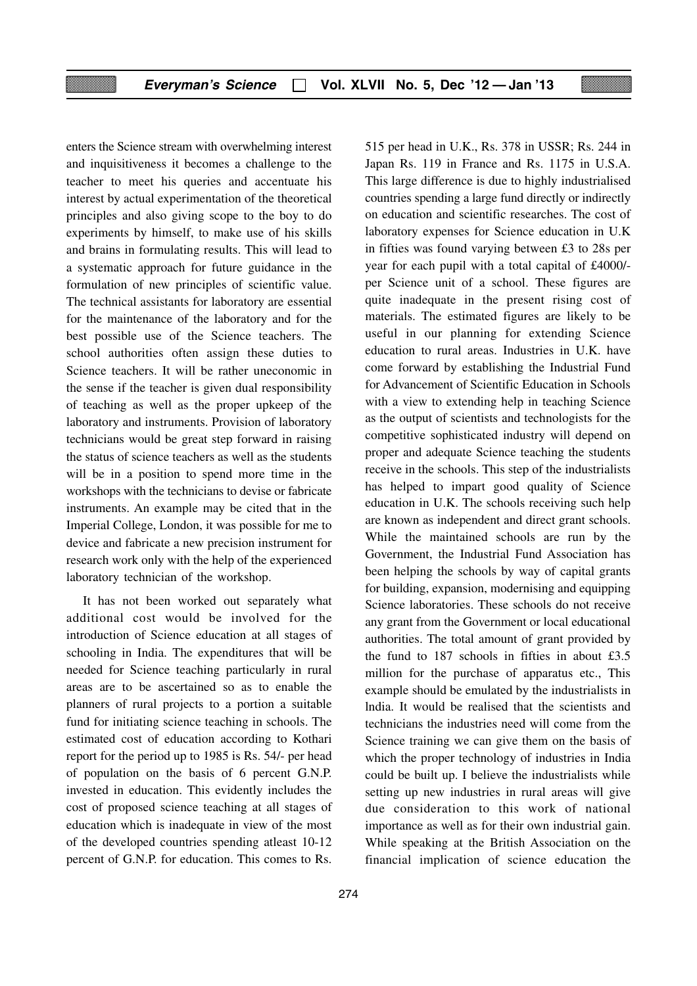enters the Science stream with overwhelming interest and inquisitiveness it becomes a challenge to the teacher to meet his queries and accentuate his interest by actual experimentation of the theoretical principles and also giving scope to the boy to do experiments by himself, to make use of his skills and brains in formulating results. This will lead to a systematic approach for future guidance in the formulation of new principles of scientific value. The technical assistants for laboratory are essential for the maintenance of the laboratory and for the best possible use of the Science teachers. The school authorities often assign these duties to Science teachers. It will be rather uneconomic in the sense if the teacher is given dual responsibility of teaching as well as the proper upkeep of the laboratory and instruments. Provision of laboratory technicians would be great step forward in raising the status of science teachers as well as the students will be in a position to spend more time in the workshops with the technicians to devise or fabricate instruments. An example may be cited that in the Imperial College, London, it was possible for me to device and fabricate a new precision instrument for research work only with the help of the experienced laboratory technician of the workshop.

It has not been worked out separately what additional cost would be involved for the introduction of Science education at all stages of schooling in India. The expenditures that will be needed for Science teaching particularly in rural areas are to be ascertained so as to enable the planners of rural projects to a portion a suitable fund for initiating science teaching in schools. The estimated cost of education according to Kothari report for the period up to 1985 is Rs. 54/- per head of population on the basis of 6 percent G.N.P. invested in education. This evidently includes the cost of proposed science teaching at all stages of education which is inadequate in view of the most of the developed countries spending atleast 10-12 percent of G.N.P. for education. This comes to Rs.

515 per head in U.K., Rs. 378 in USSR; Rs. 244 in Japan Rs. 119 in France and Rs. 1175 in U.S.A. This large difference is due to highly industrialised countries spending a large fund directly or indirectly on education and scientific researches. The cost of laboratory expenses for Science education in U.K in fifties was found varying between £3 to 28s per year for each pupil with a total capital of £4000/ per Science unit of a school. These figures are quite inadequate in the present rising cost of materials. The estimated figures are likely to be useful in our planning for extending Science education to rural areas. Industries in U.K. have come forward by establishing the Industrial Fund for Advancement of Scientific Education in Schools with a view to extending help in teaching Science as the output of scientists and technologists for the competitive sophisticated industry will depend on proper and adequate Science teaching the students receive in the schools. This step of the industrialists has helped to impart good quality of Science education in U.K. The schools receiving such help are known as independent and direct grant schools. While the maintained schools are run by the Government, the Industrial Fund Association has been helping the schools by way of capital grants for building, expansion, modernising and equipping Science laboratories. These schools do not receive any grant from the Government or local educational authorities. The total amount of grant provided by the fund to 187 schools in fifties in about £3.5 million for the purchase of apparatus etc., This example should be emulated by the industrialists in lndia. It would be realised that the scientists and technicians the industries need will come from the Science training we can give them on the basis of which the proper technology of industries in India could be built up. I believe the industrialists while setting up new industries in rural areas will give due consideration to this work of national importance as well as for their own industrial gain. While speaking at the British Association on the financial implication of science education the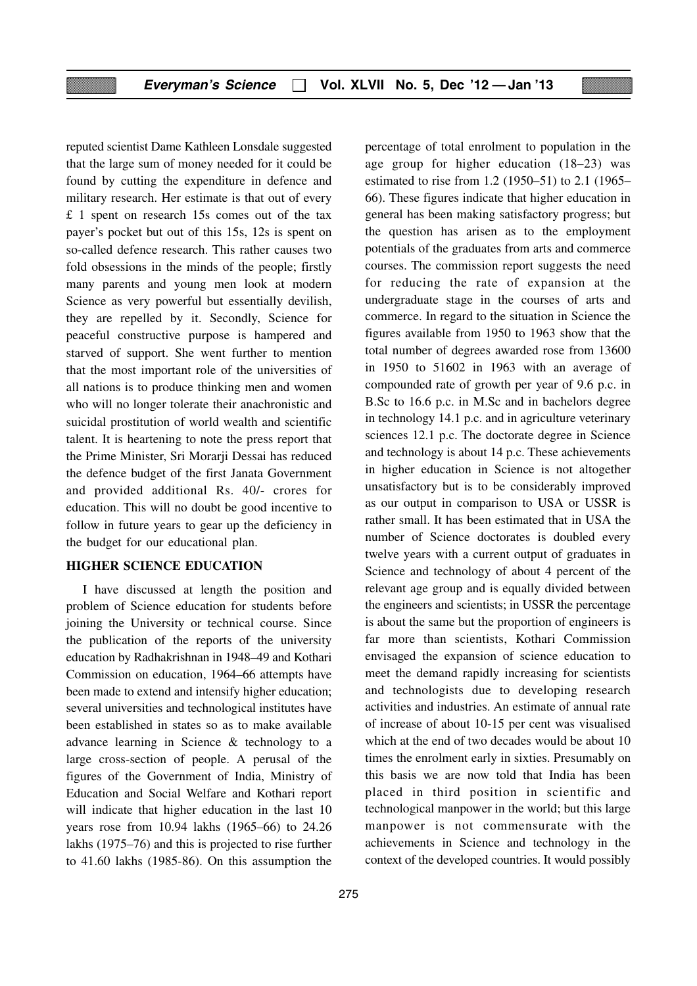reputed scientist Dame Kathleen Lonsdale suggested that the large sum of money needed for it could be found by cutting the expenditure in defence and military research. Her estimate is that out of every £ 1 spent on research 15s comes out of the tax payer's pocket but out of this 15s, 12s is spent on so-called defence research. This rather causes two fold obsessions in the minds of the people; firstly many parents and young men look at modern Science as very powerful but essentially devilish, they are repelled by it. Secondly, Science for peaceful constructive purpose is hampered and starved of support. She went further to mention that the most important role of the universities of all nations is to produce thinking men and women who will no longer tolerate their anachronistic and suicidal prostitution of world wealth and scientific talent. It is heartening to note the press report that the Prime Minister, Sri Morarii Dessai has reduced the defence budget of the first Janata Government and provided additional Rs. 40/- crores for education. This will no doubt be good incentive to follow in future years to gear up the deficiency in the budget for our educational plan.

#### **HIGHER SCIENCE EDUCATION**

I have discussed at length the position and problem of Science education for students before joining the University or technical course. Since the publication of the reports of the university education by Radhakrishnan in 1948–49 and Kothari Commission on education, 1964–66 attempts have been made to extend and intensify higher education; several universities and technological institutes have been established in states so as to make available advance learning in Science & technology to a large cross-section of people. A perusal of the figures of the Government of India, Ministry of Education and Social Welfare and Kothari report will indicate that higher education in the last 10 years rose from 10.94 lakhs (1965–66) to 24.26 lakhs (1975–76) and this is projected to rise further to 41.60 lakhs (1985-86). On this assumption the

percentage of total enrolment to population in the age group for higher education (18–23) was estimated to rise from 1.2 (1950–51) to 2.1 (1965– 66). These figures indicate that higher education in general has been making satisfactory progress; but the question has arisen as to the employment potentials of the graduates from arts and commerce courses. The commission report suggests the need for reducing the rate of expansion at the undergraduate stage in the courses of arts and commerce. In regard to the situation in Science the figures available from 1950 to 1963 show that the total number of degrees awarded rose from 13600 in 1950 to 51602 in 1963 with an average of compounded rate of growth per year of 9.6 p.c. in B.Sc to 16.6 p.c. in M.Sc and in bachelors degree in technology 14.1 p.c. and in agriculture veterinary sciences 12.1 p.c. The doctorate degree in Science and technology is about 14 p.c. These achievements in higher education in Science is not altogether unsatisfactory but is to be considerably improved as our output in comparison to USA or USSR is rather small. It has been estimated that in USA the number of Science doctorates is doubled every twelve years with a current output of graduates in Science and technology of about 4 percent of the relevant age group and is equally divided between the engineers and scientists; in USSR the percentage is about the same but the proportion of engineers is far more than scientists, Kothari Commission envisaged the expansion of science education to meet the demand rapidly increasing for scientists and technologists due to developing research activities and industries. An estimate of annual rate of increase of about 10-15 per cent was visualised which at the end of two decades would be about 10 times the enrolment early in sixties. Presumably on this basis we are now told that India has been placed in third position in scientific and technological manpower in the world; but this large manpower is not commensurate with the achievements in Science and technology in the context of the developed countries. It would possibly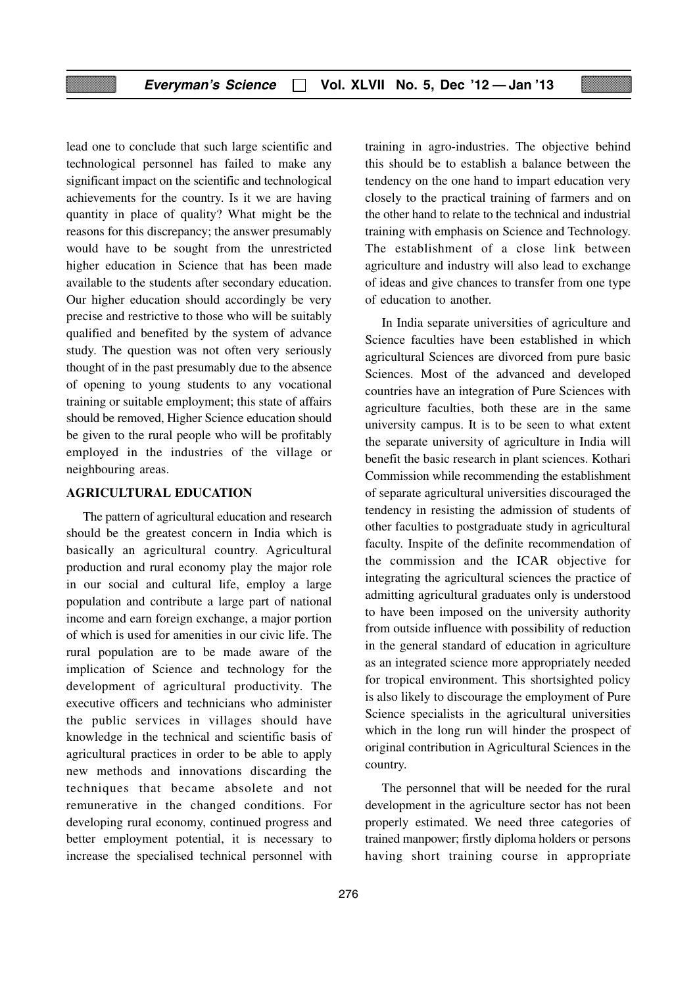lead one to conclude that such large scientific and technological personnel has failed to make any significant impact on the scientific and technological achievements for the country. Is it we are having quantity in place of quality? What might be the reasons for this discrepancy; the answer presumably would have to be sought from the unrestricted higher education in Science that has been made available to the students after secondary education. Our higher education should accordingly be very precise and restrictive to those who will be suitably qualified and benefited by the system of advance study. The question was not often very seriously thought of in the past presumably due to the absence of opening to young students to any vocational training or suitable employment; this state of affairs should be removed, Higher Science education should be given to the rural people who will be profitably employed in the industries of the village or neighbouring areas.

#### **AGRICULTURAL EDUCATION**

The pattern of agricultural education and research should be the greatest concern in India which is basically an agricultural country. Agricultural production and rural economy play the major role in our social and cultural life, employ a large population and contribute a large part of national income and earn foreign exchange, a major portion of which is used for amenities in our civic life. The rural population are to be made aware of the implication of Science and technology for the development of agricultural productivity. The executive officers and technicians who administer the public services in villages should have knowledge in the technical and scientific basis of agricultural practices in order to be able to apply new methods and innovations discarding the techniques that became absolete and not remunerative in the changed conditions. For developing rural economy, continued progress and better employment potential, it is necessary to increase the specialised technical personnel with

training in agro-industries. The objective behind this should be to establish a balance between the tendency on the one hand to impart education very closely to the practical training of farmers and on the other hand to relate to the technical and industrial training with emphasis on Science and Technology. The establishment of a close link between agriculture and industry will also lead to exchange of ideas and give chances to transfer from one type of education to another.

In India separate universities of agriculture and Science faculties have been established in which agricultural Sciences are divorced from pure basic Sciences. Most of the advanced and developed countries have an integration of Pure Sciences with agriculture faculties, both these are in the same university campus. It is to be seen to what extent the separate university of agriculture in India will benefit the basic research in plant sciences. Kothari Commission while recommending the establishment of separate agricultural universities discouraged the tendency in resisting the admission of students of other faculties to postgraduate study in agricultural faculty. Inspite of the definite recommendation of the commission and the ICAR objective for integrating the agricultural sciences the practice of admitting agricultural graduates only is understood to have been imposed on the university authority from outside influence with possibility of reduction in the general standard of education in agriculture as an integrated science more appropriately needed for tropical environment. This shortsighted policy is also likely to discourage the employment of Pure Science specialists in the agricultural universities which in the long run will hinder the prospect of original contribution in Agricultural Sciences in the country.

The personnel that will be needed for the rural development in the agriculture sector has not been properly estimated. We need three categories of trained manpower; firstly diploma holders or persons having short training course in appropriate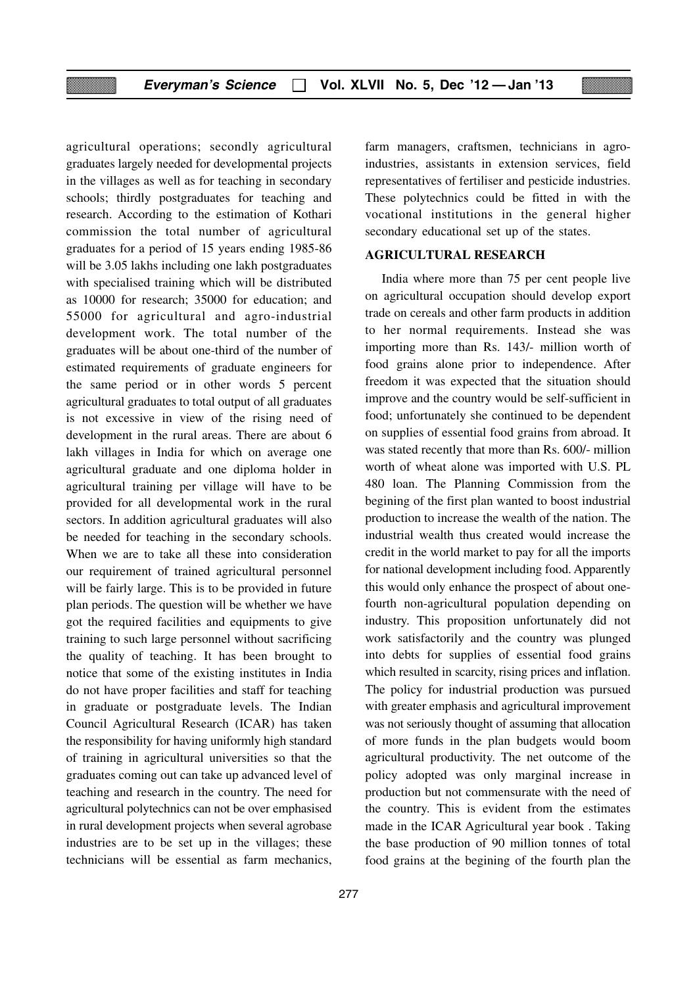agricultural operations; secondly agricultural graduates largely needed for developmental projects in the villages as well as for teaching in secondary schools; thirdly postgraduates for teaching and research. According to the estimation of Kothari commission the total number of agricultural graduates for a period of 15 years ending 1985-86 will be 3.05 lakhs including one lakh postgraduates with specialised training which will be distributed as 10000 for research; 35000 for education; and 55000 for agricultural and agro-industrial development work. The total number of the graduates will be about one-third of the number of estimated requirements of graduate engineers for the same period or in other words 5 percent agricultural graduates to total output of all graduates is not excessive in view of the rising need of development in the rural areas. There are about 6 lakh villages in India for which on average one agricultural graduate and one diploma holder in agricultural training per village will have to be provided for all developmental work in the rural sectors. In addition agricultural graduates will also be needed for teaching in the secondary schools. When we are to take all these into consideration our requirement of trained agricultural personnel will be fairly large. This is to be provided in future plan periods. The question will be whether we have got the required facilities and equipments to give training to such large personnel without sacrificing the quality of teaching. It has been brought to notice that some of the existing institutes in India do not have proper facilities and staff for teaching in graduate or postgraduate levels. The Indian Council Agricultural Research (ICAR) has taken the responsibility for having uniformly high standard of training in agricultural universities so that the graduates coming out can take up advanced level of teaching and research in the country. The need for agricultural polytechnics can not be over emphasised in rural development projects when several agrobase industries are to be set up in the villages; these technicians will be essential as farm mechanics,

277

farm managers, craftsmen, technicians in agroindustries, assistants in extension services, field representatives of fertiliser and pesticide industries. These polytechnics could be fitted in with the vocational institutions in the general higher secondary educational set up of the states.

#### **AGRICULTURAL RESEARCH**

India where more than 75 per cent people live on agricultural occupation should develop export trade on cereals and other farm products in addition to her normal requirements. Instead she was importing more than Rs. 143/- million worth of food grains alone prior to independence. After freedom it was expected that the situation should improve and the country would be self-sufficient in food; unfortunately she continued to be dependent on supplies of essential food grains from abroad. It was stated recently that more than Rs. 600/- million worth of wheat alone was imported with U.S. PL 480 loan. The Planning Commission from the begining of the first plan wanted to boost industrial production to increase the wealth of the nation. The industrial wealth thus created would increase the credit in the world market to pay for all the imports for national development including food. Apparently this would only enhance the prospect of about onefourth non-agricultural population depending on industry. This proposition unfortunately did not work satisfactorily and the country was plunged into debts for supplies of essential food grains which resulted in scarcity, rising prices and inflation. The policy for industrial production was pursued with greater emphasis and agricultural improvement was not seriously thought of assuming that allocation of more funds in the plan budgets would boom agricultural productivity. The net outcome of the policy adopted was only marginal increase in production but not commensurate with the need of the country. This is evident from the estimates made in the ICAR Agricultural year book . Taking the base production of 90 million tonnes of total food grains at the begining of the fourth plan the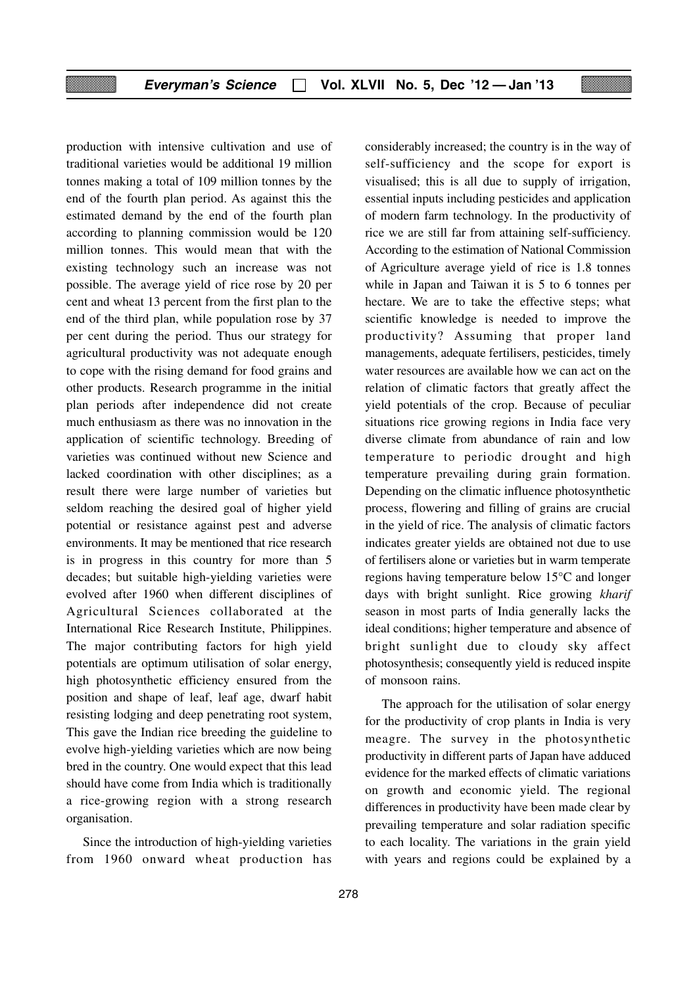production with intensive cultivation and use of traditional varieties would be additional 19 million tonnes making a total of 109 million tonnes by the end of the fourth plan period. As against this the estimated demand by the end of the fourth plan according to planning commission would be 120 million tonnes. This would mean that with the existing technology such an increase was not possible. The average yield of rice rose by 20 per cent and wheat 13 percent from the first plan to the end of the third plan, while population rose by 37 per cent during the period. Thus our strategy for agricultural productivity was not adequate enough to cope with the rising demand for food grains and other products. Research programme in the initial plan periods after independence did not create much enthusiasm as there was no innovation in the application of scientific technology. Breeding of varieties was continued without new Science and lacked coordination with other disciplines; as a result there were large number of varieties but seldom reaching the desired goal of higher yield potential or resistance against pest and adverse environments. It may be mentioned that rice research is in progress in this country for more than 5 decades; but suitable high-yielding varieties were evolved after 1960 when different disciplines of Agricultural Sciences collaborated at the International Rice Research Institute, Philippines. The major contributing factors for high yield potentials are optimum utilisation of solar energy, high photosynthetic efficiency ensured from the position and shape of leaf, leaf age, dwarf habit resisting lodging and deep penetrating root system, This gave the Indian rice breeding the guideline to evolve high-yielding varieties which are now being bred in the country. One would expect that this lead should have come from India which is traditionally a rice-growing region with a strong research organisation.

Since the introduction of high-yielding varieties from 1960 onward wheat production has

considerably increased; the country is in the way of self-sufficiency and the scope for export is visualised; this is all due to supply of irrigation, essential inputs including pesticides and application of modern farm technology. In the productivity of rice we are still far from attaining self-sufficiency. According to the estimation of National Commission of Agriculture average yield of rice is 1.8 tonnes while in Japan and Taiwan it is 5 to 6 tonnes per hectare. We are to take the effective steps; what scientific knowledge is needed to improve the productivity? Assuming that proper land managements, adequate fertilisers, pesticides, timely water resources are available how we can act on the relation of climatic factors that greatly affect the yield potentials of the crop. Because of peculiar situations rice growing regions in India face very diverse climate from abundance of rain and low temperature to periodic drought and high temperature prevailing during grain formation. Depending on the climatic influence photosynthetic process, flowering and filling of grains are crucial in the yield of rice. The analysis of climatic factors indicates greater yields are obtained not due to use of fertilisers alone or varieties but in warm temperate regions having temperature below 15°C and longer days with bright sunlight. Rice growing *kharif* season in most parts of India generally lacks the ideal conditions; higher temperature and absence of bright sunlight due to cloudy sky affect photosynthesis; consequently yield is reduced inspite of monsoon rains.

The approach for the utilisation of solar energy for the productivity of crop plants in India is very meagre. The survey in the photosynthetic productivity in different parts of Japan have adduced evidence for the marked effects of climatic variations on growth and economic yield. The regional differences in productivity have been made clear by prevailing temperature and solar radiation specific to each locality. The variations in the grain yield with years and regions could be explained by a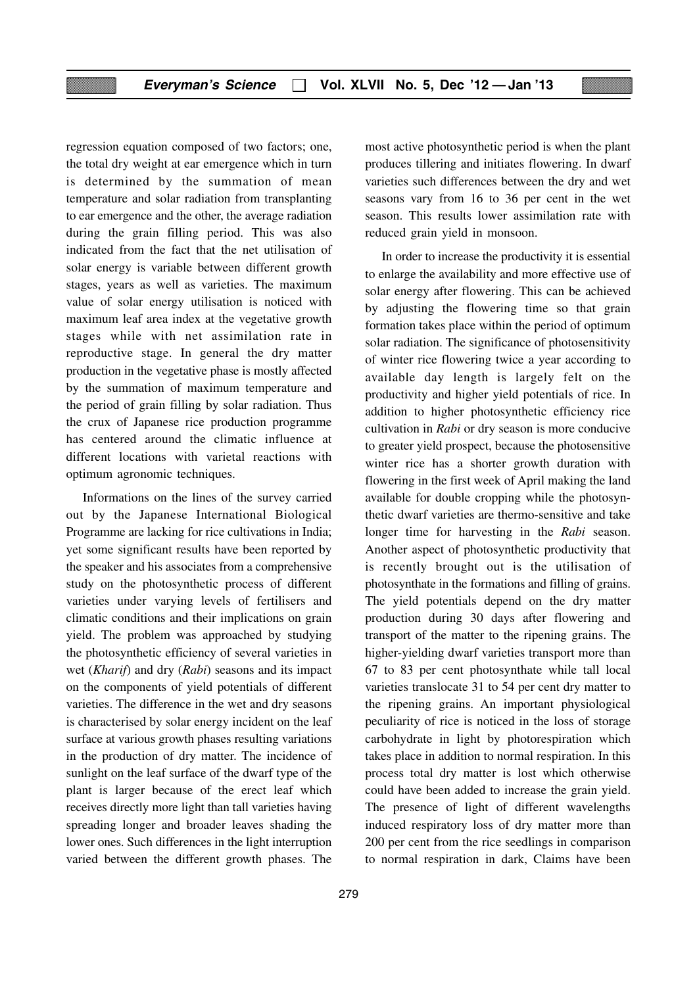regression equation composed of two factors; one, the total dry weight at ear emergence which in turn is determined by the summation of mean temperature and solar radiation from transplanting to ear emergence and the other, the average radiation during the grain filling period. This was also indicated from the fact that the net utilisation of solar energy is variable between different growth stages, years as well as varieties. The maximum value of solar energy utilisation is noticed with maximum leaf area index at the vegetative growth stages while with net assimilation rate in reproductive stage. In general the dry matter production in the vegetative phase is mostly affected by the summation of maximum temperature and the period of grain filling by solar radiation. Thus the crux of Japanese rice production programme has centered around the climatic influence at different locations with varietal reactions with optimum agronomic techniques.

Informations on the lines of the survey carried out by the Japanese International Biological Programme are lacking for rice cultivations in India; yet some significant results have been reported by the speaker and his associates from a comprehensive study on the photosynthetic process of different varieties under varying levels of fertilisers and climatic conditions and their implications on grain yield. The problem was approached by studying the photosynthetic efficiency of several varieties in wet (*Kharif*) and dry (*Rabi*) seasons and its impact on the components of yield potentials of different varieties. The difference in the wet and dry seasons is characterised by solar energy incident on the leaf surface at various growth phases resulting variations in the production of dry matter. The incidence of sunlight on the leaf surface of the dwarf type of the plant is larger because of the erect leaf which receives directly more light than tall varieties having spreading longer and broader leaves shading the lower ones. Such differences in the light interruption varied between the different growth phases. The

most active photosynthetic period is when the plant produces tillering and initiates flowering. In dwarf varieties such differences between the dry and wet seasons vary from 16 to 36 per cent in the wet season. This results lower assimilation rate with reduced grain yield in monsoon.

In order to increase the productivity it is essential to enlarge the availability and more effective use of solar energy after flowering. This can be achieved by adjusting the flowering time so that grain formation takes place within the period of optimum solar radiation. The significance of photosensitivity of winter rice flowering twice a year according to available day length is largely felt on the productivity and higher yield potentials of rice. In addition to higher photosynthetic efficiency rice cultivation in *Rabi* or dry season is more conducive to greater yield prospect, because the photosensitive winter rice has a shorter growth duration with flowering in the first week of April making the land available for double cropping while the photosynthetic dwarf varieties are thermo-sensitive and take longer time for harvesting in the *Rabi* season. Another aspect of photosynthetic productivity that is recently brought out is the utilisation of photosynthate in the formations and filling of grains. The yield potentials depend on the dry matter production during 30 days after flowering and transport of the matter to the ripening grains. The higher-yielding dwarf varieties transport more than 67 to 83 per cent photosynthate while tall local varieties translocate 31 to 54 per cent dry matter to the ripening grains. An important physiological peculiarity of rice is noticed in the loss of storage carbohydrate in light by photorespiration which takes place in addition to normal respiration. In this process total dry matter is lost which otherwise could have been added to increase the grain yield. The presence of light of different wavelengths induced respiratory loss of dry matter more than 200 per cent from the rice seedlings in comparison to normal respiration in dark, Claims have been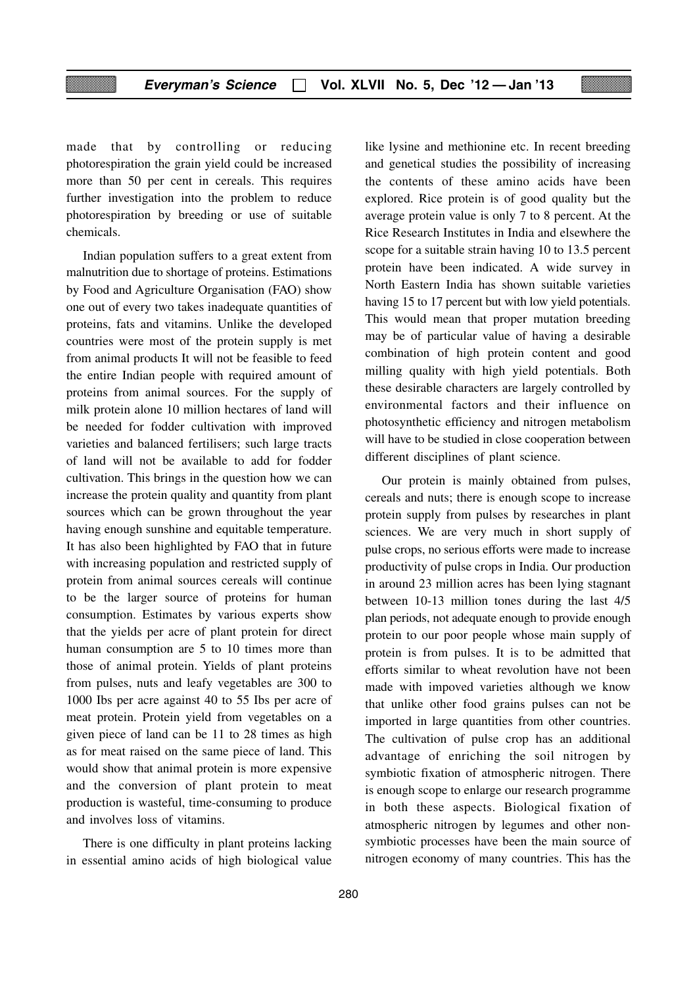made that by controlling or reducing photorespiration the grain yield could be increased more than 50 per cent in cereals. This requires further investigation into the problem to reduce photorespiration by breeding or use of suitable chemicals.

Indian population suffers to a great extent from malnutrition due to shortage of proteins. Estimations by Food and Agriculture Organisation (FAO) show one out of every two takes inadequate quantities of proteins, fats and vitamins. Unlike the developed countries were most of the protein supply is met from animal products It will not be feasible to feed the entire Indian people with required amount of proteins from animal sources. For the supply of milk protein alone 10 million hectares of land will be needed for fodder cultivation with improved varieties and balanced fertilisers; such large tracts of land will not be available to add for fodder cultivation. This brings in the question how we can increase the protein quality and quantity from plant sources which can be grown throughout the year having enough sunshine and equitable temperature. It has also been highlighted by FAO that in future with increasing population and restricted supply of protein from animal sources cereals will continue to be the larger source of proteins for human consumption. Estimates by various experts show that the yields per acre of plant protein for direct human consumption are 5 to 10 times more than those of animal protein. Yields of plant proteins from pulses, nuts and leafy vegetables are 300 to 1000 Ibs per acre against 40 to 55 Ibs per acre of meat protein. Protein yield from vegetables on a given piece of land can be 11 to 28 times as high as for meat raised on the same piece of land. This would show that animal protein is more expensive and the conversion of plant protein to meat production is wasteful, time-consuming to produce and involves loss of vitamins.

There is one difficulty in plant proteins lacking in essential amino acids of high biological value like lysine and methionine etc. In recent breeding and genetical studies the possibility of increasing the contents of these amino acids have been explored. Rice protein is of good quality but the average protein value is only 7 to 8 percent. At the Rice Research Institutes in India and elsewhere the scope for a suitable strain having 10 to 13.5 percent protein have been indicated. A wide survey in North Eastern India has shown suitable varieties having 15 to 17 percent but with low yield potentials. This would mean that proper mutation breeding may be of particular value of having a desirable combination of high protein content and good milling quality with high yield potentials. Both these desirable characters are largely controlled by environmental factors and their influence on photosynthetic efficiency and nitrogen metabolism will have to be studied in close cooperation between different disciplines of plant science.

Our protein is mainly obtained from pulses, cereals and nuts; there is enough scope to increase protein supply from pulses by researches in plant sciences. We are very much in short supply of pulse crops, no serious efforts were made to increase productivity of pulse crops in India. Our production in around 23 million acres has been lying stagnant between 10-13 million tones during the last 4/5 plan periods, not adequate enough to provide enough protein to our poor people whose main supply of protein is from pulses. It is to be admitted that efforts similar to wheat revolution have not been made with impoved varieties although we know that unlike other food grains pulses can not be imported in large quantities from other countries. The cultivation of pulse crop has an additional advantage of enriching the soil nitrogen by symbiotic fixation of atmospheric nitrogen. There is enough scope to enlarge our research programme in both these aspects. Biological fixation of atmospheric nitrogen by legumes and other nonsymbiotic processes have been the main source of nitrogen economy of many countries. This has the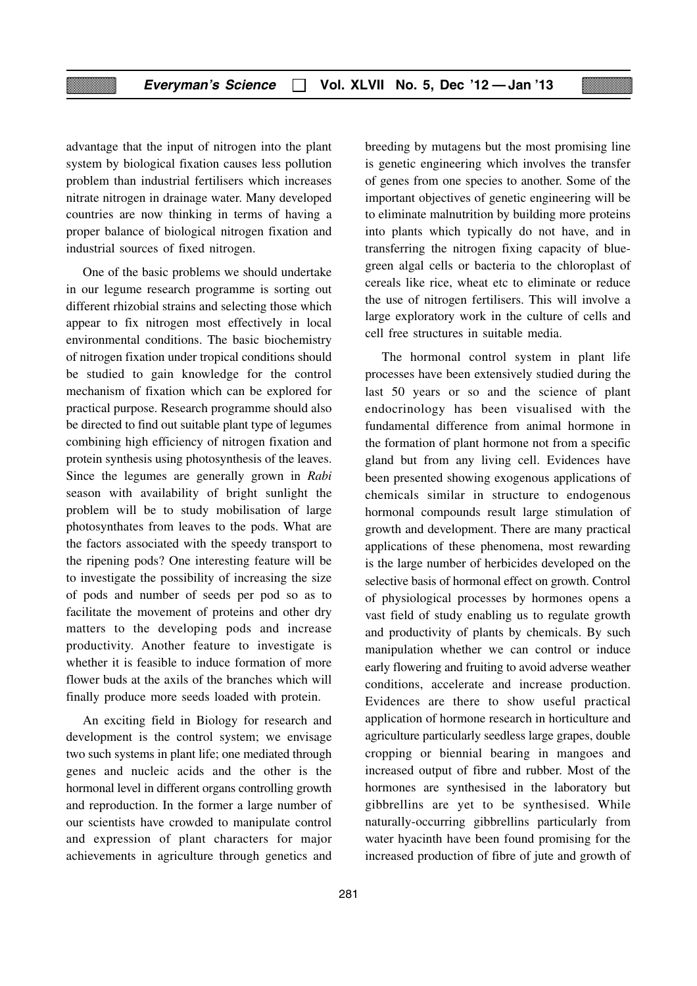advantage that the input of nitrogen into the plant system by biological fixation causes less pollution problem than industrial fertilisers which increases nitrate nitrogen in drainage water. Many developed countries are now thinking in terms of having a proper balance of biological nitrogen fixation and industrial sources of fixed nitrogen.

One of the basic problems we should undertake in our legume research programme is sorting out different rhizobial strains and selecting those which appear to fix nitrogen most effectively in local environmental conditions. The basic biochemistry of nitrogen fixation under tropical conditions should be studied to gain knowledge for the control mechanism of fixation which can be explored for practical purpose. Research programme should also be directed to find out suitable plant type of legumes combining high efficiency of nitrogen fixation and protein synthesis using photosynthesis of the leaves. Since the legumes are generally grown in *Rabi* season with availability of bright sunlight the problem will be to study mobilisation of large photosynthates from leaves to the pods. What are the factors associated with the speedy transport to the ripening pods? One interesting feature will be to investigate the possibility of increasing the size of pods and number of seeds per pod so as to facilitate the movement of proteins and other dry matters to the developing pods and increase productivity. Another feature to investigate is whether it is feasible to induce formation of more flower buds at the axils of the branches which will finally produce more seeds loaded with protein.

An exciting field in Biology for research and development is the control system; we envisage two such systems in plant life; one mediated through genes and nucleic acids and the other is the hormonal level in different organs controlling growth and reproduction. In the former a large number of our scientists have crowded to manipulate control and expression of plant characters for major achievements in agriculture through genetics and

breeding by mutagens but the most promising line is genetic engineering which involves the transfer of genes from one species to another. Some of the important objectives of genetic engineering will be to eliminate malnutrition by building more proteins into plants which typically do not have, and in transferring the nitrogen fixing capacity of bluegreen algal cells or bacteria to the chloroplast of cereals like rice, wheat etc to eliminate or reduce the use of nitrogen fertilisers. This will involve a large exploratory work in the culture of cells and cell free structures in suitable media.

The hormonal control system in plant life processes have been extensively studied during the last 50 years or so and the science of plant endocrinology has been visualised with the fundamental difference from animal hormone in the formation of plant hormone not from a specific gland but from any living cell. Evidences have been presented showing exogenous applications of chemicals similar in structure to endogenous hormonal compounds result large stimulation of growth and development. There are many practical applications of these phenomena, most rewarding is the large number of herbicides developed on the selective basis of hormonal effect on growth. Control of physiological processes by hormones opens a vast field of study enabling us to regulate growth and productivity of plants by chemicals. By such manipulation whether we can control or induce early flowering and fruiting to avoid adverse weather conditions, accelerate and increase production. Evidences are there to show useful practical application of hormone research in horticulture and agriculture particularly seedless large grapes, double cropping or biennial bearing in mangoes and increased output of fibre and rubber. Most of the hormones are synthesised in the laboratory but gibbrellins are yet to be synthesised. While naturally-occurring gibbrellins particularly from water hyacinth have been found promising for the increased production of fibre of jute and growth of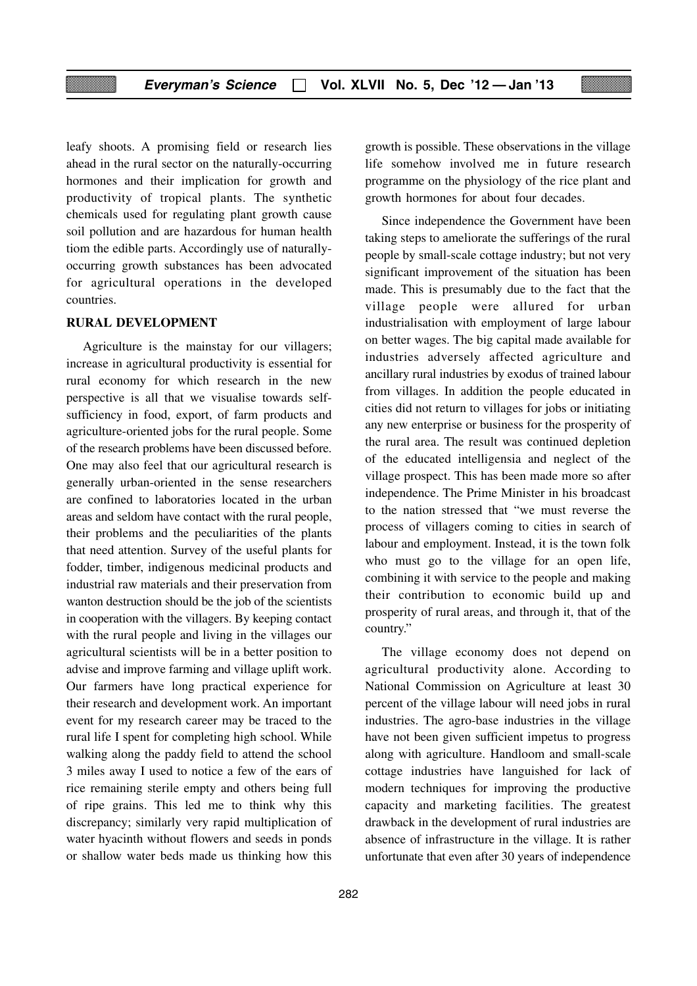leafy shoots. A promising field or research lies ahead in the rural sector on the naturally-occurring hormones and their implication for growth and productivity of tropical plants. The synthetic chemicals used for regulating plant growth cause soil pollution and are hazardous for human health tiom the edible parts. Accordingly use of naturallyoccurring growth substances has been advocated for agricultural operations in the developed countries.

#### **RURAL DEVELOPMENT**

Agriculture is the mainstay for our villagers; increase in agricultural productivity is essential for rural economy for which research in the new perspective is all that we visualise towards selfsufficiency in food, export, of farm products and agriculture-oriented jobs for the rural people. Some of the research problems have been discussed before. One may also feel that our agricultural research is generally urban-oriented in the sense researchers are confined to laboratories located in the urban areas and seldom have contact with the rural people, their problems and the peculiarities of the plants that need attention. Survey of the useful plants for fodder, timber, indigenous medicinal products and industrial raw materials and their preservation from wanton destruction should be the job of the scientists in cooperation with the villagers. By keeping contact with the rural people and living in the villages our agricultural scientists will be in a better position to advise and improve farming and village uplift work. Our farmers have long practical experience for their research and development work. An important event for my research career may be traced to the rural life I spent for completing high school. While walking along the paddy field to attend the school 3 miles away I used to notice a few of the ears of rice remaining sterile empty and others being full of ripe grains. This led me to think why this discrepancy; similarly very rapid multiplication of water hyacinth without flowers and seeds in ponds or shallow water beds made us thinking how this

growth is possible. These observations in the village life somehow involved me in future research programme on the physiology of the rice plant and growth hormones for about four decades.

Since independence the Government have been taking steps to ameliorate the sufferings of the rural people by small-scale cottage industry; but not very significant improvement of the situation has been made. This is presumably due to the fact that the village people were allured for urban industrialisation with employment of large labour on better wages. The big capital made available for industries adversely affected agriculture and ancillary rural industries by exodus of trained labour from villages. In addition the people educated in cities did not return to villages for jobs or initiating any new enterprise or business for the prosperity of the rural area. The result was continued depletion of the educated intelligensia and neglect of the village prospect. This has been made more so after independence. The Prime Minister in his broadcast to the nation stressed that "we must reverse the process of villagers coming to cities in search of labour and employment. Instead, it is the town folk who must go to the village for an open life, combining it with service to the people and making their contribution to economic build up and prosperity of rural areas, and through it, that of the country."

The village economy does not depend on agricultural productivity alone. According to National Commission on Agriculture at least 30 percent of the village labour will need jobs in rural industries. The agro-base industries in the village have not been given sufficient impetus to progress along with agriculture. Handloom and small-scale cottage industries have languished for lack of modern techniques for improving the productive capacity and marketing facilities. The greatest drawback in the development of rural industries are absence of infrastructure in the village. It is rather unfortunate that even after 30 years of independence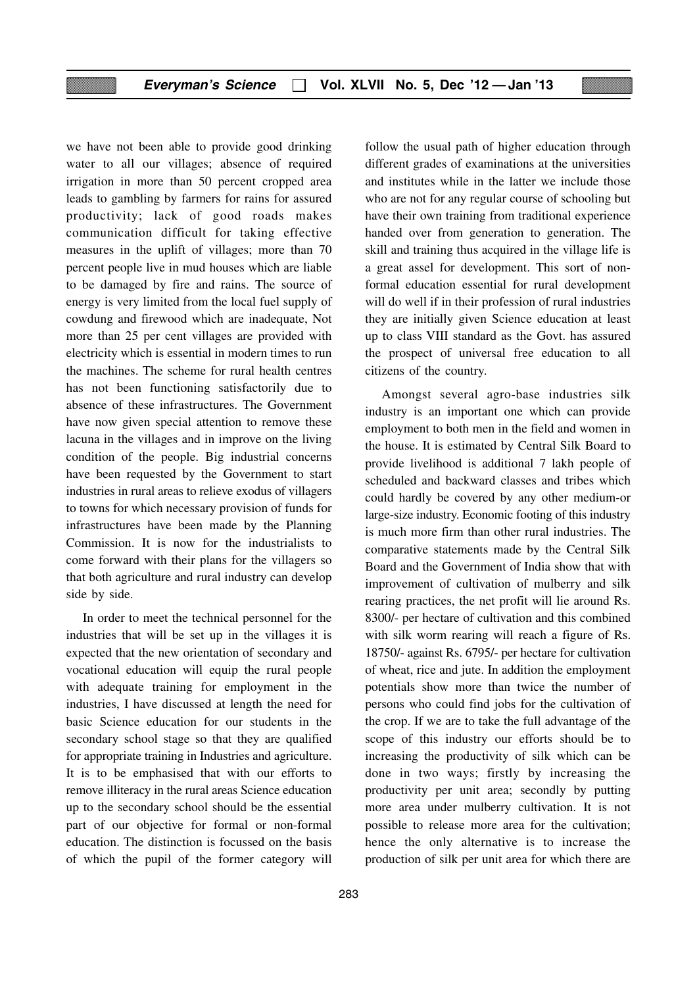we have not been able to provide good drinking water to all our villages; absence of required irrigation in more than 50 percent cropped area leads to gambling by farmers for rains for assured productivity; lack of good roads makes communication difficult for taking effective measures in the uplift of villages; more than 70 percent people live in mud houses which are liable to be damaged by fire and rains. The source of energy is very limited from the local fuel supply of cowdung and firewood which are inadequate, Not more than 25 per cent villages are provided with electricity which is essential in modern times to run the machines. The scheme for rural health centres has not been functioning satisfactorily due to absence of these infrastructures. The Government have now given special attention to remove these lacuna in the villages and in improve on the living condition of the people. Big industrial concerns have been requested by the Government to start industries in rural areas to relieve exodus of villagers to towns for which necessary provision of funds for infrastructures have been made by the Planning Commission. It is now for the industrialists to come forward with their plans for the villagers so that both agriculture and rural industry can develop side by side.

In order to meet the technical personnel for the industries that will be set up in the villages it is expected that the new orientation of secondary and vocational education will equip the rural people with adequate training for employment in the industries, I have discussed at length the need for basic Science education for our students in the secondary school stage so that they are qualified for appropriate training in Industries and agriculture. It is to be emphasised that with our efforts to remove illiteracy in the rural areas Science education up to the secondary school should be the essential part of our objective for formal or non-formal education. The distinction is focussed on the basis of which the pupil of the former category will

follow the usual path of higher education through different grades of examinations at the universities and institutes while in the latter we include those who are not for any regular course of schooling but have their own training from traditional experience handed over from generation to generation. The skill and training thus acquired in the village life is a great assel for development. This sort of nonformal education essential for rural development will do well if in their profession of rural industries they are initially given Science education at least up to class VIII standard as the Govt. has assured the prospect of universal free education to all citizens of the country.

Amongst several agro-base industries silk industry is an important one which can provide employment to both men in the field and women in the house. It is estimated by Central Silk Board to provide livelihood is additional 7 lakh people of scheduled and backward classes and tribes which could hardly be covered by any other medium-or large-size industry. Economic footing of this industry is much more firm than other rural industries. The comparative statements made by the Central Silk Board and the Government of India show that with improvement of cultivation of mulberry and silk rearing practices, the net profit will lie around Rs. 8300/- per hectare of cultivation and this combined with silk worm rearing will reach a figure of Rs. 18750/- against Rs. 6795/- per hectare for cultivation of wheat, rice and jute. In addition the employment potentials show more than twice the number of persons who could find jobs for the cultivation of the crop. If we are to take the full advantage of the scope of this industry our efforts should be to increasing the productivity of silk which can be done in two ways; firstly by increasing the productivity per unit area; secondly by putting more area under mulberry cultivation. It is not possible to release more area for the cultivation; hence the only alternative is to increase the production of silk per unit area for which there are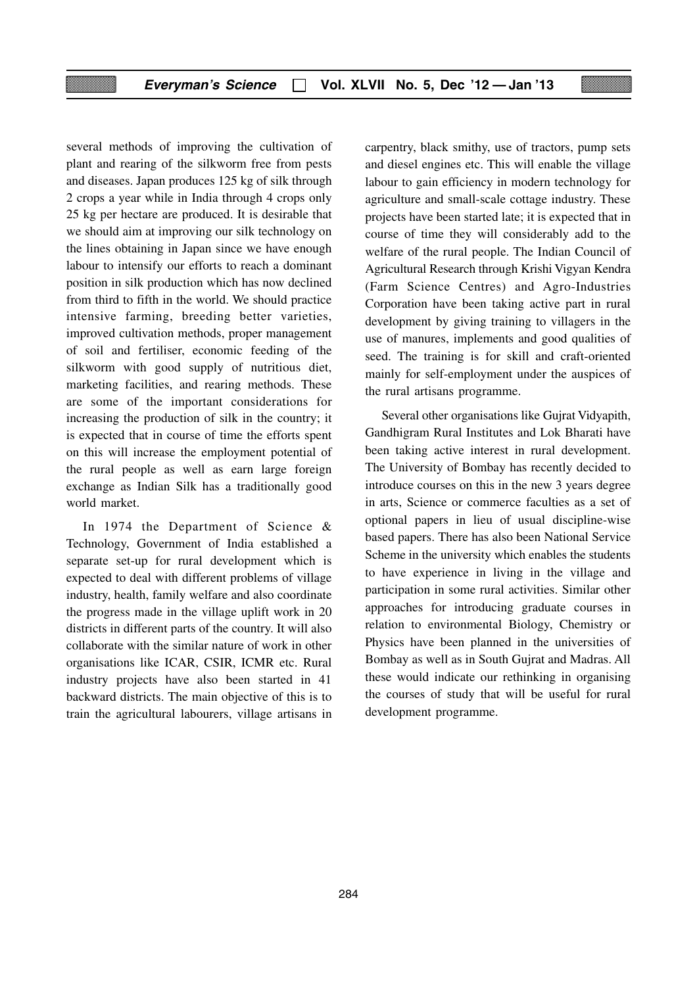several methods of improving the cultivation of plant and rearing of the silkworm free from pests and diseases. Japan produces 125 kg of silk through 2 crops a year while in India through 4 crops only 25 kg per hectare are produced. It is desirable that we should aim at improving our silk technology on the lines obtaining in Japan since we have enough labour to intensify our efforts to reach a dominant position in silk production which has now declined from third to fifth in the world. We should practice intensive farming, breeding better varieties, improved cultivation methods, proper management of soil and fertiliser, economic feeding of the silkworm with good supply of nutritious diet, marketing facilities, and rearing methods. These are some of the important considerations for increasing the production of silk in the country; it is expected that in course of time the efforts spent on this will increase the employment potential of the rural people as well as earn large foreign exchange as Indian Silk has a traditionally good world market.

In 1974 the Department of Science & Technology, Government of India established a separate set-up for rural development which is expected to deal with different problems of village industry, health, family welfare and also coordinate the progress made in the village uplift work in 20 districts in different parts of the country. It will also collaborate with the similar nature of work in other organisations like ICAR, CSIR, ICMR etc. Rural industry projects have also been started in 41 backward districts. The main objective of this is to train the agricultural labourers, village artisans in carpentry, black smithy, use of tractors, pump sets and diesel engines etc. This will enable the village labour to gain efficiency in modern technology for agriculture and small-scale cottage industry. These projects have been started late; it is expected that in course of time they will considerably add to the welfare of the rural people. The Indian Council of Agricultural Research through Krishi Vigyan Kendra (Farm Science Centres) and Agro-Industries Corporation have been taking active part in rural development by giving training to villagers in the use of manures, implements and good qualities of seed. The training is for skill and craft-oriented mainly for self-employment under the auspices of the rural artisans programme.

Several other organisations like Gujrat Vidyapith, Gandhigram Rural Institutes and Lok Bharati have been taking active interest in rural development. The University of Bombay has recently decided to introduce courses on this in the new 3 years degree in arts, Science or commerce faculties as a set of optional papers in lieu of usual discipline-wise based papers. There has also been National Service Scheme in the university which enables the students to have experience in living in the village and participation in some rural activities. Similar other approaches for introducing graduate courses in relation to environmental Biology, Chemistry or Physics have been planned in the universities of Bombay as well as in South Gujrat and Madras. All these would indicate our rethinking in organising the courses of study that will be useful for rural development programme.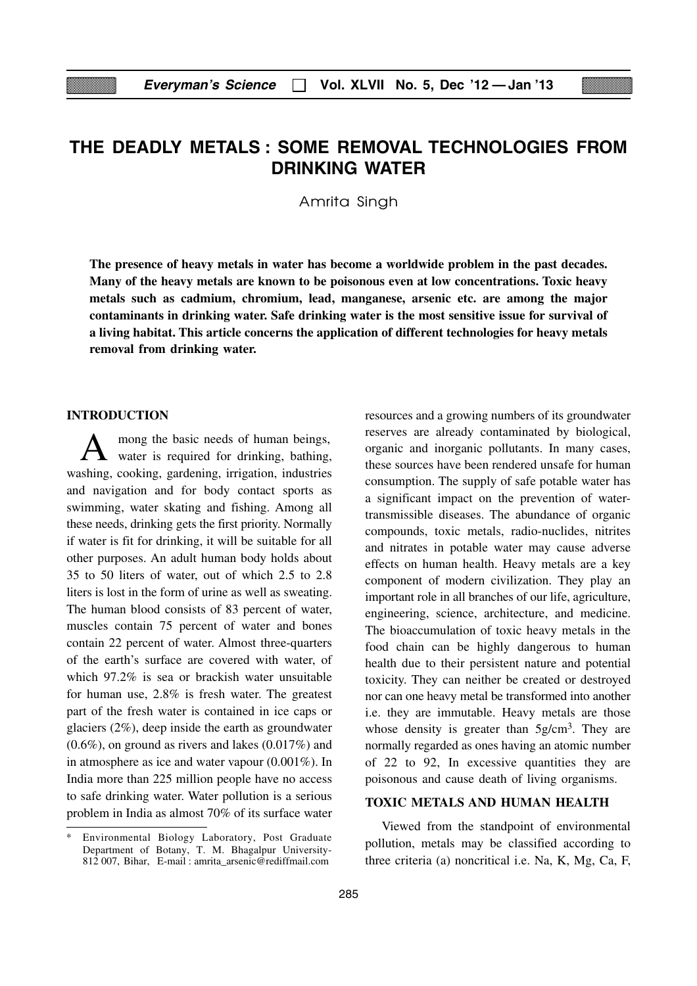## **THE DEADLY METALS : SOME REMOVAL TECHNOLOGIES FROM DRINKING WATER**

Amrita Singh

**The presence of heavy metals in water has become a worldwide problem in the past decades. Many of the heavy metals are known to be poisonous even at low concentrations. Toxic heavy metals such as cadmium, chromium, lead, manganese, arsenic etc. are among the major contaminants in drinking water. Safe drinking water is the most sensitive issue for survival of a living habitat. This article concerns the application of different technologies for heavy metals removal from drinking water.**

#### **INTRODUCTION**

A mong the basic needs of human beings,<br>water is required for drinking, bathing, washing, cooking, gardening, irrigation, industries and navigation and for body contact sports as swimming, water skating and fishing. Among all these needs, drinking gets the first priority. Normally if water is fit for drinking, it will be suitable for all other purposes. An adult human body holds about 35 to 50 liters of water, out of which 2.5 to 2.8 liters is lost in the form of urine as well as sweating. The human blood consists of 83 percent of water, muscles contain 75 percent of water and bones contain 22 percent of water. Almost three-quarters of the earth's surface are covered with water, of which 97.2% is sea or brackish water unsuitable for human use, 2.8% is fresh water. The greatest part of the fresh water is contained in ice caps or glaciers (2%), deep inside the earth as groundwater (0.6%), on ground as rivers and lakes (0.017%) and in atmosphere as ice and water vapour (0.001%). In India more than 225 million people have no access to safe drinking water. Water pollution is a serious problem in India as almost 70% of its surface water resources and a growing numbers of its groundwater reserves are already contaminated by biological, organic and inorganic pollutants. In many cases, these sources have been rendered unsafe for human consumption. The supply of safe potable water has a significant impact on the prevention of watertransmissible diseases. The abundance of organic compounds, toxic metals, radio-nuclides, nitrites and nitrates in potable water may cause adverse effects on human health. Heavy metals are a key component of modern civilization. They play an important role in all branches of our life, agriculture, engineering, science, architecture, and medicine. The bioaccumulation of toxic heavy metals in the food chain can be highly dangerous to human health due to their persistent nature and potential toxicity. They can neither be created or destroyed nor can one heavy metal be transformed into another i.e. they are immutable. Heavy metals are those whose density is greater than  $5g/cm<sup>3</sup>$ . They are normally regarded as ones having an atomic number of 22 to 92, In excessive quantities they are poisonous and cause death of living organisms.

#### **TOXIC METALS AND HUMAN HEALTH**

Viewed from the standpoint of environmental pollution, metals may be classified according to three criteria (a) noncritical i.e. Na, K, Mg, Ca, F,

Environmental Biology Laboratory, Post Graduate Department of Botany, T. M. Bhagalpur University-812 007, Bihar, E-mail : amrita\_arsenic@rediffmail.com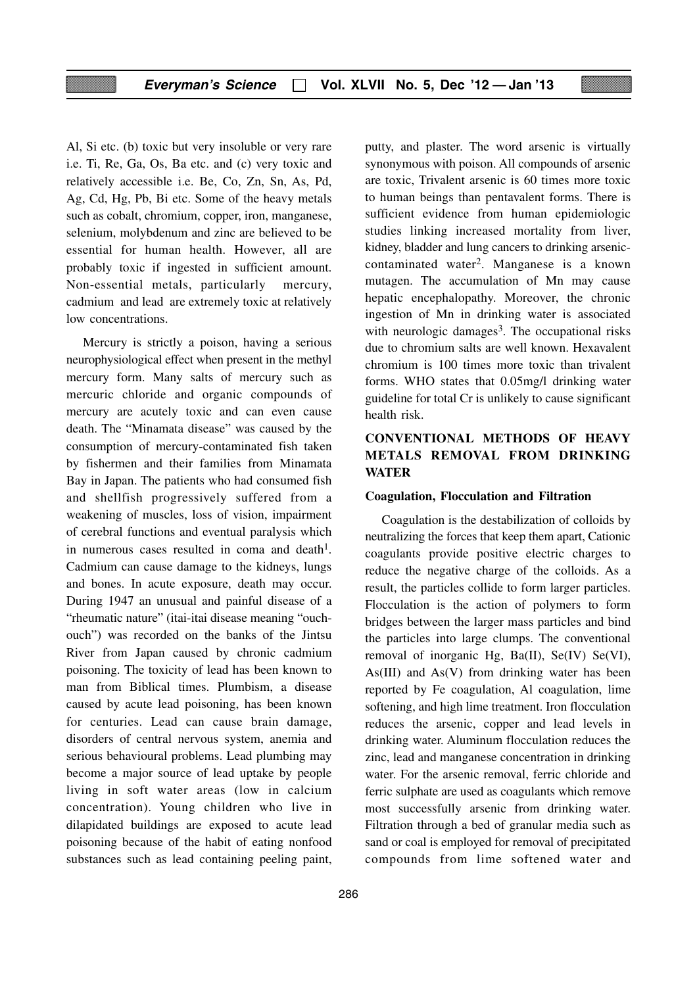Al, Si etc. (b) toxic but very insoluble or very rare i.e. Ti, Re, Ga, Os, Ba etc. and (c) very toxic and relatively accessible i.e. Be, Co, Zn, Sn, As, Pd, Ag, Cd, Hg, Pb, Bi etc. Some of the heavy metals such as cobalt, chromium, copper, iron, manganese, selenium, molybdenum and zinc are believed to be essential for human health. However, all are probably toxic if ingested in sufficient amount. Non-essential metals, particularly mercury, cadmium and lead are extremely toxic at relatively low concentrations.

Mercury is strictly a poison, having a serious neurophysiological effect when present in the methyl mercury form. Many salts of mercury such as mercuric chloride and organic compounds of mercury are acutely toxic and can even cause death. The "Minamata disease" was caused by the consumption of mercury-contaminated fish taken by fishermen and their families from Minamata Bay in Japan. The patients who had consumed fish and shellfish progressively suffered from a weakening of muscles, loss of vision, impairment of cerebral functions and eventual paralysis which in numerous cases resulted in coma and death<sup>1</sup>. Cadmium can cause damage to the kidneys, lungs and bones. In acute exposure, death may occur. During 1947 an unusual and painful disease of a "rheumatic nature" (itai-itai disease meaning "ouchouch") was recorded on the banks of the Jintsu River from Japan caused by chronic cadmium poisoning. The toxicity of lead has been known to man from Biblical times. Plumbism, a disease caused by acute lead poisoning, has been known for centuries. Lead can cause brain damage, disorders of central nervous system, anemia and serious behavioural problems. Lead plumbing may become a major source of lead uptake by people living in soft water areas (low in calcium concentration). Young children who live in dilapidated buildings are exposed to acute lead poisoning because of the habit of eating nonfood substances such as lead containing peeling paint,

putty, and plaster. The word arsenic is virtually synonymous with poison. All compounds of arsenic are toxic, Trivalent arsenic is 60 times more toxic to human beings than pentavalent forms. There is sufficient evidence from human epidemiologic studies linking increased mortality from liver, kidney, bladder and lung cancers to drinking arseniccontaminated water2. Manganese is a known mutagen. The accumulation of Mn may cause hepatic encephalopathy. Moreover, the chronic ingestion of Mn in drinking water is associated with neurologic damages<sup>3</sup>. The occupational risks due to chromium salts are well known. Hexavalent chromium is 100 times more toxic than trivalent forms. WHO states that 0.05mg/l drinking water guideline for total Cr is unlikely to cause significant health risk.

#### **CONVENTIONAL METHODS OF HEAVY METALS REMOVAL FROM DRINKING WATER**

#### **Coagulation, Flocculation and Filtration**

Coagulation is the destabilization of colloids by neutralizing the forces that keep them apart, Cationic coagulants provide positive electric charges to reduce the negative charge of the colloids. As a result, the particles collide to form larger particles. Flocculation is the action of polymers to form bridges between the larger mass particles and bind the particles into large clumps. The conventional removal of inorganic Hg, Ba(II), Se(IV) Se(VI), As(III) and As(V) from drinking water has been reported by Fe coagulation, Al coagulation, lime softening, and high lime treatment. Iron flocculation reduces the arsenic, copper and lead levels in drinking water. Aluminum flocculation reduces the zinc, lead and manganese concentration in drinking water. For the arsenic removal, ferric chloride and ferric sulphate are used as coagulants which remove most successfully arsenic from drinking water. Filtration through a bed of granular media such as sand or coal is employed for removal of precipitated compounds from lime softened water and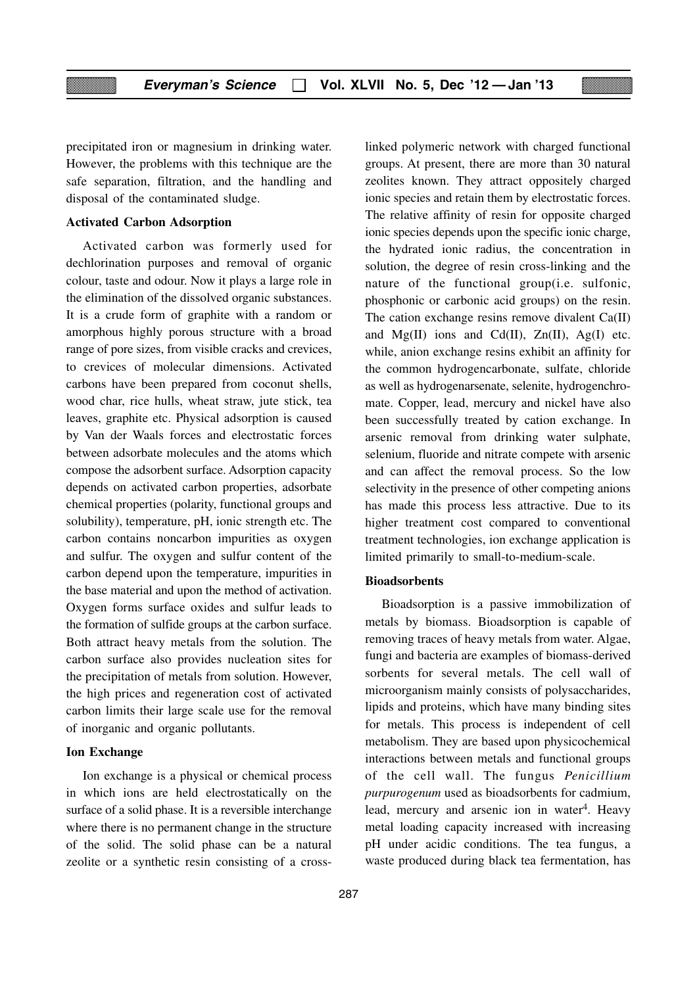precipitated iron or magnesium in drinking water. However, the problems with this technique are the safe separation, filtration, and the handling and disposal of the contaminated sludge.

#### **Activated Carbon Adsorption**

Activated carbon was formerly used for dechlorination purposes and removal of organic colour, taste and odour. Now it plays a large role in the elimination of the dissolved organic substances. It is a crude form of graphite with a random or amorphous highly porous structure with a broad range of pore sizes, from visible cracks and crevices, to crevices of molecular dimensions. Activated carbons have been prepared from coconut shells, wood char, rice hulls, wheat straw, jute stick, tea leaves, graphite etc. Physical adsorption is caused by Van der Waals forces and electrostatic forces between adsorbate molecules and the atoms which compose the adsorbent surface. Adsorption capacity depends on activated carbon properties, adsorbate chemical properties (polarity, functional groups and solubility), temperature, pH, ionic strength etc. The carbon contains noncarbon impurities as oxygen and sulfur. The oxygen and sulfur content of the carbon depend upon the temperature, impurities in the base material and upon the method of activation. Oxygen forms surface oxides and sulfur leads to the formation of sulfide groups at the carbon surface. Both attract heavy metals from the solution. The carbon surface also provides nucleation sites for the precipitation of metals from solution. However, the high prices and regeneration cost of activated carbon limits their large scale use for the removal of inorganic and organic pollutants.

#### **Ion Exchange**

Ion exchange is a physical or chemical process in which ions are held electrostatically on the surface of a solid phase. It is a reversible interchange where there is no permanent change in the structure of the solid. The solid phase can be a natural zeolite or a synthetic resin consisting of a crosslinked polymeric network with charged functional groups. At present, there are more than 30 natural zeolites known. They attract oppositely charged ionic species and retain them by electrostatic forces. The relative affinity of resin for opposite charged ionic species depends upon the specific ionic charge, the hydrated ionic radius, the concentration in solution, the degree of resin cross-linking and the nature of the functional group(i.e. sulfonic, phosphonic or carbonic acid groups) on the resin. The cation exchange resins remove divalent Ca(II) and  $Mg(II)$  ions and Cd(II),  $Zn(II)$ , Ag(I) etc. while, anion exchange resins exhibit an affinity for the common hydrogencarbonate, sulfate, chloride as well as hydrogenarsenate, selenite, hydrogenchromate. Copper, lead, mercury and nickel have also been successfully treated by cation exchange. In arsenic removal from drinking water sulphate, selenium, fluoride and nitrate compete with arsenic and can affect the removal process. So the low selectivity in the presence of other competing anions has made this process less attractive. Due to its higher treatment cost compared to conventional treatment technologies, ion exchange application is limited primarily to small-to-medium-scale.

#### **Bioadsorbents**

Bioadsorption is a passive immobilization of metals by biomass. Bioadsorption is capable of removing traces of heavy metals from water. Algae, fungi and bacteria are examples of biomass-derived sorbents for several metals. The cell wall of microorganism mainly consists of polysaccharides, lipids and proteins, which have many binding sites for metals. This process is independent of cell metabolism. They are based upon physicochemical interactions between metals and functional groups of the cell wall. The fungus *Penicillium purpurogenum* used as bioadsorbents for cadmium, lead, mercury and arsenic ion in water<sup>4</sup>. Heavy metal loading capacity increased with increasing pH under acidic conditions. The tea fungus, a waste produced during black tea fermentation, has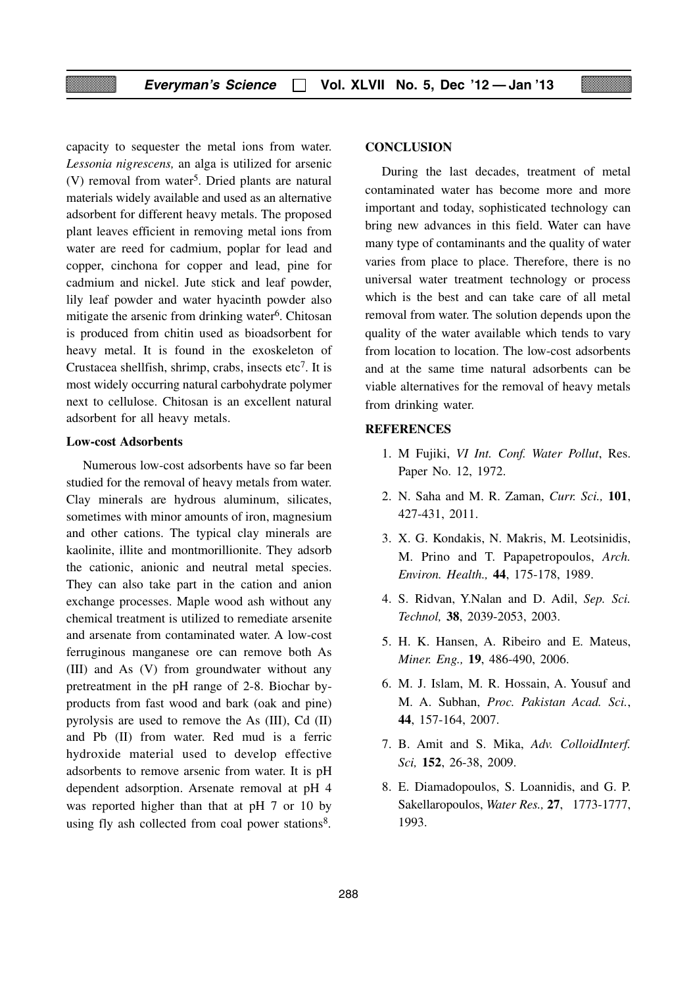capacity to sequester the metal ions from water. *Lessonia nigrescens,* an alga is utilized for arsenic (V) removal from water<sup>5</sup>. Dried plants are natural materials widely available and used as an alternative adsorbent for different heavy metals. The proposed plant leaves efficient in removing metal ions from water are reed for cadmium, poplar for lead and copper, cinchona for copper and lead, pine for cadmium and nickel. Jute stick and leaf powder, lily leaf powder and water hyacinth powder also mitigate the arsenic from drinking water<sup>6</sup>. Chitosan is produced from chitin used as bioadsorbent for heavy metal. It is found in the exoskeleton of Crustacea shellfish, shrimp, crabs, insects  $etc<sup>7</sup>$ . It is most widely occurring natural carbohydrate polymer next to cellulose. Chitosan is an excellent natural adsorbent for all heavy metals.

#### **Low-cost Adsorbents**

Numerous low-cost adsorbents have so far been studied for the removal of heavy metals from water. Clay minerals are hydrous aluminum, silicates, sometimes with minor amounts of iron, magnesium and other cations. The typical clay minerals are kaolinite, illite and montmorillionite. They adsorb the cationic, anionic and neutral metal species. They can also take part in the cation and anion exchange processes. Maple wood ash without any chemical treatment is utilized to remediate arsenite and arsenate from contaminated water. A low-cost ferruginous manganese ore can remove both As (III) and As (V) from groundwater without any pretreatment in the pH range of 2-8. Biochar byproducts from fast wood and bark (oak and pine) pyrolysis are used to remove the As (III), Cd (II) and Pb (II) from water. Red mud is a ferric hydroxide material used to develop effective adsorbents to remove arsenic from water. It is pH dependent adsorption. Arsenate removal at pH 4 was reported higher than that at pH 7 or 10 by using fly ash collected from coal power stations $8$ .

#### **CONCLUSION**

During the last decades, treatment of metal contaminated water has become more and more important and today, sophisticated technology can bring new advances in this field. Water can have many type of contaminants and the quality of water varies from place to place. Therefore, there is no universal water treatment technology or process which is the best and can take care of all metal removal from water. The solution depends upon the quality of the water available which tends to vary from location to location. The low-cost adsorbents and at the same time natural adsorbents can be viable alternatives for the removal of heavy metals from drinking water.

#### **REFERENCES**

- 1. M Fujiki, *VI Int. Conf. Water Pollut*, Res. Paper No. 12, 1972.
- 2. N. Saha and M. R. Zaman, *Curr. Sci.,* **101**, 427-431, 2011.
- 3. X. G. Kondakis, N. Makris, M. Leotsinidis, M. Prino and T. Papapetropoulos, *Arch. Environ. Health.,* **44**, 175-178, 1989.
- 4. S. Ridvan, Y.Nalan and D. Adil, *Sep. Sci. Technol,* **38**, 2039-2053, 2003.
- 5. H. K. Hansen, A. Ribeiro and E. Mateus, *Miner. Eng.,* **19**, 486-490, 2006.
- 6. M. J. Islam, M. R. Hossain, A. Yousuf and M. A. Subhan, *Proc. Pakistan Acad. Sci.*, **44**, 157-164, 2007.
- 7. B. Amit and S. Mika, *Adv. ColloidInterf. Sci,* **152**, 26-38, 2009.
- 8. E. Diamadopoulos, S. Loannidis, and G. P. Sakellaropoulos, *Water Res.,* **27**, 1773-1777, 1993.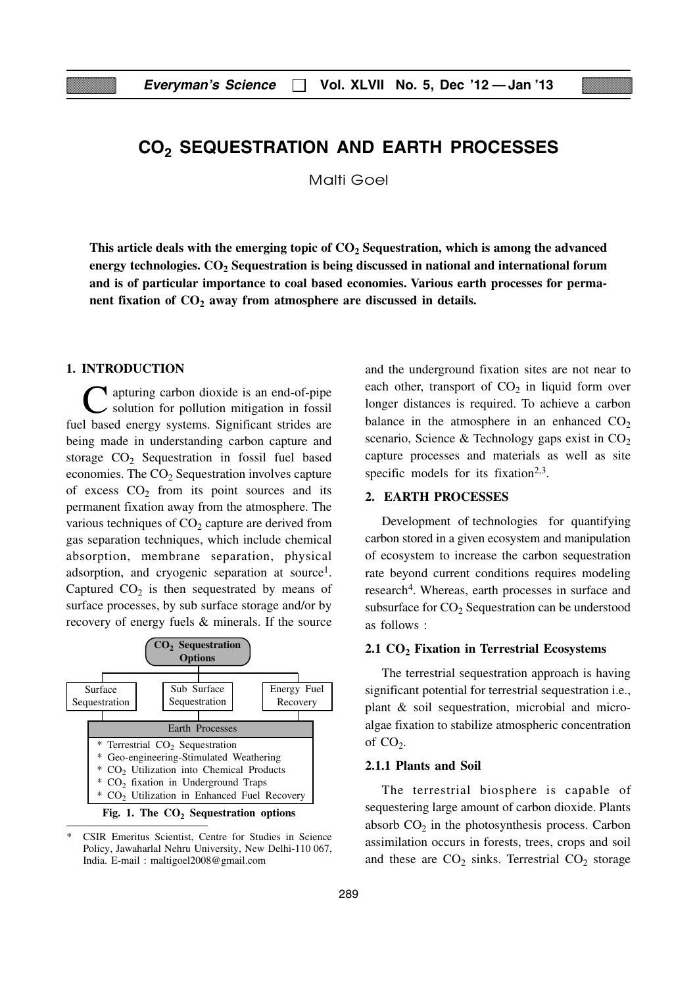## **CO2 SEQUESTRATION AND EARTH PROCESSES**

Malti Goel

This article deals with the emerging topic of  $CO<sub>2</sub>$  Sequestration, which is among the advanced energy technologies. CO<sub>2</sub> Sequestration is being discussed in national and international forum **and is of particular importance to coal based economies. Various earth processes for perma**nent fixation of CO<sub>2</sub> away from atmosphere are discussed in details.

#### **1. INTRODUCTION**

**T** apturing carbon dioxide is an end-of-pipe solution for pollution mitigation in fossil fuel based energy systems. Significant strides are being made in understanding carbon capture and storage  $CO<sub>2</sub>$  Sequestration in fossil fuel based economies. The  $CO<sub>2</sub>$  Sequestration involves capture of excess  $CO<sub>2</sub>$  from its point sources and its permanent fixation away from the atmosphere. The various techniques of  $CO<sub>2</sub>$  capture are derived from gas separation techniques, which include chemical absorption, membrane separation, physical adsorption, and cryogenic separation at source<sup>1</sup>. Captured  $CO<sub>2</sub>$  is then sequestrated by means of surface processes, by sub surface storage and/or by recovery of energy fuels & minerals. If the source





CSIR Emeritus Scientist, Centre for Studies in Science Policy, Jawaharlal Nehru University, New Delhi-110 067, India. E-mail : maltigoel2008@gmail.com

and the underground fixation sites are not near to each other, transport of  $CO<sub>2</sub>$  in liquid form over longer distances is required. To achieve a carbon balance in the atmosphere in an enhanced  $CO<sub>2</sub>$ scenario, Science & Technology gaps exist in  $CO<sub>2</sub>$ capture processes and materials as well as site specific models for its fixation<sup>2,3</sup>.

#### **2. EARTH PROCESSES**

Development of technologies for quantifying carbon stored in a given ecosystem and manipulation of ecosystem to increase the carbon sequestration rate beyond current conditions requires modeling research<sup>4</sup>. Whereas, earth processes in surface and subsurface for  $CO<sub>2</sub>$  Sequestration can be understood as follows :

#### **2.1 CO2 Fixation in Terrestrial Ecosystems**

The terrestrial sequestration approach is having significant potential for terrestrial sequestration i.e., plant & soil sequestration, microbial and microalgae fixation to stabilize atmospheric concentration of  $CO<sub>2</sub>$ .

#### **2.1.1 Plants and Soil**

The terrestrial biosphere is capable of sequestering large amount of carbon dioxide. Plants absorb  $CO<sub>2</sub>$  in the photosynthesis process. Carbon assimilation occurs in forests, trees, crops and soil and these are  $CO<sub>2</sub>$  sinks. Terrestrial  $CO<sub>2</sub>$  storage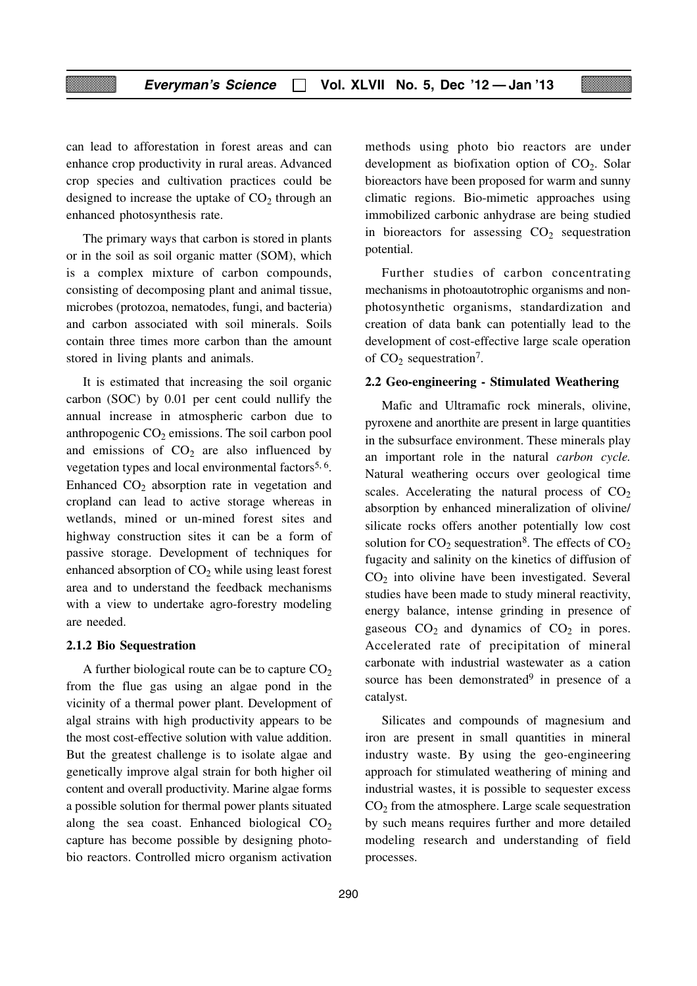can lead to afforestation in forest areas and can enhance crop productivity in rural areas. Advanced crop species and cultivation practices could be designed to increase the uptake of  $CO<sub>2</sub>$  through an enhanced photosynthesis rate.

The primary ways that carbon is stored in plants or in the soil as soil organic matter (SOM), which is a complex mixture of carbon compounds, consisting of decomposing plant and animal tissue, microbes (protozoa, nematodes, fungi, and bacteria) and carbon associated with soil minerals. Soils contain three times more carbon than the amount stored in living plants and animals.

It is estimated that increasing the soil organic carbon (SOC) by 0.01 per cent could nullify the annual increase in atmospheric carbon due to anthropogenic  $CO<sub>2</sub>$  emissions. The soil carbon pool and emissions of  $CO<sub>2</sub>$  are also influenced by vegetation types and local environmental factors<sup>5, 6</sup>. Enhanced  $CO<sub>2</sub>$  absorption rate in vegetation and cropland can lead to active storage whereas in wetlands, mined or un-mined forest sites and highway construction sites it can be a form of passive storage. Development of techniques for enhanced absorption of  $CO<sub>2</sub>$  while using least forest area and to understand the feedback mechanisms with a view to undertake agro-forestry modeling are needed.

#### **2.1.2 Bio Sequestration**

A further biological route can be to capture  $CO<sub>2</sub>$ from the flue gas using an algae pond in the vicinity of a thermal power plant. Development of algal strains with high productivity appears to be the most cost-effective solution with value addition. But the greatest challenge is to isolate algae and genetically improve algal strain for both higher oil content and overall productivity. Marine algae forms a possible solution for thermal power plants situated along the sea coast. Enhanced biological  $CO<sub>2</sub>$ capture has become possible by designing photobio reactors. Controlled micro organism activation

methods using photo bio reactors are under development as biofixation option of  $CO<sub>2</sub>$ . Solar bioreactors have been proposed for warm and sunny climatic regions. Bio-mimetic approaches using immobilized carbonic anhydrase are being studied in bioreactors for assessing  $CO<sub>2</sub>$  sequestration potential.

Further studies of carbon concentrating mechanisms in photoautotrophic organisms and nonphotosynthetic organisms, standardization and creation of data bank can potentially lead to the development of cost-effective large scale operation of  $CO<sub>2</sub>$  sequestration<sup>7</sup>.

#### **2.2 Geo-engineering - Stimulated Weathering**

Mafic and Ultramafic rock minerals, olivine, pyroxene and anorthite are present in large quantities in the subsurface environment. These minerals play an important role in the natural *carbon cycle.* Natural weathering occurs over geological time scales. Accelerating the natural process of  $CO<sub>2</sub>$ absorption by enhanced mineralization of olivine/ silicate rocks offers another potentially low cost solution for  $CO_2$  sequestration<sup>8</sup>. The effects of  $CO_2$ fugacity and salinity on the kinetics of diffusion of  $CO<sub>2</sub>$  into olivine have been investigated. Several studies have been made to study mineral reactivity, energy balance, intense grinding in presence of gaseous  $CO<sub>2</sub>$  and dynamics of  $CO<sub>2</sub>$  in pores. Accelerated rate of precipitation of mineral carbonate with industrial wastewater as a cation source has been demonstrated<sup>9</sup> in presence of a catalyst.

Silicates and compounds of magnesium and iron are present in small quantities in mineral industry waste. By using the geo-engineering approach for stimulated weathering of mining and industrial wastes, it is possible to sequester excess  $CO<sub>2</sub>$  from the atmosphere. Large scale sequestration by such means requires further and more detailed modeling research and understanding of field processes.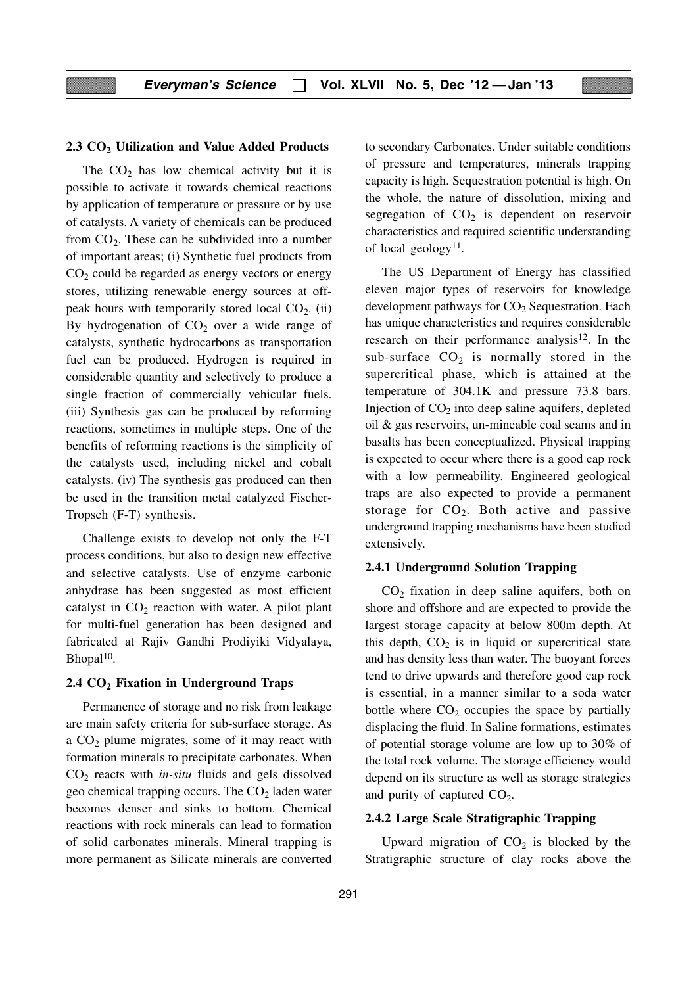#### **2.3 CO2 Utilization and Value Added Products**

The  $CO<sub>2</sub>$  has low chemical activity but it is possible to activate it towards chemical reactions by application of temperature or pressure or by use of catalysts. A variety of chemicals can be produced from  $CO<sub>2</sub>$ . These can be subdivided into a number of important areas; (i) Synthetic fuel products from  $CO<sub>2</sub>$  could be regarded as energy vectors or energy stores, utilizing renewable energy sources at offpeak hours with temporarily stored local  $CO<sub>2</sub>$ . (ii) By hydrogenation of  $CO<sub>2</sub>$  over a wide range of catalysts, synthetic hydrocarbons as transportation fuel can be produced. Hydrogen is required in considerable quantity and selectively to produce a single fraction of commercially vehicular fuels. (iii) Synthesis gas can be produced by reforming reactions, sometimes in multiple steps. One of the benefits of reforming reactions is the simplicity of the catalysts used, including nickel and cobalt catalysts. (iv) The synthesis gas produced can then be used in the transition metal catalyzed Fischer-Tropsch (F-T) synthesis.

Challenge exists to develop not only the F-T process conditions, but also to design new effective and selective catalysts. Use of enzyme carbonic anhydrase has been suggested as most efficient catalyst in  $CO<sub>2</sub>$  reaction with water. A pilot plant for multi-fuel generation has been designed and fabricated at Rajiv Gandhi Prodiyiki Vidyalaya, Bhopal<sup>10</sup>.

#### **2.4 CO2 Fixation in Underground Traps**

Permanence of storage and no risk from leakage are main safety criteria for sub-surface storage. As a  $CO<sub>2</sub>$  plume migrates, some of it may react with formation minerals to precipitate carbonates. When CO<sub>2</sub> reacts with *in-situ* fluids and gels dissolved geo chemical trapping occurs. The  $CO<sub>2</sub>$  laden water becomes denser and sinks to bottom. Chemical reactions with rock minerals can lead to formation of solid carbonates minerals. Mineral trapping is more permanent as Silicate minerals are converted to secondary Carbonates. Under suitable conditions of pressure and temperatures, minerals trapping capacity is high. Sequestration potential is high. On the whole, the nature of dissolution, mixing and segregation of  $CO<sub>2</sub>$  is dependent on reservoir characteristics and required scientific understanding of local geology<sup>11</sup>.

The US Department of Energy has classified eleven major types of reservoirs for knowledge development pathways for  $CO<sub>2</sub>$  Sequestration. Each has unique characteristics and requires considerable research on their performance analysis<sup>12</sup>. In the sub-surface  $CO<sub>2</sub>$  is normally stored in the supercritical phase, which is attained at the temperature of 304.1K and pressure 73.8 bars. Injection of  $CO<sub>2</sub>$  into deep saline aquifers, depleted oil & gas reservoirs, un-mineable coal seams and in basalts has been conceptualized. Physical trapping is expected to occur where there is a good cap rock with a low permeability. Engineered geological traps are also expected to provide a permanent storage for  $CO<sub>2</sub>$ . Both active and passive underground trapping mechanisms have been studied extensively.

#### **2.4.1 Underground Solution Trapping**

 $CO<sub>2</sub>$  fixation in deep saline aquifers, both on shore and offshore and are expected to provide the largest storage capacity at below 800m depth. At this depth,  $CO<sub>2</sub>$  is in liquid or supercritical state and has density less than water. The buoyant forces tend to drive upwards and therefore good cap rock is essential, in a manner similar to a soda water bottle where  $CO<sub>2</sub>$  occupies the space by partially displacing the fluid. In Saline formations, estimates of potential storage volume are low up to 30% of the total rock volume. The storage efficiency would depend on its structure as well as storage strategies and purity of captured  $CO<sub>2</sub>$ .

#### **2.4.2 Large Scale Stratigraphic Trapping**

Upward migration of  $CO<sub>2</sub>$  is blocked by the Stratigraphic structure of clay rocks above the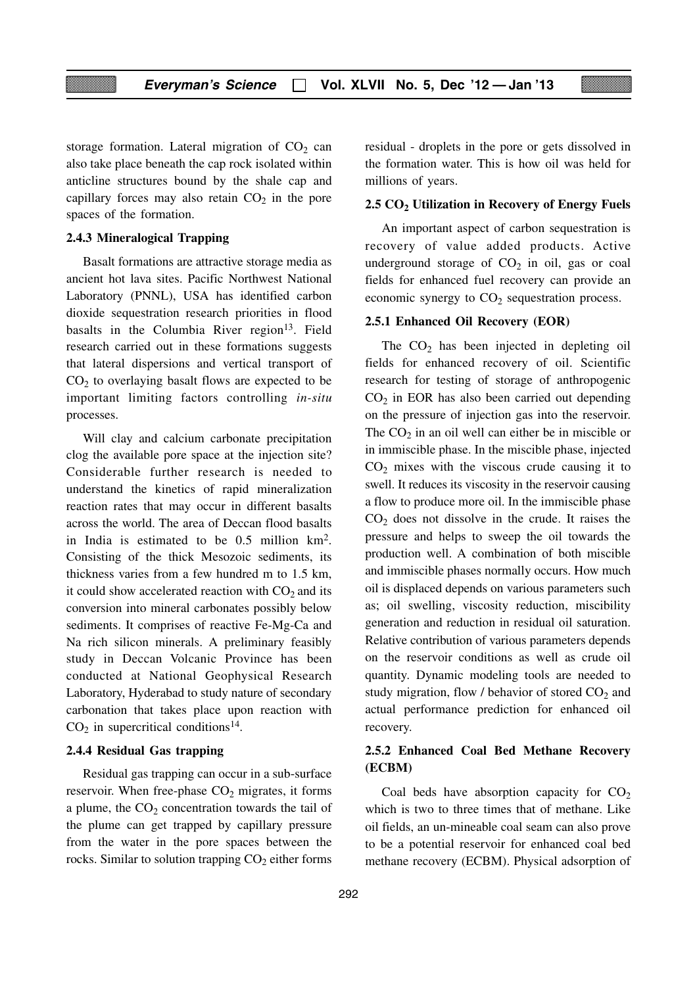storage formation. Lateral migration of  $CO<sub>2</sub>$  can also take place beneath the cap rock isolated within anticline structures bound by the shale cap and capillary forces may also retain  $CO<sub>2</sub>$  in the pore spaces of the formation.

#### **2.4.3 Mineralogical Trapping**

Basalt formations are attractive storage media as ancient hot lava sites. Pacific Northwest National Laboratory (PNNL), USA has identified carbon dioxide sequestration research priorities in flood basalts in the Columbia River region $13$ . Field research carried out in these formations suggests that lateral dispersions and vertical transport of  $CO<sub>2</sub>$  to overlaying basalt flows are expected to be important limiting factors controlling *in-situ* processes.

Will clay and calcium carbonate precipitation clog the available pore space at the injection site? Considerable further research is needed to understand the kinetics of rapid mineralization reaction rates that may occur in different basalts across the world. The area of Deccan flood basalts in India is estimated to be 0.5 million km2. Consisting of the thick Mesozoic sediments, its thickness varies from a few hundred m to 1.5 km, it could show accelerated reaction with  $CO<sub>2</sub>$  and its conversion into mineral carbonates possibly below sediments. It comprises of reactive Fe-Mg-Ca and Na rich silicon minerals. A preliminary feasibly study in Deccan Volcanic Province has been conducted at National Geophysical Research Laboratory, Hyderabad to study nature of secondary carbonation that takes place upon reaction with  $CO<sub>2</sub>$  in supercritical conditions<sup>14</sup>.

#### **2.4.4 Residual Gas trapping**

Residual gas trapping can occur in a sub-surface reservoir. When free-phase  $CO<sub>2</sub>$  migrates, it forms a plume, the  $CO<sub>2</sub>$  concentration towards the tail of the plume can get trapped by capillary pressure from the water in the pore spaces between the rocks. Similar to solution trapping  $CO<sub>2</sub>$  either forms residual - droplets in the pore or gets dissolved in the formation water. This is how oil was held for millions of years.

#### **2.5 CO2 Utilization in Recovery of Energy Fuels**

An important aspect of carbon sequestration is recovery of value added products. Active underground storage of  $CO<sub>2</sub>$  in oil, gas or coal fields for enhanced fuel recovery can provide an economic synergy to  $CO<sub>2</sub>$  sequestration process.

#### **2.5.1 Enhanced Oil Recovery (EOR)**

The  $CO<sub>2</sub>$  has been injected in depleting oil fields for enhanced recovery of oil. Scientific research for testing of storage of anthropogenic  $CO<sub>2</sub>$  in EOR has also been carried out depending on the pressure of injection gas into the reservoir. The  $CO<sub>2</sub>$  in an oil well can either be in miscible or in immiscible phase. In the miscible phase, injected  $CO<sub>2</sub>$  mixes with the viscous crude causing it to swell. It reduces its viscosity in the reservoir causing a flow to produce more oil. In the immiscible phase  $CO<sub>2</sub>$  does not dissolve in the crude. It raises the pressure and helps to sweep the oil towards the production well. A combination of both miscible and immiscible phases normally occurs. How much oil is displaced depends on various parameters such as; oil swelling, viscosity reduction, miscibility generation and reduction in residual oil saturation. Relative contribution of various parameters depends on the reservoir conditions as well as crude oil quantity. Dynamic modeling tools are needed to study migration, flow  $\prime$  behavior of stored CO<sub>2</sub> and actual performance prediction for enhanced oil recovery.

#### **2.5.2 Enhanced Coal Bed Methane Recovery (ECBM)**

Coal beds have absorption capacity for  $CO<sub>2</sub>$ which is two to three times that of methane. Like oil fields, an un-mineable coal seam can also prove to be a potential reservoir for enhanced coal bed methane recovery (ECBM). Physical adsorption of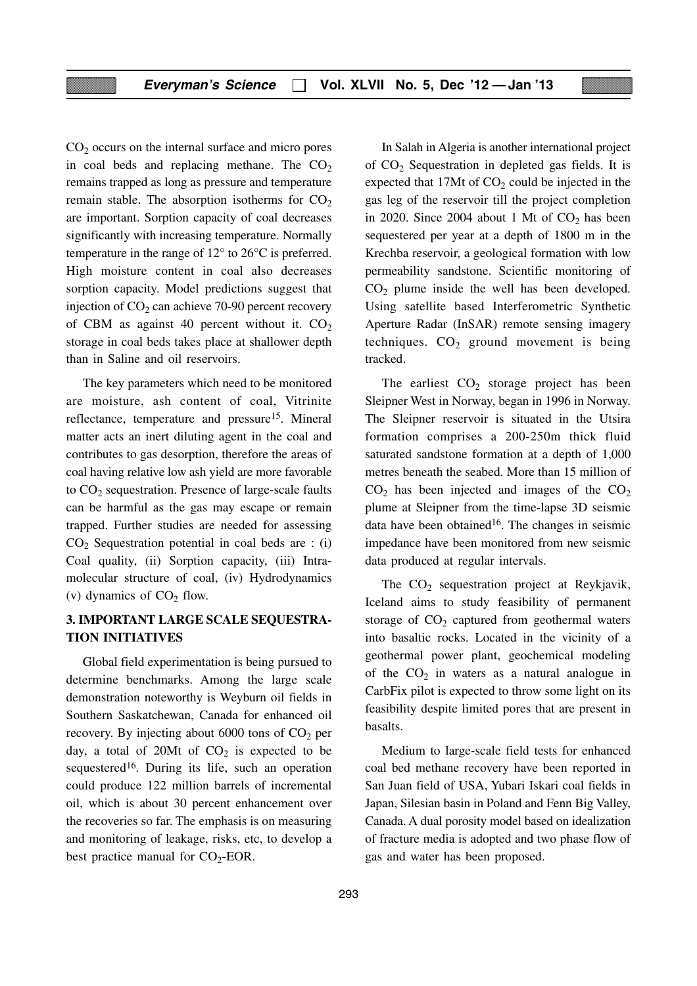$CO<sub>2</sub>$  occurs on the internal surface and micro pores in coal beds and replacing methane. The  $CO<sub>2</sub>$ remains trapped as long as pressure and temperature remain stable. The absorption isotherms for  $CO<sub>2</sub>$ are important. Sorption capacity of coal decreases significantly with increasing temperature. Normally temperature in the range of 12° to 26°C is preferred. High moisture content in coal also decreases sorption capacity. Model predictions suggest that injection of  $CO<sub>2</sub>$  can achieve 70-90 percent recovery of CBM as against 40 percent without it.  $CO<sub>2</sub>$ storage in coal beds takes place at shallower depth than in Saline and oil reservoirs.

The key parameters which need to be monitored are moisture, ash content of coal, Vitrinite reflectance, temperature and pressure<sup>15</sup>. Mineral matter acts an inert diluting agent in the coal and contributes to gas desorption, therefore the areas of coal having relative low ash yield are more favorable to  $CO<sub>2</sub>$  sequestration. Presence of large-scale faults can be harmful as the gas may escape or remain trapped. Further studies are needed for assessing  $CO<sub>2</sub>$  Sequestration potential in coal beds are : (i) Coal quality, (ii) Sorption capacity, (iii) Intramolecular structure of coal, (iv) Hydrodynamics (v) dynamics of  $CO<sub>2</sub>$  flow.

#### **3. IMPORTANT LARGE SCALE SEQUESTRA-TION INITIATIVES**

Global field experimentation is being pursued to determine benchmarks. Among the large scale demonstration noteworthy is Weyburn oil fields in Southern Saskatchewan, Canada for enhanced oil recovery. By injecting about 6000 tons of  $CO<sub>2</sub>$  per day, a total of 20Mt of  $CO<sub>2</sub>$  is expected to be sequestered<sup>16</sup>. During its life, such an operation could produce 122 million barrels of incremental oil, which is about 30 percent enhancement over the recoveries so far. The emphasis is on measuring and monitoring of leakage, risks, etc, to develop a best practice manual for  $CO<sub>2</sub>$ -EOR.

In Salah in Algeria is another international project of CO2 Sequestration in depleted gas fields. It is expected that 17Mt of  $CO<sub>2</sub>$  could be injected in the gas leg of the reservoir till the project completion in 2020. Since 2004 about 1 Mt of  $CO<sub>2</sub>$  has been sequestered per year at a depth of 1800 m in the Krechba reservoir, a geological formation with low permeability sandstone. Scientific monitoring of  $CO<sub>2</sub>$  plume inside the well has been developed. Using satellite based Interferometric Synthetic Aperture Radar (InSAR) remote sensing imagery techniques.  $CO<sub>2</sub>$  ground movement is being tracked.

The earliest  $CO<sub>2</sub>$  storage project has been Sleipner West in Norway, began in 1996 in Norway. The Sleipner reservoir is situated in the Utsira formation comprises a 200-250m thick fluid saturated sandstone formation at a depth of 1,000 metres beneath the seabed. More than 15 million of  $CO<sub>2</sub>$  has been injected and images of the  $CO<sub>2</sub>$ plume at Sleipner from the time-lapse 3D seismic data have been obtained<sup>16</sup>. The changes in seismic impedance have been monitored from new seismic data produced at regular intervals.

The  $CO<sub>2</sub>$  sequestration project at Reykjavik, Iceland aims to study feasibility of permanent storage of  $CO<sub>2</sub>$  captured from geothermal waters into basaltic rocks. Located in the vicinity of a geothermal power plant, geochemical modeling of the  $CO<sub>2</sub>$  in waters as a natural analogue in CarbFix pilot is expected to throw some light on its feasibility despite limited pores that are present in basalts.

Medium to large-scale field tests for enhanced coal bed methane recovery have been reported in San Juan field of USA, Yubari Iskari coal fields in Japan, Silesian basin in Poland and Fenn Big Valley, Canada. A dual porosity model based on idealization of fracture media is adopted and two phase flow of gas and water has been proposed.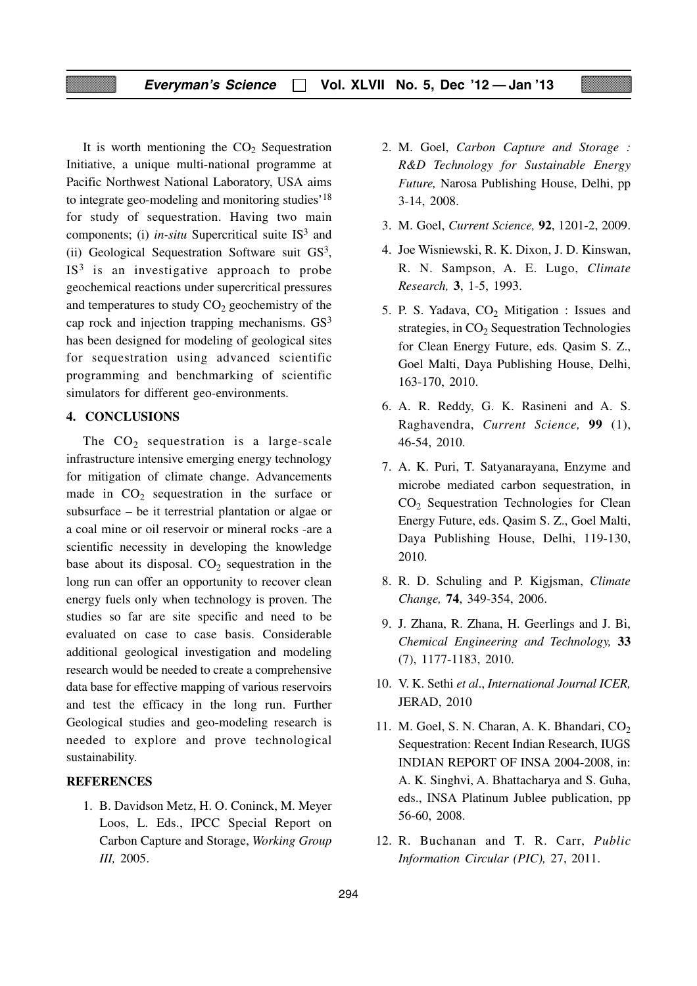It is worth mentioning the  $CO<sub>2</sub>$  Sequestration Initiative, a unique multi-national programme at Pacific Northwest National Laboratory, USA aims to integrate geo-modeling and monitoring studies'18 for study of sequestration. Having two main components; (i) *in-situ* Supercritical suite IS<sup>3</sup> and (ii) Geological Sequestration Software suit GS3,  $IS<sup>3</sup>$  is an investigative approach to probe geochemical reactions under supercritical pressures and temperatures to study  $CO<sub>2</sub>$  geochemistry of the cap rock and injection trapping mechanisms. GS3 has been designed for modeling of geological sites for sequestration using advanced scientific programming and benchmarking of scientific simulators for different geo-environments.

#### **4. CONCLUSIONS**

The  $CO<sub>2</sub>$  sequestration is a large-scale infrastructure intensive emerging energy technology for mitigation of climate change. Advancements made in  $CO<sub>2</sub>$  sequestration in the surface or subsurface – be it terrestrial plantation or algae or a coal mine or oil reservoir or mineral rocks -are a scientific necessity in developing the knowledge base about its disposal.  $CO<sub>2</sub>$  sequestration in the long run can offer an opportunity to recover clean energy fuels only when technology is proven. The studies so far are site specific and need to be evaluated on case to case basis. Considerable additional geological investigation and modeling research would be needed to create a comprehensive data base for effective mapping of various reservoirs and test the efficacy in the long run. Further Geological studies and geo-modeling research is needed to explore and prove technological sustainability.

#### **REFERENCES**

1. B. Davidson Metz, H. O. Coninck, M. Meyer Loos, L. Eds., IPCC Special Report on Carbon Capture and Storage, *Working Group III,* 2005.

- 2. M. Goel, *Carbon Capture and Storage : R&D Technology for Sustainable Energy Future,* Narosa Publishing House, Delhi, pp 3-14, 2008.
- 3. M. Goel, *Current Science,* **92**, 1201-2, 2009.
- 4. Joe Wisniewski, R. K. Dixon, J. D. Kinswan, R. N. Sampson, A. E. Lugo, *Climate Research,* **3**, 1-5, 1993.
- 5. P. S. Yadava,  $CO<sub>2</sub>$  Mitigation : Issues and strategies, in  $CO<sub>2</sub>$  Sequestration Technologies for Clean Energy Future, eds. Qasim S. Z., Goel Malti, Daya Publishing House, Delhi, 163-170, 2010.
- 6. A. R. Reddy, G. K. Rasineni and A. S. Raghavendra, *Current Science,* **99** (1), 46-54, 2010.
- 7. A. K. Puri, T. Satyanarayana, Enzyme and microbe mediated carbon sequestration, in CO2 Sequestration Technologies for Clean Energy Future, eds. Qasim S. Z., Goel Malti, Daya Publishing House, Delhi, 119-130, 2010.
- 8. R. D. Schuling and P. Kigjsman, *Climate Change,* **74**, 349-354, 2006.
- 9. J. Zhana, R. Zhana, H. Geerlings and J. Bi, *Chemical Engineering and Technology,* **33** (7), 1177-1183, 2010.
- 10. V. K. Sethi *et al*., *International Journal ICER,* JERAD, 2010
- 11. M. Goel, S. N. Charan, A. K. Bhandari,  $CO<sub>2</sub>$ Sequestration: Recent Indian Research, IUGS INDIAN REPORT OF INSA 2004-2008, in: A. K. Singhvi, A. Bhattacharya and S. Guha, eds., INSA Platinum Jublee publication, pp 56-60, 2008.
- 12. R. Buchanan and T. R. Carr, *Public Information Circular (PIC),* 27, 2011.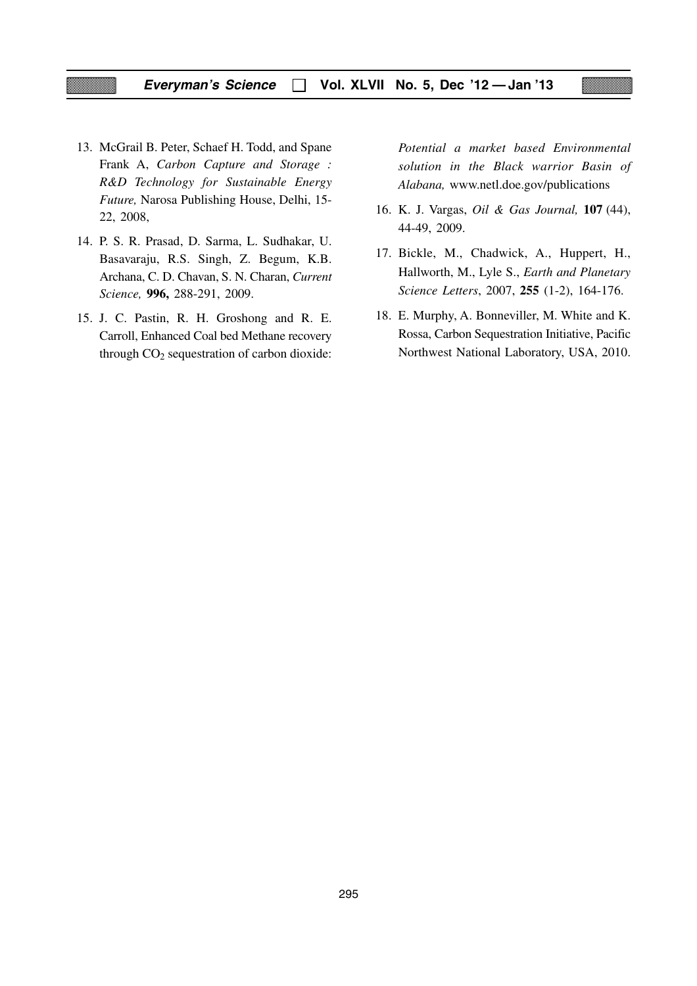- 13. McGrail B. Peter, Schaef H. Todd, and Spane Frank A, *Carbon Capture and Storage : R&D Technology for Sustainable Energy Future,* Narosa Publishing House, Delhi, 15- 22, 2008,
- 14. P. S. R. Prasad, D. Sarma, L. Sudhakar, U. Basavaraju, R.S. Singh, Z. Begum, K.B. Archana, C. D. Chavan, S. N. Charan, *Current Science,* **996,** 288-291, 2009.
- 15. J. C. Pastin, R. H. Groshong and R. E. Carroll, Enhanced Coal bed Methane recovery through  $CO<sub>2</sub>$  sequestration of carbon dioxide:

*Potential a market based Environmental solution in the Black warrior Basin of Alabana,* www.netl.doe.gov/publications

- 16. K. J. Vargas, *Oil & Gas Journal,* **107** (44), 44-49, 2009.
- 17. Bickle, M., Chadwick, A., Huppert, H., Hallworth, M., Lyle S., *Earth and Planetary Science Letters*, 2007, **255** (1-2), 164-176.
- 18. E. Murphy, A. Bonneviller, M. White and K. Rossa, Carbon Sequestration Initiative, Pacific Northwest National Laboratory, USA, 2010.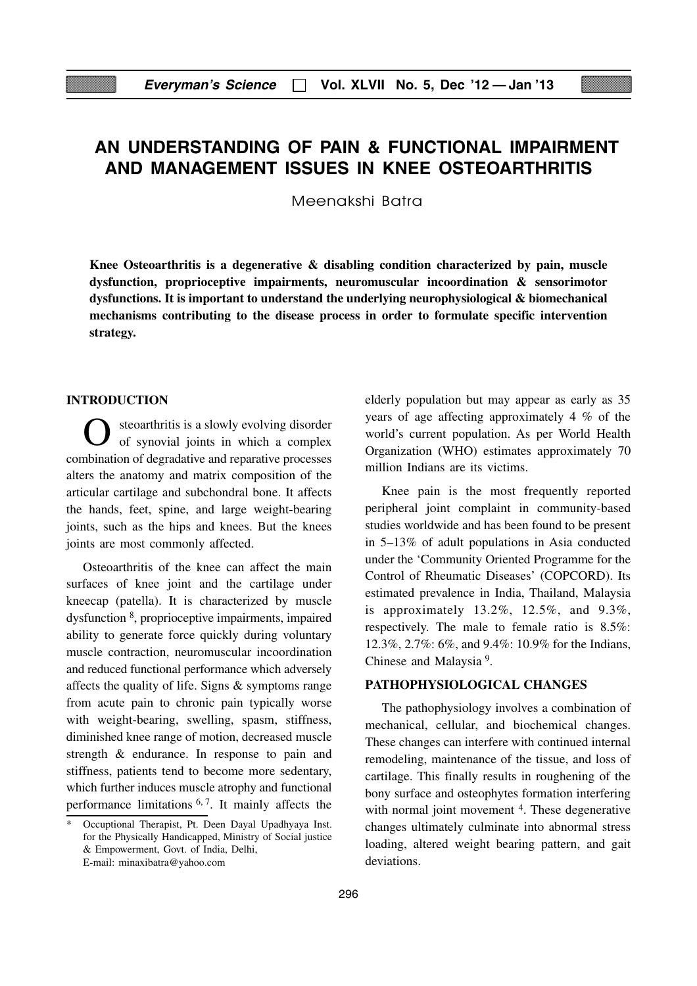## **AN UNDERSTANDING OF PAIN & FUNCTIONAL IMPAIRMENT AND MANAGEMENT ISSUES IN KNEE OSTEOARTHRITIS**

Meenakshi Batra

**Knee Osteoarthritis is a degenerative & disabling condition characterized by pain, muscle dysfunction, proprioceptive impairments, neuromuscular incoordination & sensorimotor dysfunctions. It is important to understand the underlying neurophysiological & biomechanical mechanisms contributing to the disease process in order to formulate specific intervention strategy.**

#### **INTRODUCTION**

O steoarthritis is a slowly evolving disorder of synovial joints in which a complex combination of degradative and reparative processes alters the anatomy and matrix composition of the articular cartilage and subchondral bone. It affects the hands, feet, spine, and large weight-bearing joints, such as the hips and knees. But the knees joints are most commonly affected.

Osteoarthritis of the knee can affect the main surfaces of knee joint and the cartilage under kneecap (patella). It is characterized by muscle dysfunction 8, proprioceptive impairments, impaired ability to generate force quickly during voluntary muscle contraction, neuromuscular incoordination and reduced functional performance which adversely affects the quality of life. Signs & symptoms range from acute pain to chronic pain typically worse with weight-bearing, swelling, spasm, stiffness, diminished knee range of motion, decreased muscle strength & endurance. In response to pain and stiffness, patients tend to become more sedentary, which further induces muscle atrophy and functional performance limitations  $6, 7$ . It mainly affects the

elderly population but may appear as early as 35 years of age affecting approximately 4 % of the world's current population. As per World Health Organization (WHO) estimates approximately 70 million Indians are its victims.

Knee pain is the most frequently reported peripheral joint complaint in community-based studies worldwide and has been found to be present in 5–13% of adult populations in Asia conducted under the 'Community Oriented Programme for the Control of Rheumatic Diseases' (COPCORD). Its estimated prevalence in India, Thailand, Malaysia is approximately 13.2%, 12.5%, and 9.3%, respectively. The male to female ratio is 8.5%: 12.3%, 2.7%: 6%, and 9.4%: 10.9% for the Indians, Chinese and Malaysia 9.

#### **PATHOPHYSIOLOGICAL CHANGES**

The pathophysiology involves a combination of mechanical, cellular, and biochemical changes. These changes can interfere with continued internal remodeling, maintenance of the tissue, and loss of cartilage. This finally results in roughening of the bony surface and osteophytes formation interfering with normal joint movement <sup>4</sup>. These degenerative changes ultimately culminate into abnormal stress loading, altered weight bearing pattern, and gait deviations.

Occuptional Therapist, Pt. Deen Dayal Upadhyaya Inst. for the Physically Handicapped, Ministry of Social justice & Empowerment, Govt. of India, Delhi, E-mail: minaxibatra@yahoo.com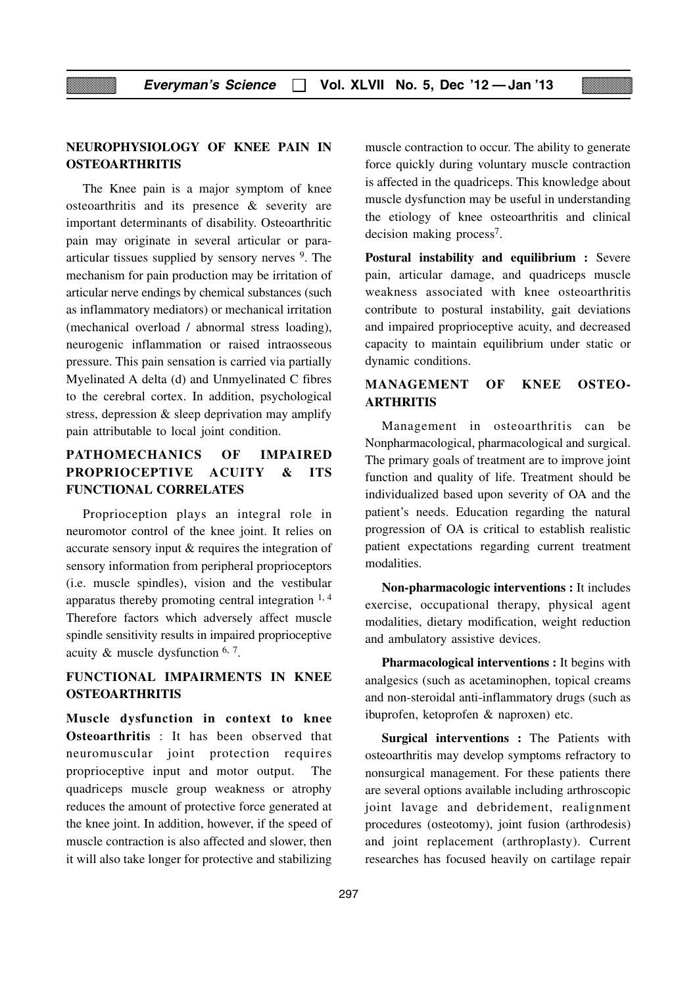#### **NEUROPHYSIOLOGY OF KNEE PAIN IN OSTEOARTHRITIS**

The Knee pain is a major symptom of knee osteoarthritis and its presence & severity are important determinants of disability. Osteoarthritic pain may originate in several articular or paraarticular tissues supplied by sensory nerves 9. The mechanism for pain production may be irritation of articular nerve endings by chemical substances (such as inflammatory mediators) or mechanical irritation (mechanical overload / abnormal stress loading), neurogenic inflammation or raised intraosseous pressure. This pain sensation is carried via partially Myelinated A delta (d) and Unmyelinated C fibres to the cerebral cortex. In addition, psychological stress, depression & sleep deprivation may amplify pain attributable to local joint condition.

## **PATHOMECHANICS OF IMPAIRED PROPRIOCEPTIVE ACUITY & ITS FUNCTIONAL CORRELATES**

Proprioception plays an integral role in neuromotor control of the knee joint. It relies on accurate sensory input & requires the integration of sensory information from peripheral proprioceptors (i.e. muscle spindles), vision and the vestibular apparatus thereby promoting central integration  $1, 4$ Therefore factors which adversely affect muscle spindle sensitivity results in impaired proprioceptive acuity  $\&$  muscle dysfunction  $6, 7$ .

## **FUNCTIONAL IMPAIRMENTS IN KNEE OSTEOARTHRITIS**

**Muscle dysfunction in context to knee Osteoarthritis** : It has been observed that neuromuscular joint protection requires proprioceptive input and motor output. The quadriceps muscle group weakness or atrophy reduces the amount of protective force generated at the knee joint. In addition, however, if the speed of muscle contraction is also affected and slower, then it will also take longer for protective and stabilizing muscle contraction to occur. The ability to generate force quickly during voluntary muscle contraction is affected in the quadriceps. This knowledge about muscle dysfunction may be useful in understanding the etiology of knee osteoarthritis and clinical decision making process7.

**Postural instability and equilibrium :** Severe pain, articular damage, and quadriceps muscle weakness associated with knee osteoarthritis contribute to postural instability, gait deviations and impaired proprioceptive acuity, and decreased capacity to maintain equilibrium under static or dynamic conditions.

#### **MANAGEMENT OF KNEE OSTEO-ARTHRITIS**

Management in osteoarthritis can be Nonpharmacological, pharmacological and surgical. The primary goals of treatment are to improve joint function and quality of life. Treatment should be individualized based upon severity of OA and the patient's needs. Education regarding the natural progression of OA is critical to establish realistic patient expectations regarding current treatment modalities.

**Non-pharmacologic interventions :** It includes exercise, occupational therapy, physical agent modalities, dietary modification, weight reduction and ambulatory assistive devices.

**Pharmacological interventions :** It begins with analgesics (such as acetaminophen, topical creams and non-steroidal anti-inflammatory drugs (such as ibuprofen, ketoprofen & naproxen) etc.

**Surgical interventions :** The Patients with osteoarthritis may develop symptoms refractory to nonsurgical management. For these patients there are several options available including arthroscopic joint lavage and debridement, realignment procedures (osteotomy), joint fusion (arthrodesis) and joint replacement (arthroplasty). Current researches has focused heavily on cartilage repair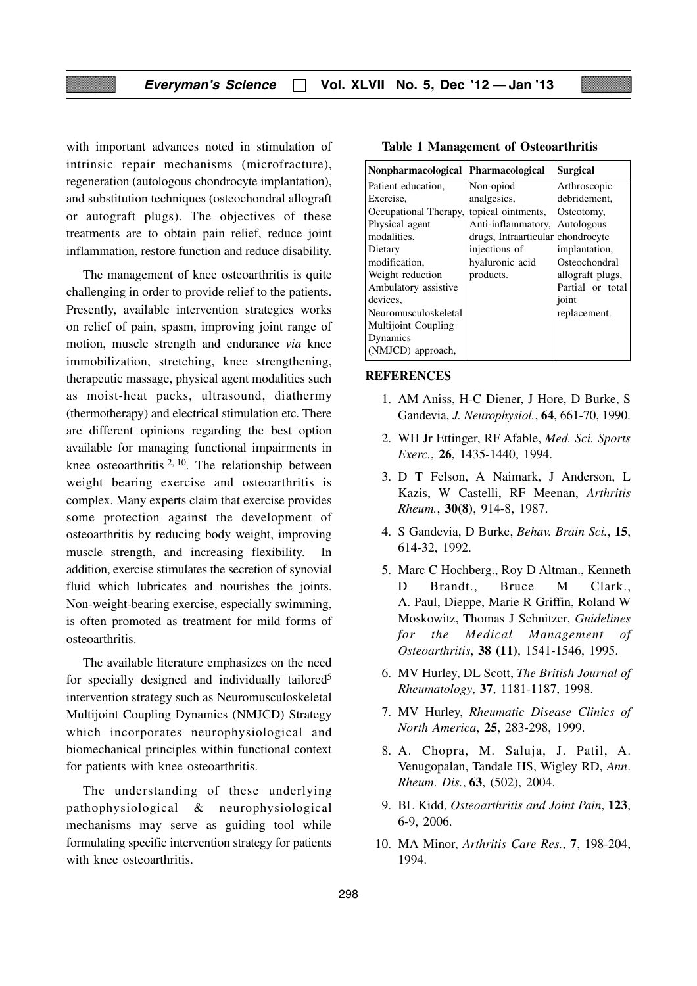with important advances noted in stimulation of intrinsic repair mechanisms (microfracture), regeneration (autologous chondrocyte implantation), and substitution techniques (osteochondral allograft or autograft plugs). The objectives of these treatments are to obtain pain relief, reduce joint inflammation, restore function and reduce disability.

The management of knee osteoarthritis is quite challenging in order to provide relief to the patients. Presently, available intervention strategies works on relief of pain, spasm, improving joint range of motion, muscle strength and endurance *via* knee immobilization, stretching, knee strengthening, therapeutic massage, physical agent modalities such as moist-heat packs, ultrasound, diathermy (thermotherapy) and electrical stimulation etc. There are different opinions regarding the best option available for managing functional impairments in knee osteoarthritis <sup>2, 10</sup>. The relationship between weight bearing exercise and osteoarthritis is complex. Many experts claim that exercise provides some protection against the development of osteoarthritis by reducing body weight, improving muscle strength, and increasing flexibility. In addition, exercise stimulates the secretion of synovial fluid which lubricates and nourishes the joints. Non-weight-bearing exercise, especially swimming, is often promoted as treatment for mild forms of osteoarthritis.

The available literature emphasizes on the need for specially designed and individually tailored<sup>5</sup> intervention strategy such as Neuromusculoskeletal Multijoint Coupling Dynamics (NMJCD) Strategy which incorporates neurophysiological and biomechanical principles within functional context for patients with knee osteoarthritis.

The understanding of these underlying pathophysiological & neurophysiological mechanisms may serve as guiding tool while formulating specific intervention strategy for patients with knee osteoarthritis.

| <b>Nonpharmacological</b>  | <b>Pharmacological</b> | <b>Surgical</b>  |
|----------------------------|------------------------|------------------|
| Patient education,         | Non-opiod              | Arthroscopic     |
| Exercise.                  | analgesics,            | debridement,     |
| Occupational Therapy,      | topical ointments,     | Osteotomy,       |
| Physical agent             | Anti-inflammatory,     | Autologous       |
| modalities,                | drugs, Intraarticular  | chondrocyte      |
| Dietary                    | injections of          | implantation,    |
| modification.              | hyaluronic acid        | Osteochondral    |
| Weight reduction           | products.              | allograft plugs, |
| Ambulatory assistive       |                        | Partial or total |
| devices.                   |                        | joint            |
| Neuromusculoskeletal       |                        | replacement.     |
| <b>Multijoint Coupling</b> |                        |                  |
| Dynamics                   |                        |                  |
| (NMJCD) approach,          |                        |                  |

#### **Table 1 Management of Osteoarthritis**

#### **REFERENCES**

- 1. AM Aniss, H-C Diener, J Hore, D Burke, S Gandevia, *J. Neurophysiol.*, **64**, 661-70, 1990.
- 2. WH Jr Ettinger, RF Afable, *Med. Sci. Sports Exerc.*, **26**, 1435-1440, 1994.
- 3. D T Felson, A Naimark, J Anderson, L Kazis, W Castelli, RF Meenan, *Arthritis Rheum.*, **30(8)**, 914-8, 1987.
- 4. S Gandevia, D Burke, *Behav. Brain Sci.*, **15**, 614-32, 1992.
- 5. Marc C Hochberg., Roy D Altman., Kenneth D Brandt., Bruce M Clark., A. Paul, Dieppe, Marie R Griffin, Roland W Moskowitz, Thomas J Schnitzer, *Guidelines for the Medical Management of Osteoarthritis*, **38 (11)**, 1541-1546, 1995.
- 6. MV Hurley, DL Scott, *The British Journal of Rheumatology*, **37**, 1181-1187, 1998.
- 7. MV Hurley, *Rheumatic Disease Clinics of North America*, **25**, 283-298, 1999.
- 8. A. Chopra, M. Saluja, J. Patil, A. Venugopalan, Tandale HS, Wigley RD, *Ann*. *Rheum*. *Dis.*, **63**, (502), 2004.
- 9. BL Kidd, *Osteoarthritis and Joint Pain*, **123**, 6-9, 2006.
- 10. MA Minor, *Arthritis Care Res.*, **7**, 198-204, 1994.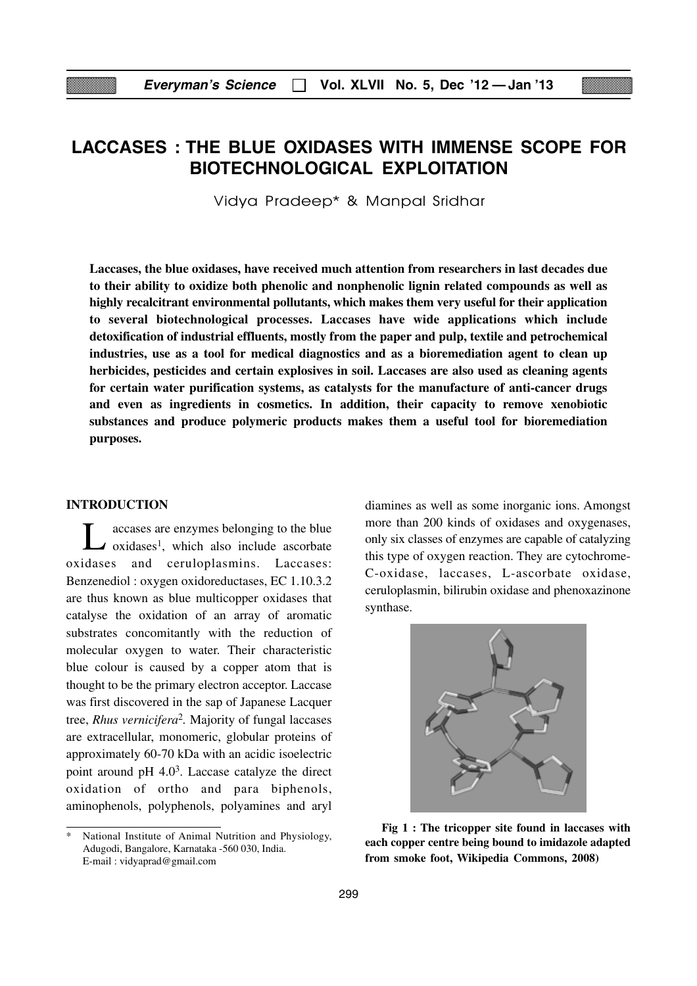## **LACCASES : THE BLUE OXIDASES WITH IMMENSE SCOPE FOR BIOTECHNOLOGICAL EXPLOITATION**

Vidya Pradeep\* & Manpal Sridhar

**Laccases, the blue oxidases, have received much attention from researchers in last decades due to their ability to oxidize both phenolic and nonphenolic lignin related compounds as well as highly recalcitrant environmental pollutants, which makes them very useful for their application to several biotechnological processes. Laccases have wide applications which include detoxification of industrial effluents, mostly from the paper and pulp, textile and petrochemical industries, use as a tool for medical diagnostics and as a bioremediation agent to clean up herbicides, pesticides and certain explosives in soil. Laccases are also used as cleaning agents for certain water purification systems, as catalysts for the manufacture of anti-cancer drugs and even as ingredients in cosmetics. In addition, their capacity to remove xenobiotic substances and produce polymeric products makes them a useful tool for bioremediation purposes.**

#### **INTRODUCTION**

Laccases are enzymes belonging to the blue<br>oxidases<sup>1</sup>, which also include ascorbate oxidases and ceruloplasmins. Laccases: Benzenediol : oxygen oxidoreductases, EC 1.10.3.2 are thus known as blue multicopper oxidases that catalyse the oxidation of an array of aromatic substrates concomitantly with the reduction of molecular oxygen to water. Their characteristic blue colour is caused by a copper atom that is thought to be the primary electron acceptor. Laccase was first discovered in the sap of Japanese Lacquer tree, *Rhus vernicifera*2*.* Majority of fungal laccases are extracellular, monomeric, globular proteins of approximately 60-70 kDa with an acidic isoelectric point around pH 4.03. Laccase catalyze the direct oxidation of ortho and para biphenols, aminophenols, polyphenols, polyamines and aryl

National Institute of Animal Nutrition and Physiology, Adugodi, Bangalore, Karnataka -560 030, India. E-mail : vidyaprad@gmail.com

diamines as well as some inorganic ions. Amongst more than 200 kinds of oxidases and oxygenases, only six classes of enzymes are capable of catalyzing this type of oxygen reaction. They are cytochrome-C-oxidase, laccases, L-ascorbate oxidase, ceruloplasmin, bilirubin oxidase and phenoxazinone synthase.



**Fig 1 : The tricopper site found in laccases with each copper centre being bound to imidazole adapted from smoke foot, Wikipedia Commons, 2008)**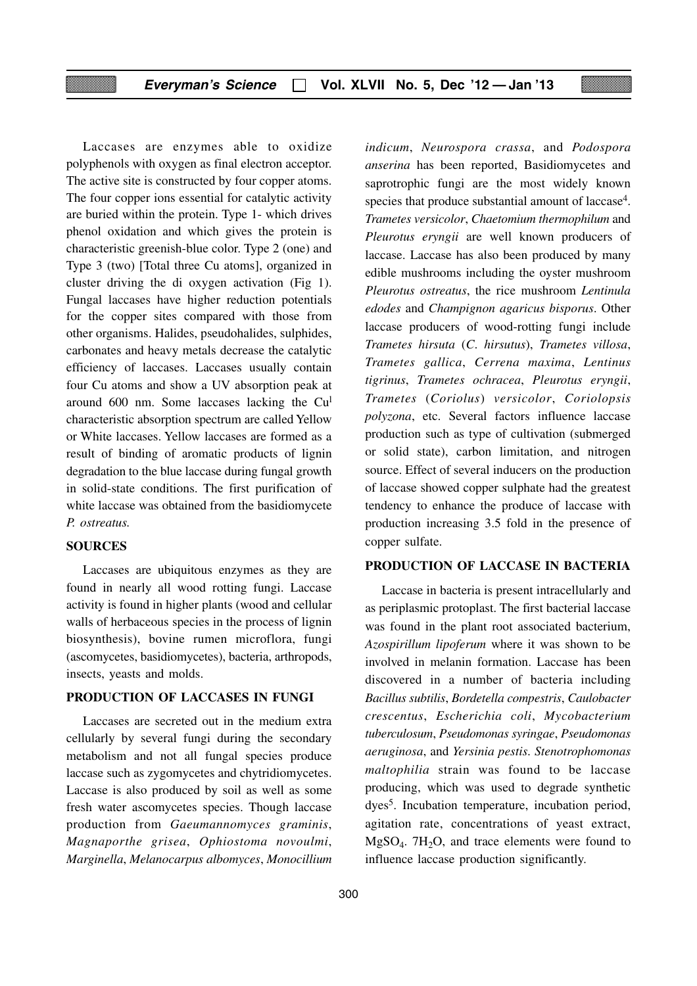Laccases are enzymes able to oxidize polyphenols with oxygen as final electron acceptor. The active site is constructed by four copper atoms. The four copper ions essential for catalytic activity are buried within the protein. Type 1- which drives phenol oxidation and which gives the protein is characteristic greenish-blue color. Type 2 (one) and Type 3 (two) [Total three Cu atoms], organized in cluster driving the di oxygen activation (Fig 1). Fungal laccases have higher reduction potentials for the copper sites compared with those from other organisms. Halides, pseudohalides, sulphides, carbonates and heavy metals decrease the catalytic efficiency of laccases. Laccases usually contain four Cu atoms and show a UV absorption peak at around 600 nm. Some laccases lacking the Cul characteristic absorption spectrum are called Yellow or White laccases. Yellow laccases are formed as a result of binding of aromatic products of lignin degradation to the blue laccase during fungal growth in solid-state conditions. The first purification of white laccase was obtained from the basidiomycete *P. ostreatus.*

#### **SOURCES**

Laccases are ubiquitous enzymes as they are found in nearly all wood rotting fungi. Laccase activity is found in higher plants (wood and cellular walls of herbaceous species in the process of lignin biosynthesis), bovine rumen microflora, fungi (ascomycetes, basidiomycetes), bacteria, arthropods, insects, yeasts and molds.

#### **PRODUCTION OF LACCASES IN FUNGI**

Laccases are secreted out in the medium extra cellularly by several fungi during the secondary metabolism and not all fungal species produce laccase such as zygomycetes and chytridiomycetes. Laccase is also produced by soil as well as some fresh water ascomycetes species. Though laccase production from *Gaeumannomyces graminis*, *Magnaporthe grisea*, *Ophiostoma novoulmi*, *Marginella*, *Melanocarpus albomyces*, *Monocillium* *indicum*, *Neurospora crassa*, and *Podospora anserina* has been reported, Basidiomycetes and saprotrophic fungi are the most widely known species that produce substantial amount of laccase<sup>4</sup>. *Trametes versicolor*, *Chaetomium thermophilum* and *Pleurotus eryngii* are well known producers of laccase. Laccase has also been produced by many edible mushrooms including the oyster mushroom *Pleurotus ostreatus*, the rice mushroom *Lentinula edodes* and *Champignon agaricus bisporus*. Other laccase producers of wood-rotting fungi include *Trametes hirsuta* (*C*. *hirsutus*), *Trametes villosa*, *Trametes gallica*, *Cerrena maxima*, *Lentinus tigrinus*, *Trametes ochracea*, *Pleurotus eryngii*, *Trametes* (*Coriolus*) *versicolor*, *Coriolopsis polyzona*, etc. Several factors influence laccase production such as type of cultivation (submerged or solid state), carbon limitation, and nitrogen source. Effect of several inducers on the production of laccase showed copper sulphate had the greatest tendency to enhance the produce of laccase with production increasing 3.5 fold in the presence of copper sulfate.

#### **PRODUCTION OF LACCASE IN BACTERIA**

Laccase in bacteria is present intracellularly and as periplasmic protoplast. The first bacterial laccase was found in the plant root associated bacterium, *Azospirillum lipoferum* where it was shown to be involved in melanin formation. Laccase has been discovered in a number of bacteria including *Bacillus subtilis*, *Bordetella compestris*, *Caulobacter crescentus*, *Escherichia coli*, *Mycobacterium tuberculosum*, *Pseudomonas syringae*, *Pseudomonas aeruginosa*, and *Yersinia pestis*. *Stenotrophomonas maltophilia* strain was found to be laccase producing, which was used to degrade synthetic dyes5. Incubation temperature, incubation period, agitation rate, concentrations of yeast extract,  $MgSO<sub>4</sub>$ . 7H<sub>2</sub>O, and trace elements were found to influence laccase production significantly.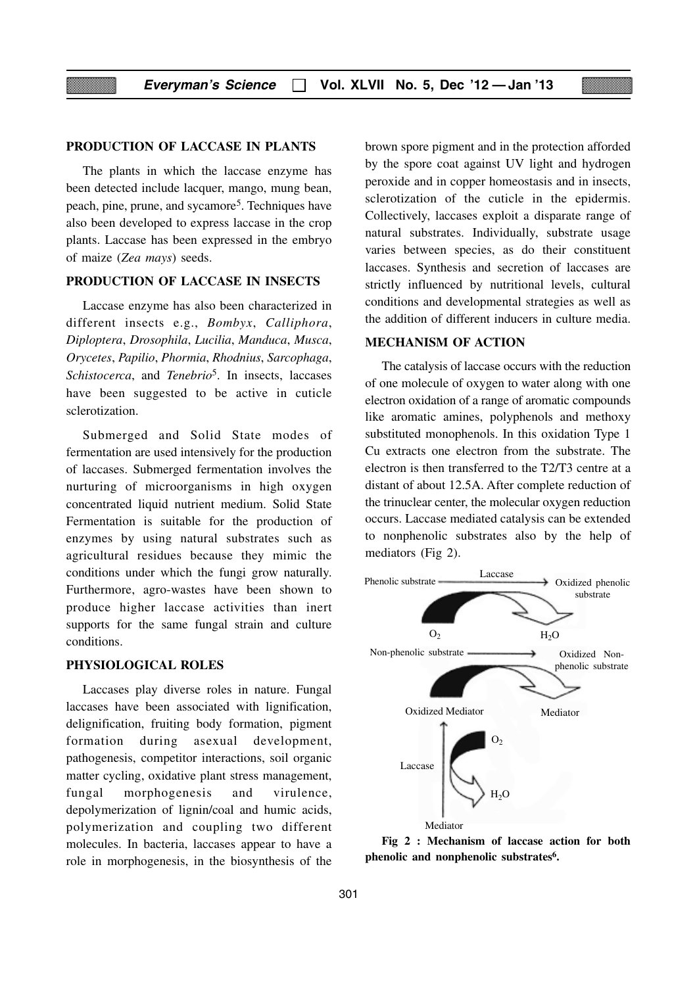#### **PRODUCTION OF LACCASE IN PLANTS**

The plants in which the laccase enzyme has been detected include lacquer, mango, mung bean, peach, pine, prune, and sycamore5. Techniques have also been developed to express laccase in the crop plants. Laccase has been expressed in the embryo of maize (*Zea mays*) seeds.

#### **PRODUCTION OF LACCASE IN INSECTS**

Laccase enzyme has also been characterized in different insects e.g., *Bombyx*, *Calliphora*, *Diploptera*, *Drosophila*, *Lucilia*, *Manduca*, *Musca*, *Orycetes*, *Papilio*, *Phormia*, *Rhodnius*, *Sarcophaga*, *Schistocerca*, and *Tenebrio*5. In insects, laccases have been suggested to be active in cuticle sclerotization.

Submerged and Solid State modes of fermentation are used intensively for the production of laccases. Submerged fermentation involves the nurturing of microorganisms in high oxygen concentrated liquid nutrient medium. Solid State Fermentation is suitable for the production of enzymes by using natural substrates such as agricultural residues because they mimic the conditions under which the fungi grow naturally. Furthermore, agro-wastes have been shown to produce higher laccase activities than inert supports for the same fungal strain and culture conditions.

#### **PHYSIOLOGICAL ROLES**

Laccases play diverse roles in nature. Fungal laccases have been associated with lignification, delignification, fruiting body formation, pigment formation during asexual development, pathogenesis, competitor interactions, soil organic matter cycling, oxidative plant stress management, fungal morphogenesis and virulence, depolymerization of lignin/coal and humic acids, polymerization and coupling two different molecules. In bacteria, laccases appear to have a role in morphogenesis, in the biosynthesis of the

brown spore pigment and in the protection afforded by the spore coat against UV light and hydrogen peroxide and in copper homeostasis and in insects, sclerotization of the cuticle in the epidermis. Collectively, laccases exploit a disparate range of natural substrates. Individually, substrate usage varies between species, as do their constituent laccases. Synthesis and secretion of laccases are strictly influenced by nutritional levels, cultural conditions and developmental strategies as well as the addition of different inducers in culture media.

#### **MECHANISM OF ACTION**

The catalysis of laccase occurs with the reduction of one molecule of oxygen to water along with one electron oxidation of a range of aromatic compounds like aromatic amines, polyphenols and methoxy substituted monophenols. In this oxidation Type 1 Cu extracts one electron from the substrate. The electron is then transferred to the T2/T3 centre at a distant of about 12.5A. After complete reduction of the trinuclear center, the molecular oxygen reduction occurs. Laccase mediated catalysis can be extended to nonphenolic substrates also by the help of mediators (Fig 2).



**Fig 2 : Mechanism of laccase action for both phenolic and nonphenolic substrates6.**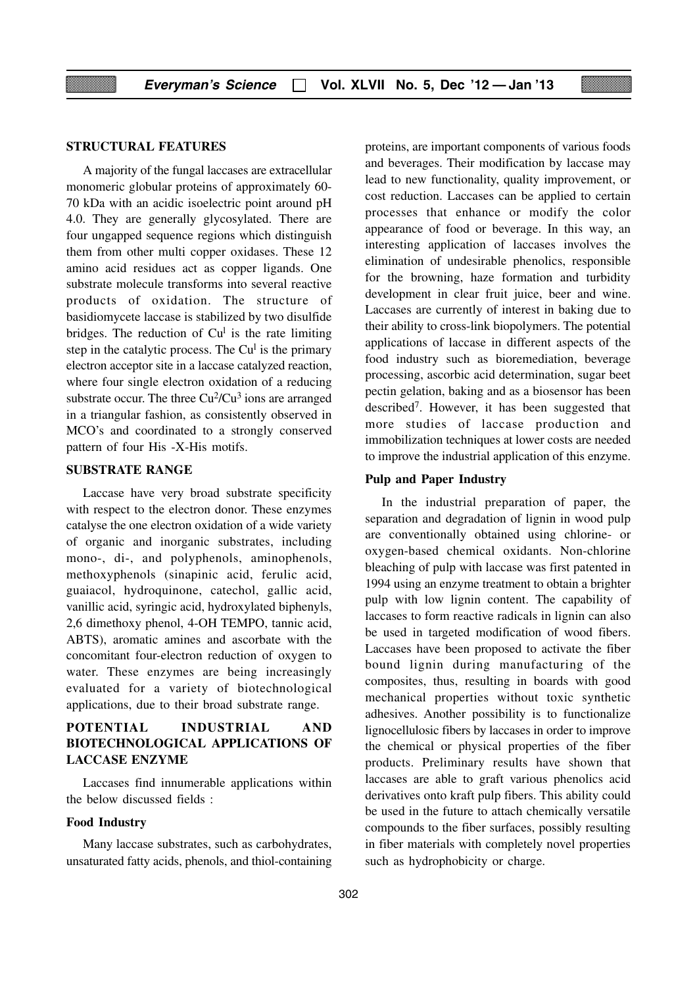#### **STRUCTURAL FEATURES**

A majority of the fungal laccases are extracellular monomeric globular proteins of approximately 60- 70 kDa with an acidic isoelectric point around pH 4.0. They are generally glycosylated. There are four ungapped sequence regions which distinguish them from other multi copper oxidases. These 12 amino acid residues act as copper ligands. One substrate molecule transforms into several reactive products of oxidation. The structure of basidiomycete laccase is stabilized by two disulfide bridges. The reduction of  $Cu<sup>1</sup>$  is the rate limiting step in the catalytic process. The Cu<sup>1</sup> is the primary electron acceptor site in a laccase catalyzed reaction, where four single electron oxidation of a reducing substrate occur. The three  $Cu^2/Cu^3$  ions are arranged in a triangular fashion, as consistently observed in MCO's and coordinated to a strongly conserved pattern of four His -X-His motifs.

#### **SUBSTRATE RANGE**

Laccase have very broad substrate specificity with respect to the electron donor. These enzymes catalyse the one electron oxidation of a wide variety of organic and inorganic substrates, including mono-, di-, and polyphenols, aminophenols, methoxyphenols (sinapinic acid, ferulic acid, guaiacol, hydroquinone, catechol, gallic acid, vanillic acid, syringic acid, hydroxylated biphenyls, 2,6 dimethoxy phenol, 4-OH TEMPO, tannic acid, ABTS), aromatic amines and ascorbate with the concomitant four-electron reduction of oxygen to water. These enzymes are being increasingly evaluated for a variety of biotechnological applications, due to their broad substrate range.

#### **POTENTIAL INDUSTRIAL AND BIOTECHNOLOGICAL APPLICATIONS OF LACCASE ENZYME**

Laccases find innumerable applications within the below discussed fields :

#### **Food Industry**

Many laccase substrates, such as carbohydrates, unsaturated fatty acids, phenols, and thiol-containing proteins, are important components of various foods and beverages. Their modification by laccase may lead to new functionality, quality improvement, or cost reduction. Laccases can be applied to certain processes that enhance or modify the color appearance of food or beverage. In this way, an interesting application of laccases involves the elimination of undesirable phenolics, responsible for the browning, haze formation and turbidity development in clear fruit juice, beer and wine. Laccases are currently of interest in baking due to their ability to cross-link biopolymers. The potential applications of laccase in different aspects of the food industry such as bioremediation, beverage processing, ascorbic acid determination, sugar beet pectin gelation, baking and as a biosensor has been described7. However, it has been suggested that more studies of laccase production and immobilization techniques at lower costs are needed to improve the industrial application of this enzyme.

#### **Pulp and Paper Industry**

In the industrial preparation of paper, the separation and degradation of lignin in wood pulp are conventionally obtained using chlorine- or oxygen-based chemical oxidants. Non-chlorine bleaching of pulp with laccase was first patented in 1994 using an enzyme treatment to obtain a brighter pulp with low lignin content. The capability of laccases to form reactive radicals in lignin can also be used in targeted modification of wood fibers. Laccases have been proposed to activate the fiber bound lignin during manufacturing of the composites, thus, resulting in boards with good mechanical properties without toxic synthetic adhesives. Another possibility is to functionalize lignocellulosic fibers by laccases in order to improve the chemical or physical properties of the fiber products. Preliminary results have shown that laccases are able to graft various phenolics acid derivatives onto kraft pulp fibers. This ability could be used in the future to attach chemically versatile compounds to the fiber surfaces, possibly resulting in fiber materials with completely novel properties such as hydrophobicity or charge.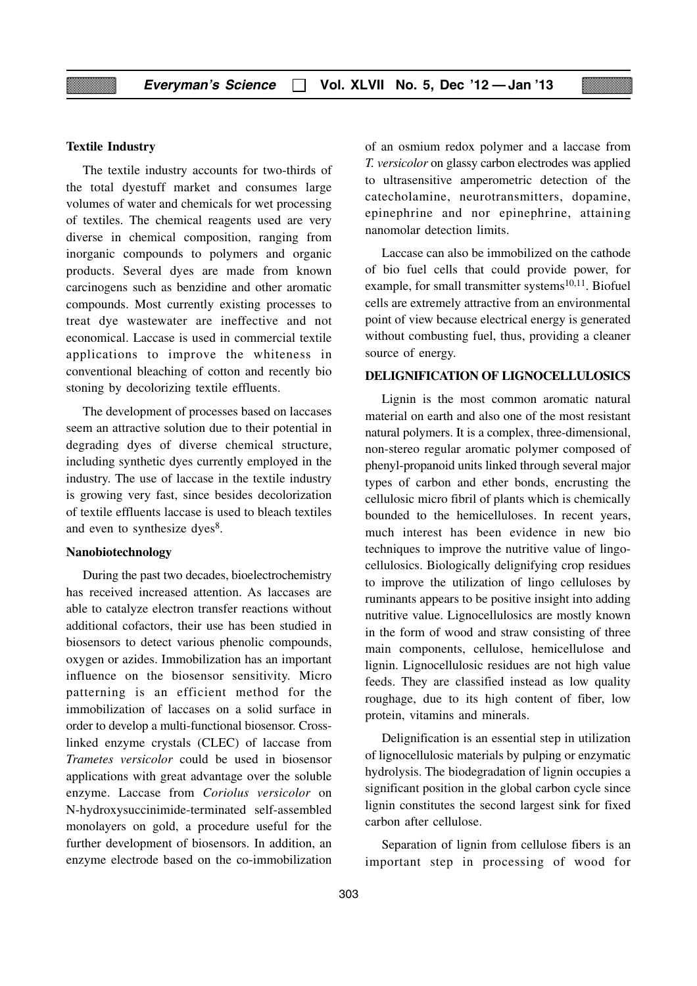#### **Textile Industry**

The textile industry accounts for two-thirds of the total dyestuff market and consumes large volumes of water and chemicals for wet processing of textiles. The chemical reagents used are very diverse in chemical composition, ranging from inorganic compounds to polymers and organic products. Several dyes are made from known carcinogens such as benzidine and other aromatic compounds. Most currently existing processes to treat dye wastewater are ineffective and not economical. Laccase is used in commercial textile applications to improve the whiteness in conventional bleaching of cotton and recently bio stoning by decolorizing textile effluents.

The development of processes based on laccases seem an attractive solution due to their potential in degrading dyes of diverse chemical structure, including synthetic dyes currently employed in the industry. The use of laccase in the textile industry is growing very fast, since besides decolorization of textile effluents laccase is used to bleach textiles and even to synthesize dyes<sup>8</sup>.

#### **Nanobiotechnology**

During the past two decades, bioelectrochemistry has received increased attention. As laccases are able to catalyze electron transfer reactions without additional cofactors, their use has been studied in biosensors to detect various phenolic compounds, oxygen or azides. Immobilization has an important influence on the biosensor sensitivity. Micro patterning is an efficient method for the immobilization of laccases on a solid surface in order to develop a multi-functional biosensor. Crosslinked enzyme crystals (CLEC) of laccase from *Trametes versicolor* could be used in biosensor applications with great advantage over the soluble enzyme. Laccase from *Coriolus versicolor* on N-hydroxysuccinimide-terminated self-assembled monolayers on gold, a procedure useful for the further development of biosensors. In addition, an enzyme electrode based on the co-immobilization of an osmium redox polymer and a laccase from *T. versicolor* on glassy carbon electrodes was applied to ultrasensitive amperometric detection of the catecholamine, neurotransmitters, dopamine, epinephrine and nor epinephrine, attaining nanomolar detection limits.

Laccase can also be immobilized on the cathode of bio fuel cells that could provide power, for example, for small transmitter systems $10,11$ . Biofuel cells are extremely attractive from an environmental point of view because electrical energy is generated without combusting fuel, thus, providing a cleaner source of energy.

#### **DELIGNIFICATION OF LIGNOCELLULOSICS**

Lignin is the most common aromatic natural material on earth and also one of the most resistant natural polymers. It is a complex, three-dimensional, non-stereo regular aromatic polymer composed of phenyl-propanoid units linked through several major types of carbon and ether bonds, encrusting the cellulosic micro fibril of plants which is chemically bounded to the hemicelluloses. In recent years, much interest has been evidence in new bio techniques to improve the nutritive value of lingocellulosics. Biologically delignifying crop residues to improve the utilization of lingo celluloses by ruminants appears to be positive insight into adding nutritive value. Lignocellulosics are mostly known in the form of wood and straw consisting of three main components, cellulose, hemicellulose and lignin. Lignocellulosic residues are not high value feeds. They are classified instead as low quality roughage, due to its high content of fiber, low protein, vitamins and minerals.

Delignification is an essential step in utilization of lignocellulosic materials by pulping or enzymatic hydrolysis. The biodegradation of lignin occupies a significant position in the global carbon cycle since lignin constitutes the second largest sink for fixed carbon after cellulose.

Separation of lignin from cellulose fibers is an important step in processing of wood for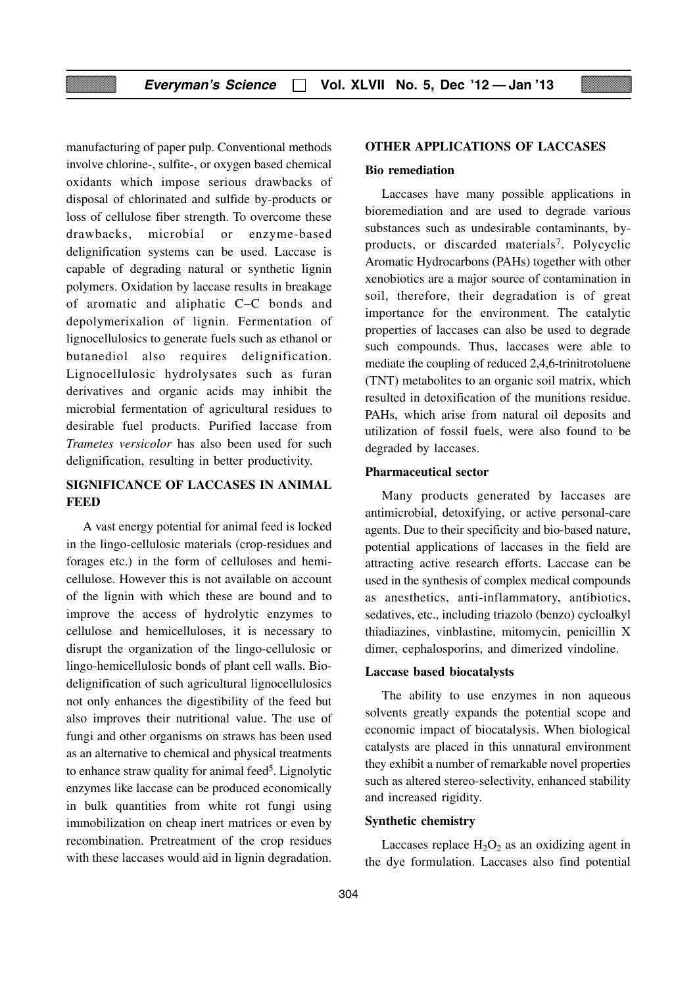manufacturing of paper pulp. Conventional methods involve chlorine-, sulfite-, or oxygen based chemical oxidants which impose serious drawbacks of disposal of chlorinated and sulfide by-products or loss of cellulose fiber strength. To overcome these drawbacks, microbial or enzyme-based delignification systems can be used. Laccase is capable of degrading natural or synthetic lignin polymers. Oxidation by laccase results in breakage of aromatic and aliphatic C–C bonds and depolymerixalion of lignin. Fermentation of lignocellulosics to generate fuels such as ethanol or butanediol also requires delignification. Lignocellulosic hydrolysates such as furan derivatives and organic acids may inhibit the microbial fermentation of agricultural residues to desirable fuel products. Purified laccase from *Trametes versicolor* has also been used for such delignification, resulting in better productivity.

### **SIGNIFICANCE OF LACCASES IN ANIMAL FEED**

A vast energy potential for animal feed is locked in the lingo-cellulosic materials (crop-residues and forages etc.) in the form of celluloses and hemicellulose. However this is not available on account of the lignin with which these are bound and to improve the access of hydrolytic enzymes to cellulose and hemicelluloses, it is necessary to disrupt the organization of the lingo-cellulosic or lingo-hemicellulosic bonds of plant cell walls. Biodelignification of such agricultural lignocellulosics not only enhances the digestibility of the feed but also improves their nutritional value. The use of fungi and other organisms on straws has been used as an alternative to chemical and physical treatments to enhance straw quality for animal feed<sup>5</sup>. Lignolytic enzymes like laccase can be produced economically in bulk quantities from white rot fungi using immobilization on cheap inert matrices or even by recombination. Pretreatment of the crop residues with these laccases would aid in lignin degradation.

#### **OTHER APPLICATIONS OF LACCASES**

#### **Bio remediation**

Laccases have many possible applications in bioremediation and are used to degrade various substances such as undesirable contaminants, byproducts, or discarded materials<sup>7</sup>. Polycyclic Aromatic Hydrocarbons (PAHs) together with other xenobiotics are a major source of contamination in soil, therefore, their degradation is of great importance for the environment. The catalytic properties of laccases can also be used to degrade such compounds. Thus, laccases were able to mediate the coupling of reduced 2,4,6-trinitrotoluene (TNT) metabolites to an organic soil matrix, which resulted in detoxification of the munitions residue. PAHs, which arise from natural oil deposits and utilization of fossil fuels, were also found to be degraded by laccases.

#### **Pharmaceutical sector**

Many products generated by laccases are antimicrobial, detoxifying, or active personal-care agents. Due to their specificity and bio-based nature, potential applications of laccases in the field are attracting active research efforts. Laccase can be used in the synthesis of complex medical compounds as anesthetics, anti-inflammatory, antibiotics, sedatives, etc., including triazolo (benzo) cycloalkyl thiadiazines, vinblastine, mitomycin, penicillin X dimer, cephalosporins, and dimerized vindoline.

#### **Laccase based biocatalysts**

The ability to use enzymes in non aqueous solvents greatly expands the potential scope and economic impact of biocatalysis. When biological catalysts are placed in this unnatural environment they exhibit a number of remarkable novel properties such as altered stereo-selectivity, enhanced stability and increased rigidity.

#### **Synthetic chemistry**

Laccases replace  $H_2O_2$  as an oxidizing agent in the dye formulation. Laccases also find potential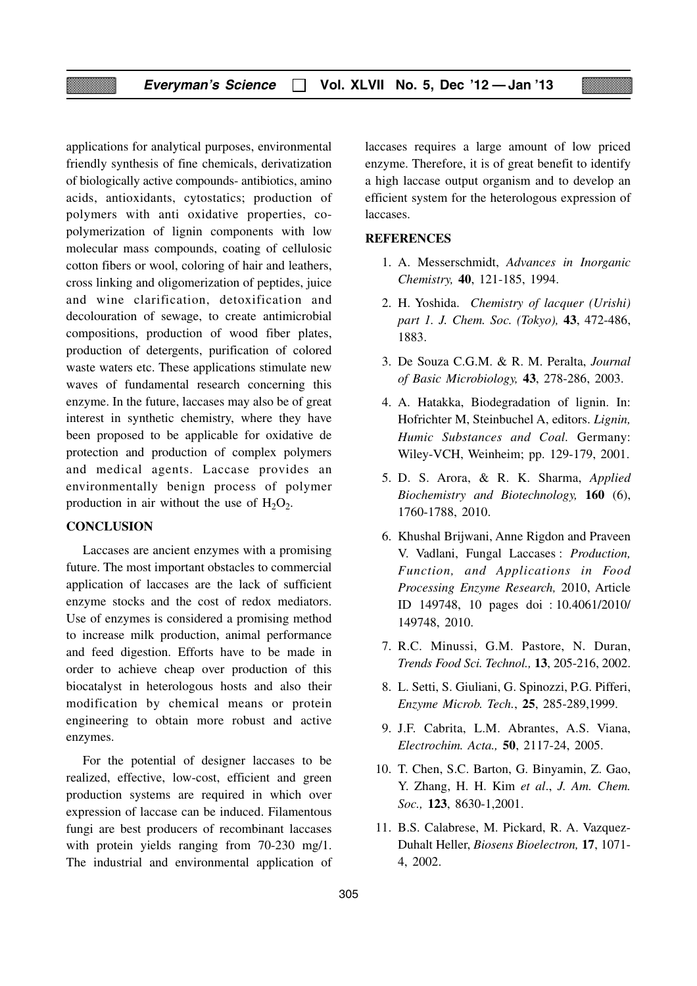applications for analytical purposes, environmental friendly synthesis of fine chemicals, derivatization of biologically active compounds- antibiotics, amino acids, antioxidants, cytostatics; production of polymers with anti oxidative properties, copolymerization of lignin components with low molecular mass compounds, coating of cellulosic cotton fibers or wool, coloring of hair and leathers, cross linking and oligomerization of peptides, juice and wine clarification, detoxification and decolouration of sewage, to create antimicrobial compositions, production of wood fiber plates, production of detergents, purification of colored waste waters etc. These applications stimulate new waves of fundamental research concerning this enzyme. In the future, laccases may also be of great interest in synthetic chemistry, where they have been proposed to be applicable for oxidative de protection and production of complex polymers and medical agents. Laccase provides an environmentally benign process of polymer production in air without the use of  $H_2O_2$ .

#### **CONCLUSION**

Laccases are ancient enzymes with a promising future. The most important obstacles to commercial application of laccases are the lack of sufficient enzyme stocks and the cost of redox mediators. Use of enzymes is considered a promising method to increase milk production, animal performance and feed digestion. Efforts have to be made in order to achieve cheap over production of this biocatalyst in heterologous hosts and also their modification by chemical means or protein engineering to obtain more robust and active enzymes.

For the potential of designer laccases to be realized, effective, low-cost, efficient and green production systems are required in which over expression of laccase can be induced. Filamentous fungi are best producers of recombinant laccases with protein yields ranging from 70-230 mg/1. The industrial and environmental application of laccases requires a large amount of low priced enzyme. Therefore, it is of great benefit to identify a high laccase output organism and to develop an efficient system for the heterologous expression of laccases.

#### **REFERENCES**

- 1. A. Messerschmidt, *Advances in Inorganic Chemistry,* **40**, 121-185, 1994.
- 2. H. Yoshida. *Chemistry of lacquer (Urishi) part 1. J. Chem. Soc. (Tokyo),* **43**, 472-486, 1883.
- 3. De Souza C.G.M. & R. M. Peralta, *Journal of Basic Microbiology,* **43**, 278-286, 2003.
- 4. A. Hatakka, Biodegradation of lignin. In: Hofrichter M, Steinbuchel A, editors. *Lignin, Humic Substances and Coal.* Germany: Wiley-VCH, Weinheim; pp. 129-179, 2001.
- 5. D. S. Arora, & R. K. Sharma, *Applied Biochemistry and Biotechnology,* **160** (6), 1760-1788, 2010.
- 6. Khushal Brijwani, Anne Rigdon and Praveen V. Vadlani, Fungal Laccases : *Production, Function, and Applications in Food Processing Enzyme Research,* 2010, Article ID 149748, 10 pages doi : 10.4061/2010/ 149748, 2010.
- 7. R.C. Minussi, G.M. Pastore, N. Duran, *Trends Food Sci. Technol.,* **13**, 205-216, 2002.
- 8. L. Setti, S. Giuliani, G. Spinozzi, P.G. Pifferi, *Enzyme Microb. Tech.*, **25**, 285-289,1999.
- 9. J.F. Cabrita, L.M. Abrantes, A.S. Viana, *Electrochim. Acta.,* **50**, 2117-24, 2005.
- 10. T. Chen, S.C. Barton, G. Binyamin, Z. Gao, Y. Zhang, H. H. Kim *et al*., *J. Am. Chem. Soc.,* **123**, 8630-1,2001.
- 11. B.S. Calabrese, M. Pickard, R. A. Vazquez-Duhalt Heller, *Biosens Bioelectron,* **17**, 1071- 4, 2002.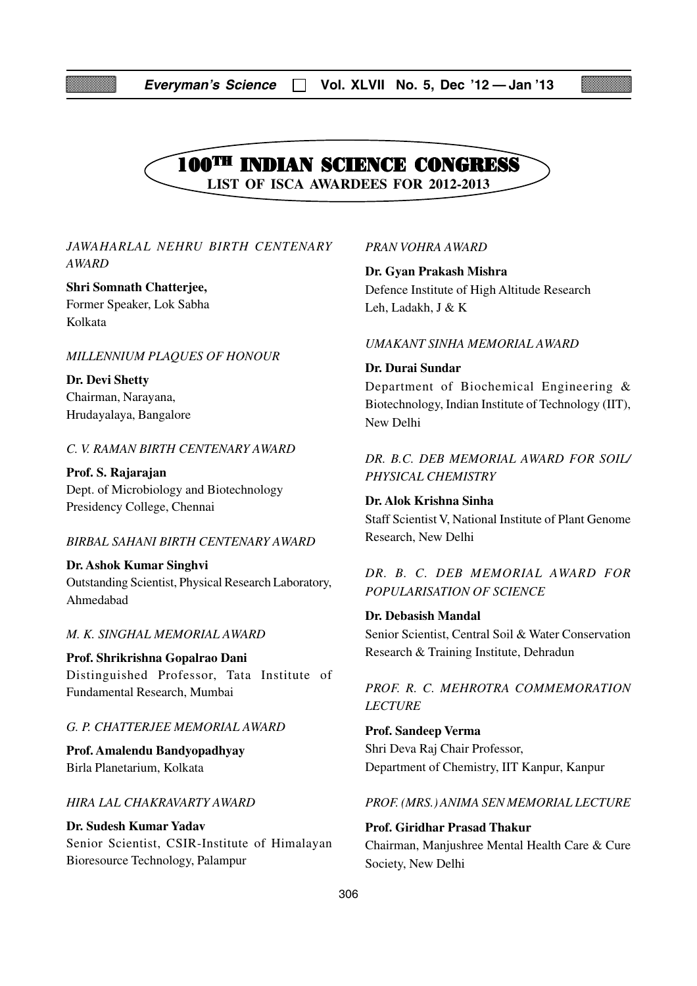

#### *JAWAHARLAL NEHRU BIRTH CENTENARY AWARD*

#### **Shri Somnath Chatterjee,**

Former Speaker, Lok Sabha Kolkata

#### *MILLENNIUM PLAQUES OF HONOUR*

**Dr. Devi Shetty** Chairman, Narayana, Hrudayalaya, Bangalore

#### *C. V. RAMAN BIRTH CENTENARY AWARD*

**Prof. S. Rajarajan** Dept. of Microbiology and Biotechnology Presidency College, Chennai

#### *BIRBAL SAHANI BIRTH CENTENARY AWARD*

**Dr. Ashok Kumar Singhvi** Outstanding Scientist, Physical Research Laboratory, Ahmedabad

#### *M. K. SINGHAL MEMORIAL AWARD*

**Prof. Shrikrishna Gopalrao Dani** Distinguished Professor, Tata Institute of Fundamental Research, Mumbai

#### *G. P. CHATTERJEE MEMORIAL AWARD*

**Prof. Amalendu Bandyopadhyay** Birla Planetarium, Kolkata

#### *HIRA LAL CHAKRAVARTY AWARD*

**Dr. Sudesh Kumar Yadav** Senior Scientist, CSIR-Institute of Himalayan Bioresource Technology, Palampur

#### *PRAN VOHRA AWARD*

**Dr. Gyan Prakash Mishra** Defence Institute of High Altitude Research Leh, Ladakh, J & K

#### *UMAKANT SINHA MEMORIAL AWARD*

**Dr. Durai Sundar** Department of Biochemical Engineering & Biotechnology, Indian Institute of Technology (IIT), New Delhi

## *DR. B.C. DEB MEMORIAL AWARD FOR SOIL/ PHYSICAL CHEMISTRY*

#### **Dr. Alok Krishna Sinha**

Staff Scientist V, National Institute of Plant Genome Research, New Delhi

*DR. B. C. DEB MEMORIAL AWARD FOR POPULARISATION OF SCIENCE*

#### **Dr. Debasish Mandal**

Senior Scientist, Central Soil & Water Conservation Research & Training Institute, Dehradun

*PROF. R. C. MEHROTRA COMMEMORATION LECTURE*

**Prof. Sandeep Verma** Shri Deva Raj Chair Professor, Department of Chemistry, IIT Kanpur, Kanpur

#### *PROF. (MRS.) ANIMA SEN MEMORIAL LECTURE*

#### **Prof. Giridhar Prasad Thakur**

Chairman, Manjushree Mental Health Care & Cure Society, New Delhi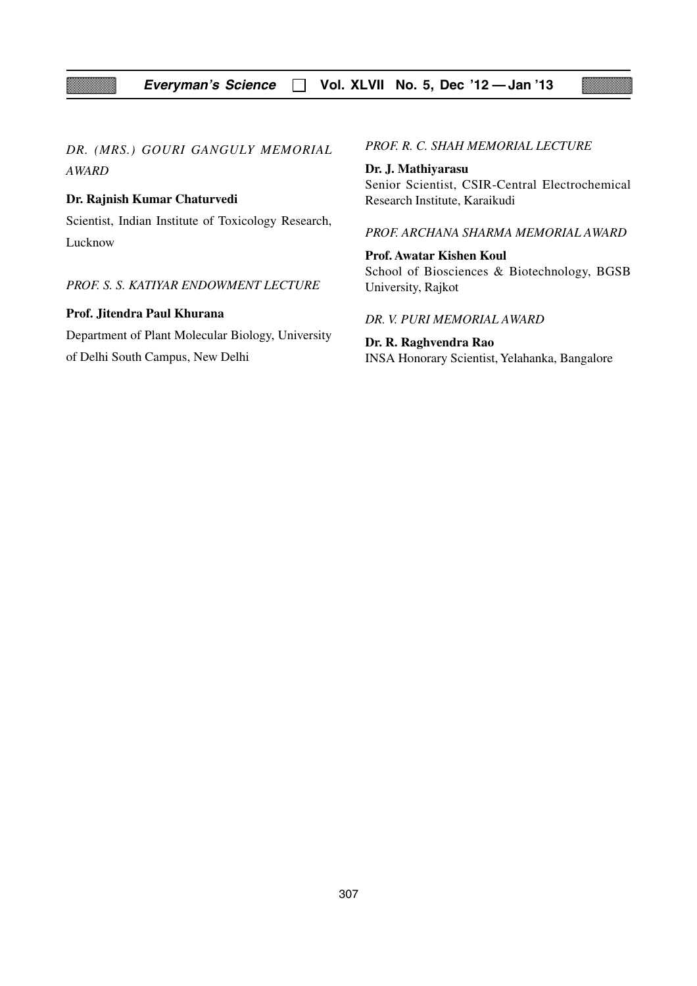*DR. (MRS.) GOURI GANGULY MEMORIAL AWARD*

#### **Dr. Rajnish Kumar Chaturvedi**

Scientist, Indian Institute of Toxicology Research, Lucknow

*PROF. S. S. KATIYAR ENDOWMENT LECTURE*

#### **Prof. Jitendra Paul Khurana**

Department of Plant Molecular Biology, University of Delhi South Campus, New Delhi

*PROF. R. C. SHAH MEMORIAL LECTURE*

**Dr. J. Mathiyarasu** Senior Scientist, CSIR-Central Electrochemical Research Institute, Karaikudi

#### *PROF. ARCHANA SHARMA MEMORIAL AWARD*

**Prof. Awatar Kishen Koul** School of Biosciences & Biotechnology, BGSB University, Rajkot

*DR. V. PURI MEMORIAL AWARD*

**Dr. R. Raghvendra Rao** INSA Honorary Scientist, Yelahanka, Bangalore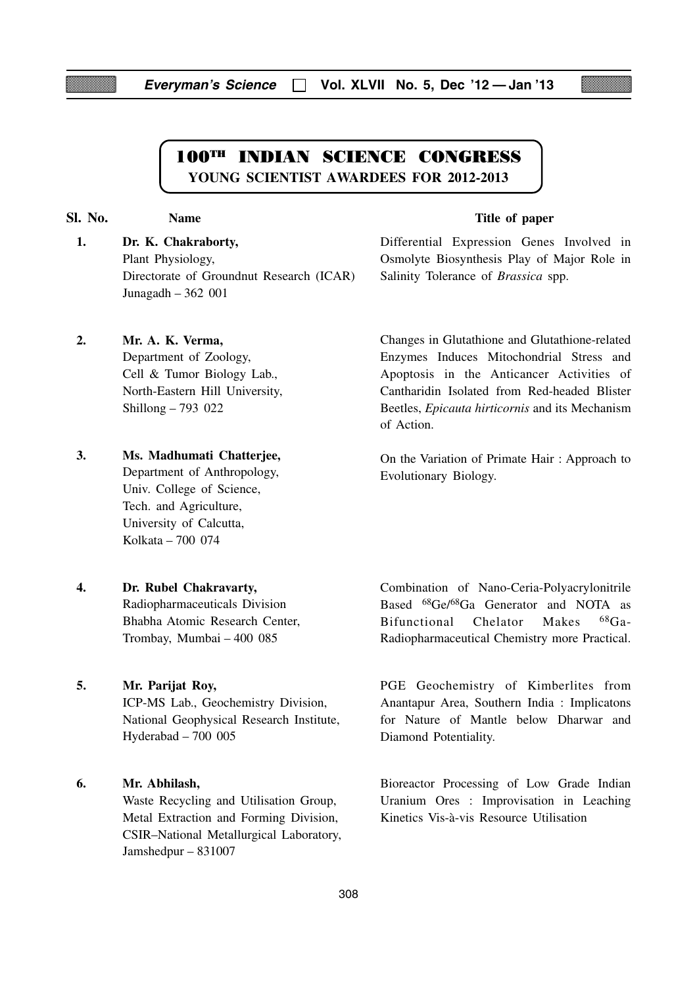## **100TH INDIAN SCIENCE CONGRESS YOUNG SCIENTIST AWARDEES FOR 2012-2013**

**2. Mr. A. K. Verma,**

**1. Dr. K. Chakraborty,** Plant Physiology, Directorate of Groundnut Research (ICAR) Junagadh – 362 001

#### **Sl. No. Name Name Title of paper**

Differential Expression Genes Involved in Osmolyte Biosynthesis Play of Major Role in Salinity Tolerance of *Brassica* spp.

Changes in Glutathione and Glutathione-related Enzymes Induces Mitochondrial Stress and Apoptosis in the Anticancer Activities of Cantharidin Isolated from Red-headed Blister Beetles, *Epicauta hirticornis* and its Mechanism of Action.

On the Variation of Primate Hair : Approach to Evolutionary Biology.

**3. Ms. Madhumati Chatterjee,** Department of Anthropology, Univ. College of Science, Tech. and Agriculture, University of Calcutta, Kolkata – 700 074

Department of Zoology, Cell & Tumor Biology Lab., North-Eastern Hill University,

Shillong – 793 022

#### **4. Dr. Rubel Chakravarty,**

Radiopharmaceuticals Division Bhabha Atomic Research Center, Trombay, Mumbai – 400 085

#### **5. Mr. Parijat Roy,**

ICP-MS Lab., Geochemistry Division, National Geophysical Research Institute, Hyderabad – 700 005

#### **6. Mr. Abhilash,**

Waste Recycling and Utilisation Group, Metal Extraction and Forming Division, CSIR–National Metallurgical Laboratory, Jamshedpur – 831007

Combination of Nano-Ceria-Polyacrylonitrile Based 68Ge/68Ga Generator and NOTA as Bifunctional Chelator Makes 68Ga-Radiopharmaceutical Chemistry more Practical.

PGE Geochemistry of Kimberlites from Anantapur Area, Southern India : Implicatons for Nature of Mantle below Dharwar and Diamond Potentiality.

Bioreactor Processing of Low Grade Indian Uranium Ores : Improvisation in Leaching Kinetics Vis-à-vis Resource Utilisation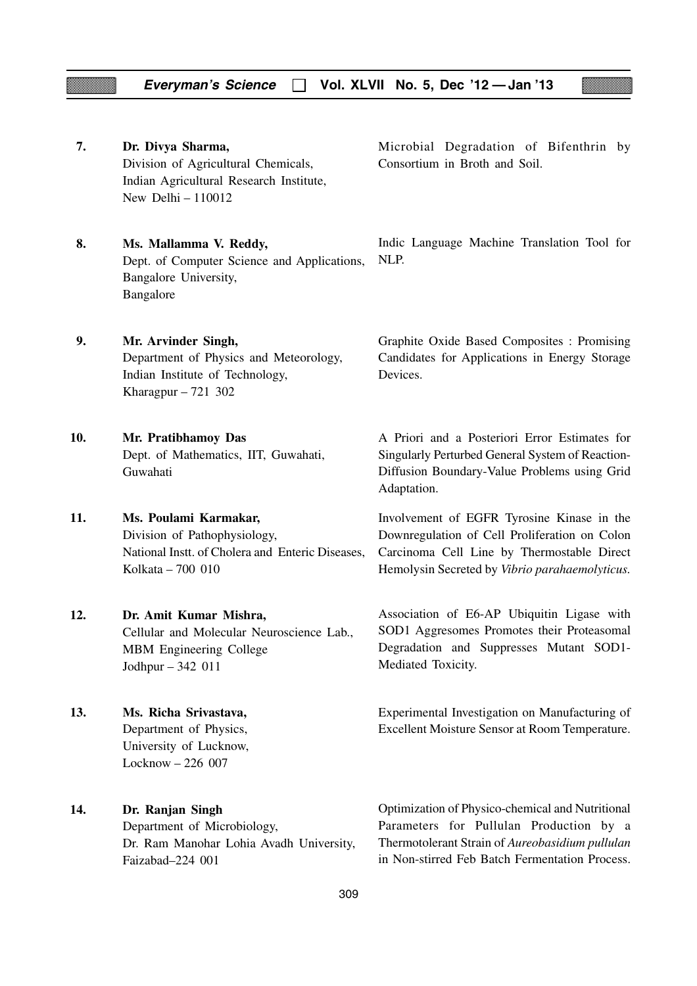**7. Dr. Divya Sharma,** Division of Agricultural Chemicals, Indian Agricultural Research Institute, New Delhi – 110012 **8. Ms. Mallamma V. Reddy,** Dept. of Computer Science and Applications, Bangalore University, Bangalore **9. Mr. Arvinder Singh,** Department of Physics and Meteorology, Indian Institute of Technology, Kharagpur – 721 302 **10. Mr. Pratibhamoy Das** Dept. of Mathematics, IIT, Guwahati, Guwahati **11. Ms. Poulami Karmakar,** Division of Pathophysiology, National Instt. of Cholera and Enteric Diseases, Kolkata – 700 010 **12. Dr. Amit Kumar Mishra,** Cellular and Molecular Neuroscience Lab., MBM Engineering College Jodhpur – 342 011 **13. Ms. Richa Srivastava,** Department of Physics, University of Lucknow, Locknow – 226 007 **14. Dr. Ranjan Singh** Department of Microbiology, Dr. Ram Manohar Lohia Avadh University, Faizabad–224 001 Microbial Degradation of Bifenthrin by Consortium in Broth and Soil. Indic Language Machine Translation Tool for NLP. Graphite Oxide Based Composites : Promising Candidates for Applications in Energy Storage Devices. A Priori and a Posteriori Error Estimates for Singularly Perturbed General System of Reaction-Diffusion Boundary-Value Problems using Grid Adaptation. Involvement of EGFR Tyrosine Kinase in the Downregulation of Cell Proliferation on Colon Carcinoma Cell Line by Thermostable Direct Hemolysin Secreted by *Vibrio parahaemolyticus.* Association of E6-AP Ubiquitin Ligase with SOD1 Aggresomes Promotes their Proteasomal Degradation and Suppresses Mutant SOD1- Mediated Toxicity. Experimental Investigation on Manufacturing of Excellent Moisture Sensor at Room Temperature. Optimization of Physico-chemical and Nutritional Parameters for Pullulan Production by a Thermotolerant Strain of *Aureobasidium pullulan* in Non-stirred Feb Batch Fermentation Process.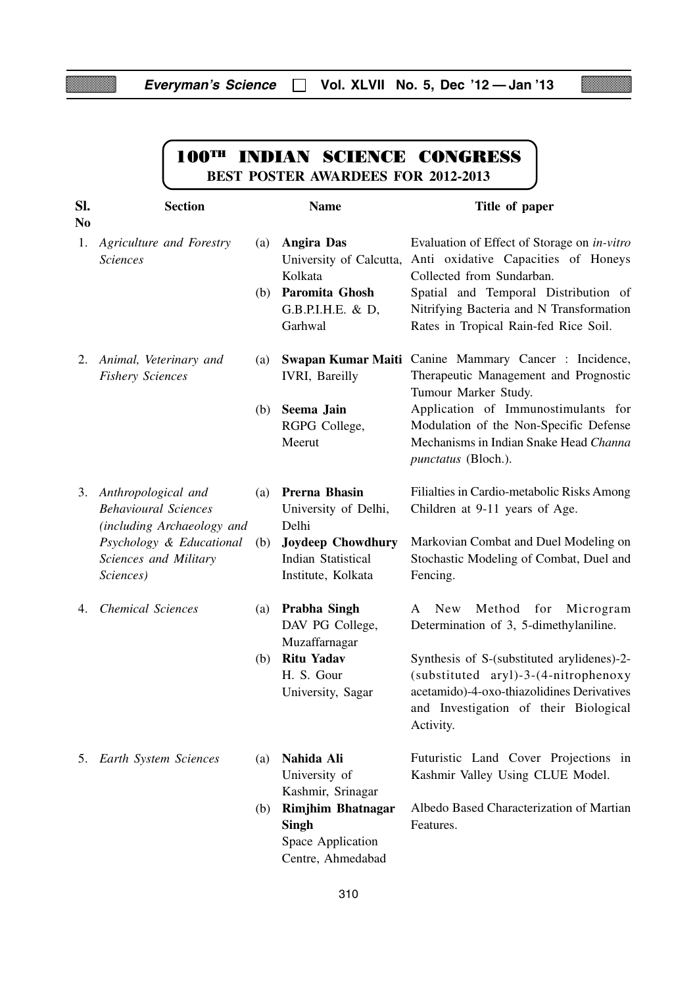Z

▩

<u>e anno 197</u>

|                       |                                                                                                                                                       | <b>100TH INDIAN SCIENCE CONGRESS</b><br><b>BEST POSTER AWARDEES FOR 2012-2013</b>                                                                    |                                                                                                                                                                                                                                                                         |  |  |
|-----------------------|-------------------------------------------------------------------------------------------------------------------------------------------------------|------------------------------------------------------------------------------------------------------------------------------------------------------|-------------------------------------------------------------------------------------------------------------------------------------------------------------------------------------------------------------------------------------------------------------------------|--|--|
| SI.<br>N <sub>0</sub> | <b>Section</b>                                                                                                                                        | <b>Name</b>                                                                                                                                          | Title of paper                                                                                                                                                                                                                                                          |  |  |
| 1.                    | <b>Agriculture and Forestry</b><br><b>Sciences</b>                                                                                                    | <b>Angira Das</b><br>(a)<br>University of Calcutta,<br>Kolkata<br>Paromita Ghosh<br>(b)<br>G.B.P.I.H.E. & D,<br>Garhwal                              | Evaluation of Effect of Storage on in-vitro<br>Anti oxidative Capacities of Honeys<br>Collected from Sundarban.<br>Spatial and Temporal Distribution of<br>Nitrifying Bacteria and N Transformation<br>Rates in Tropical Rain-fed Rice Soil.                            |  |  |
| 2.                    | Animal, Veterinary and<br><b>Fishery Sciences</b>                                                                                                     | (a)<br><b>IVRI</b> , Bareilly<br>Seema Jain<br>(b)<br>RGPG College,<br>Meerut                                                                        | Swapan Kumar Maiti Canine Mammary Cancer: Incidence,<br>Therapeutic Management and Prognostic<br>Tumour Marker Study.<br>Application of Immunostimulants for<br>Modulation of the Non-Specific Defense<br>Mechanisms in Indian Snake Head Channa<br>punctatus (Bloch.). |  |  |
|                       | 3. Anthropological and<br><b>Behavioural Sciences</b><br>(including Archaeology and<br>Psychology & Educational<br>Sciences and Military<br>Sciences) | Prerna Bhasin<br>(a)<br>University of Delhi,<br>Delhi<br><b>Joydeep Chowdhury</b><br>(b)<br><b>Indian Statistical</b><br>Institute, Kolkata          | Filialties in Cardio-metabolic Risks Among<br>Children at 9-11 years of Age.<br>Markovian Combat and Duel Modeling on<br>Stochastic Modeling of Combat, Duel and<br>Fencing.                                                                                            |  |  |
| 4.                    | <b>Chemical Sciences</b>                                                                                                                              | Prabha Singh<br>(a)<br>DAV PG College,<br>Muzaffarnagar<br><b>Ritu Yadav</b><br>(b)<br>H. S. Gour<br>University, Sagar                               | Method<br>for<br>A New<br>Microgram<br>Determination of 3, 5-dimethylaniline.<br>Synthesis of S-(substituted arylidenes)-2-<br>(substituted aryl)-3-(4-nitrophenoxy<br>acetamido)-4-oxo-thiazolidines Derivatives<br>and Investigation of their Biological<br>Activity. |  |  |
| 5.                    | Earth System Sciences                                                                                                                                 | Nahida Ali<br>(a)<br>University of<br>Kashmir, Srinagar<br><b>Rimjhim Bhatnagar</b><br>(b)<br><b>Singh</b><br>Space Application<br>Centre, Ahmedabad | Futuristic Land Cover Projections in<br>Kashmir Valley Using CLUE Model.<br>Albedo Based Characterization of Martian<br>Features.                                                                                                                                       |  |  |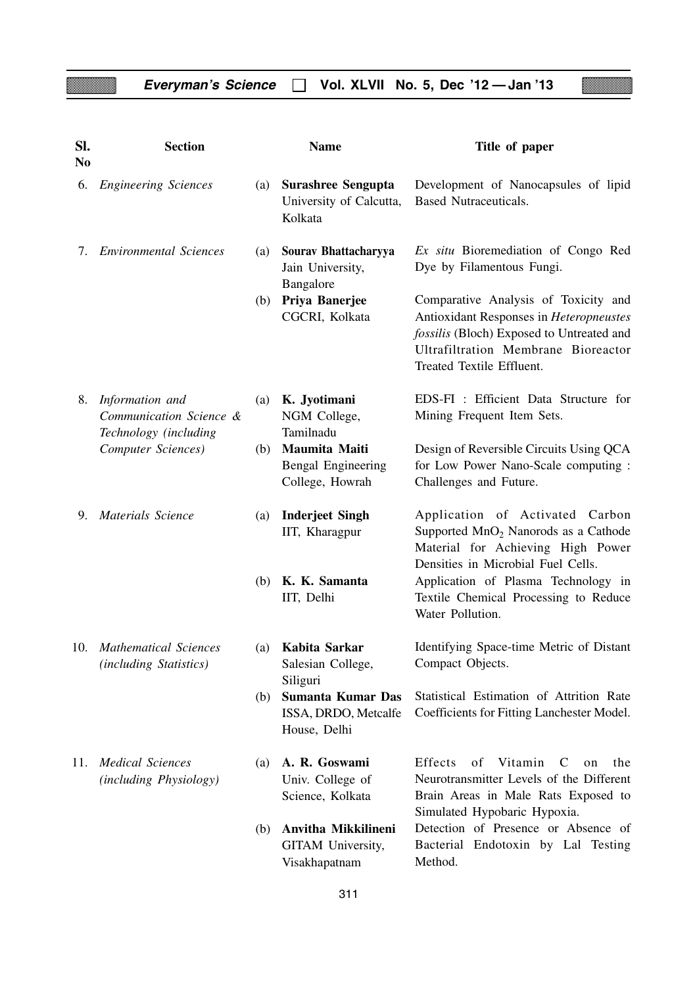8

| SI.<br>N <sub>0</sub> | <b>Section</b>                                                      |     | <b>Name</b>                                                     | Title of paper                                                                                                                                                                                   |  |  |
|-----------------------|---------------------------------------------------------------------|-----|-----------------------------------------------------------------|--------------------------------------------------------------------------------------------------------------------------------------------------------------------------------------------------|--|--|
| 6.                    | <b>Engineering Sciences</b>                                         | (a) | <b>Surashree Sengupta</b><br>University of Calcutta,<br>Kolkata | Development of Nanocapsules of lipid<br><b>Based Nutraceuticals.</b>                                                                                                                             |  |  |
| 7.                    | <b>Environmental Sciences</b>                                       | (a) | Sourav Bhattacharyya<br>Jain University,<br>Bangalore           | Ex situ Bioremediation of Congo Red<br>Dye by Filamentous Fungi.                                                                                                                                 |  |  |
|                       |                                                                     | (b) | Priya Banerjee<br>CGCRI, Kolkata                                | Comparative Analysis of Toxicity and<br>Antioxidant Responses in Heteropneustes<br>fossilis (Bloch) Exposed to Untreated and<br>Ultrafiltration Membrane Bioreactor<br>Treated Textile Effluent. |  |  |
| 8.                    | Information and<br>Communication Science &<br>Technology (including | (a) | K. Jyotimani<br>NGM College,<br>Tamilnadu                       | EDS-FI : Efficient Data Structure for<br>Mining Frequent Item Sets.                                                                                                                              |  |  |
|                       | Computer Sciences)                                                  | (b) | Maumita Maiti<br>Bengal Engineering<br>College, Howrah          | Design of Reversible Circuits Using QCA<br>for Low Power Nano-Scale computing :<br>Challenges and Future.                                                                                        |  |  |
| 9.                    | Materials Science                                                   | (a) | <b>Inderjeet Singh</b><br>IIT, Kharagpur                        | Application of Activated Carbon<br>Supported MnO <sub>2</sub> Nanorods as a Cathode<br>Material for Achieving High Power<br>Densities in Microbial Fuel Cells.                                   |  |  |
|                       |                                                                     | (b) | K. K. Samanta<br>IIT, Delhi                                     | Application of Plasma Technology in<br>Textile Chemical Processing to Reduce<br>Water Pollution.                                                                                                 |  |  |
|                       | 10. Mathematical Sciences<br>(including Statistics)                 | (a) | Kabita Sarkar<br>Salesian College,<br>Siliguri                  | Identifying Space-time Metric of Distant<br>Compact Objects.                                                                                                                                     |  |  |
|                       |                                                                     | (b) | Sumanta Kumar Das<br>ISSA, DRDO, Metcalfe<br>House, Delhi       | Statistical Estimation of Attrition Rate<br>Coefficients for Fitting Lanchester Model.                                                                                                           |  |  |
| 11.                   | <b>Medical Sciences</b><br>(including Physiology)                   | (a) | A. R. Goswami<br>Univ. College of<br>Science, Kolkata           | Effects<br>of<br>Vitamin<br>C<br>the<br>on<br>Neurotransmitter Levels of the Different<br>Brain Areas in Male Rats Exposed to                                                                    |  |  |
|                       |                                                                     | (b) | Anvitha Mikkilineni<br>GITAM University,<br>Visakhapatnam       | Simulated Hypobaric Hypoxia.<br>Detection of Presence or Absence of<br>Bacterial Endotoxin by Lal Testing<br>Method.                                                                             |  |  |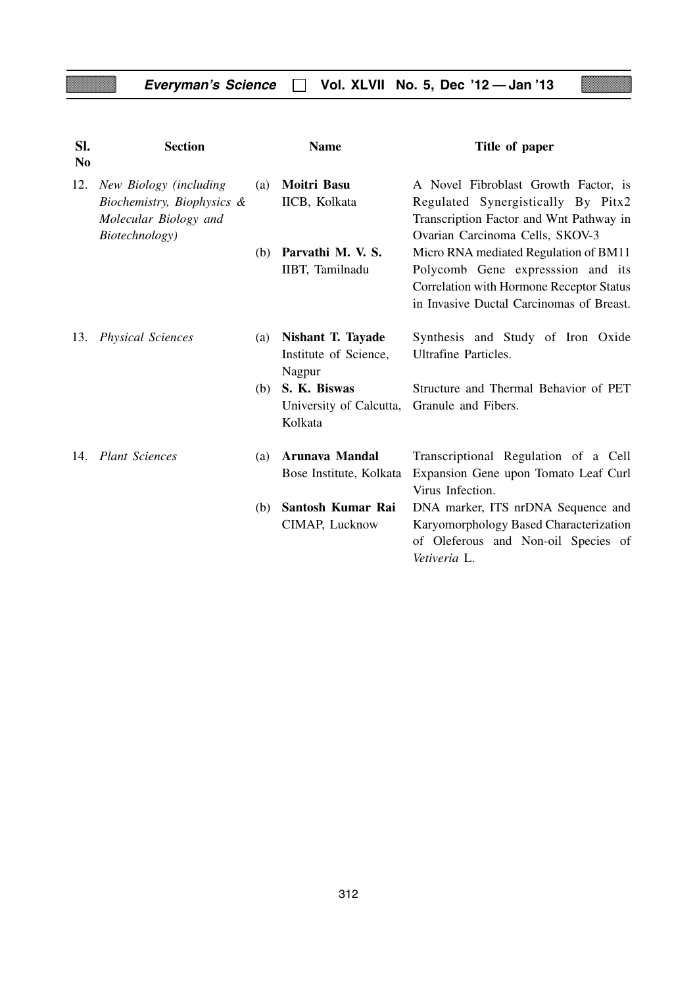z

| SI.<br>N <sub>0</sub> | <b>Section</b>             |     | <b>Name</b>                        | Title of paper                                      |
|-----------------------|----------------------------|-----|------------------------------------|-----------------------------------------------------|
| 12.                   | New Biology (including     | (a) | Moitri Basu                        | A Novel Fibroblast Growth Factor, is                |
|                       | Biochemistry, Biophysics & |     | IICB, Kolkata                      | Regulated Synergistically By Pitx2                  |
|                       | Molecular Biology and      |     |                                    | Transcription Factor and Wnt Pathway in             |
|                       | Biotechnology)             |     |                                    | Ovarian Carcinoma Cells, SKOV-3                     |
|                       |                            | (b) | Parvathi M. V. S.                  | Micro RNA mediated Regulation of BM11               |
|                       |                            |     | IIBT, Tamilnadu                    | Polycomb Gene expresssion and its                   |
|                       |                            |     |                                    | <b>Correlation with Hormone Receptor Status</b>     |
|                       |                            |     |                                    | in Invasive Ductal Carcinomas of Breast.            |
| 13.                   | <b>Physical Sciences</b>   | (a) | <b>Nishant T. Tayade</b>           | Synthesis and Study of Iron Oxide                   |
|                       |                            |     | Institute of Science,              | <b>Ultrafine Particles.</b>                         |
|                       |                            |     | Nagpur                             |                                                     |
|                       |                            | (b) | S. K. Biswas                       | Structure and Thermal Behavior of PET               |
|                       |                            |     | University of Calcutta,<br>Kolkata | Granule and Fibers.                                 |
|                       | 14. Plant Sciences         | (a) | <b>Arunava Mandal</b>              | Transcriptional Regulation of a Cell                |
|                       |                            |     | Bose Institute, Kolkata            | Expansion Gene upon Tomato Leaf Curl                |
|                       |                            |     |                                    | Virus Infection.                                    |
|                       |                            | (b) | Santosh Kumar Rai                  | DNA marker, ITS nrDNA Sequence and                  |
|                       |                            |     | CIMAP, Lucknow                     | Karyomorphology Based Characterization              |
|                       |                            |     |                                    | of Oleferous and Non-oil Species of<br>Vetiveria L. |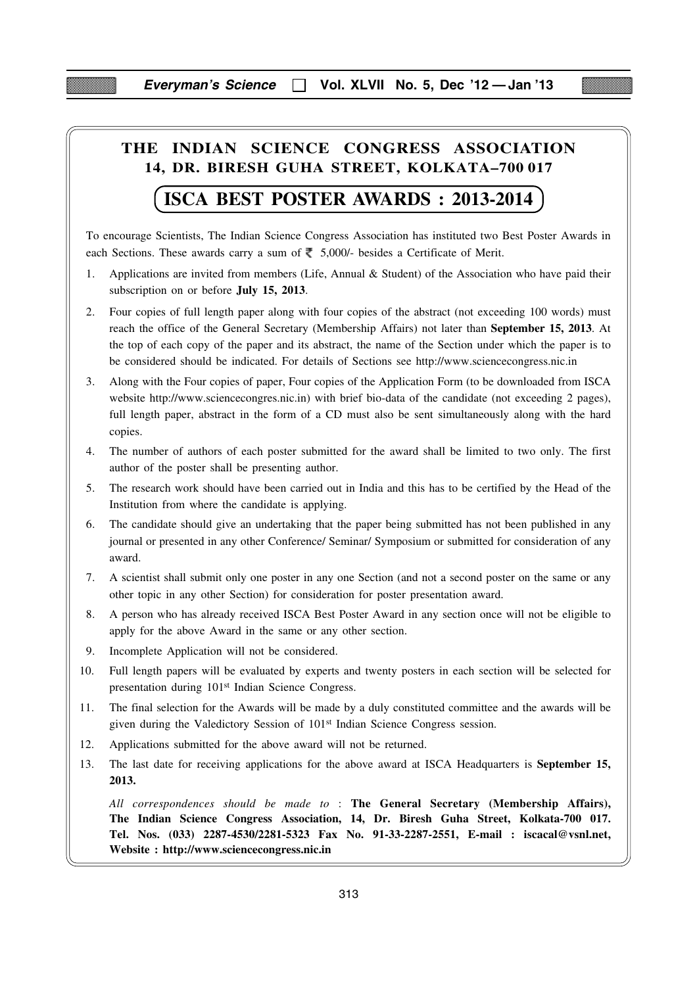## **THE INDIAN SCIENCE CONGRESS ASSOCIATION 14, DR. BIRESH GUHA STREET, KOLKATA–700 017**

## **ISCA BEST POSTER AWARDS : 2013-2014**

To encourage Scientists, The Indian Science Congress Association has instituted two Best Poster Awards in each Sections. These awards carry a sum of  $\overline{\xi}$  5,000/- besides a Certificate of Merit.

- 1. Applications are invited from members (Life, Annual & Student) of the Association who have paid their subscription on or before **July 15, 2013**.
- 2. Four copies of full length paper along with four copies of the abstract (not exceeding 100 words) must reach the office of the General Secretary (Membership Affairs) not later than **September 15, 2013**. At the top of each copy of the paper and its abstract, the name of the Section under which the paper is to be considered should be indicated. For details of Sections see http://www.sciencecongress.nic.in
- 3. Along with the Four copies of paper, Four copies of the Application Form (to be downloaded from ISCA website http://www.sciencecongres.nic.in) with brief bio-data of the candidate (not exceeding 2 pages), full length paper, abstract in the form of a CD must also be sent simultaneously along with the hard copies.
- 4. The number of authors of each poster submitted for the award shall be limited to two only. The first author of the poster shall be presenting author.
- 5. The research work should have been carried out in India and this has to be certified by the Head of the Institution from where the candidate is applying.
- 6. The candidate should give an undertaking that the paper being submitted has not been published in any journal or presented in any other Conference/ Seminar/ Symposium or submitted for consideration of any award.
- 7. A scientist shall submit only one poster in any one Section (and not a second poster on the same or any other topic in any other Section) for consideration for poster presentation award.
- 8. A person who has already received ISCA Best Poster Award in any section once will not be eligible to apply for the above Award in the same or any other section.
- 9. Incomplete Application will not be considered.
- 10. Full length papers will be evaluated by experts and twenty posters in each section will be selected for presentation during 101<sup>st</sup> Indian Science Congress.
- 11. The final selection for the Awards will be made by a duly constituted committee and the awards will be given during the Valedictory Session of 101st Indian Science Congress session.
- 12. Applications submitted for the above award will not be returned.
- 13. The last date for receiving applications for the above award at ISCA Headquarters is **September 15, 2013.**

*All correspondences should be made to* : **The General Secretary (Membership Affairs), The Indian Science Congress Association, 14, Dr. Biresh Guha Street, Kolkata-700 017. Tel. Nos. (033) 2287-4530/2281-5323 Fax No. 91-33-2287-2551, E-mail : iscacal@vsnl.net, Website : http://www.sciencecongress.nic.in**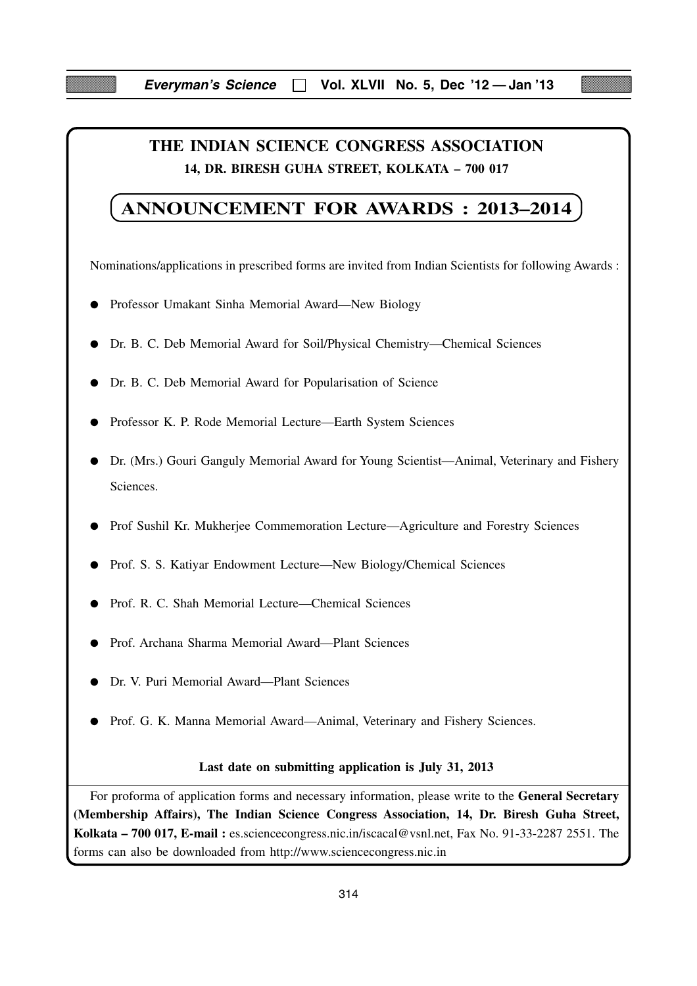## **THE INDIAN SCIENCE CONGRESS ASSOCIATION 14, DR. BIRESH GUHA STREET, KOLKATA – 700 017**

## **ANNOUNCEMENT FOR AWARDS : 2013–2014**

Nominations/applications in prescribed forms are invited from Indian Scientists for following Awards :

- Professor Umakant Sinha Memorial Award—New Biology
- Dr. B. C. Deb Memorial Award for Soil/Physical Chemistry—Chemical Sciences
- Dr. B. C. Deb Memorial Award for Popularisation of Science
- Professor K. P. Rode Memorial Lecture—Earth System Sciences
- Dr. (Mrs.) Gouri Ganguly Memorial Award for Young Scientist—Animal, Veterinary and Fishery Sciences.
- Prof Sushil Kr. Mukherjee Commemoration Lecture—Agriculture and Forestry Sciences
- Prof. S. S. Katiyar Endowment Lecture—New Biology/Chemical Sciences
- Prof. R. C. Shah Memorial Lecture—Chemical Sciences
- Prof. Archana Sharma Memorial Award—Plant Sciences
- Dr. V. Puri Memorial Award—Plant Sciences
- Prof. G. K. Manna Memorial Award—Animal, Veterinary and Fishery Sciences.

#### **Last date on submitting application is July 31, 2013**

For proforma of application forms and necessary information, please write to the **General Secretary (Membership Affairs), The Indian Science Congress Association, 14, Dr. Biresh Guha Street, Kolkata – 700 017, E-mail :** es.sciencecongress.nic.in/iscacal@vsnl.net, Fax No. 91-33-2287 2551. The forms can also be downloaded from http://www.sciencecongress.nic.in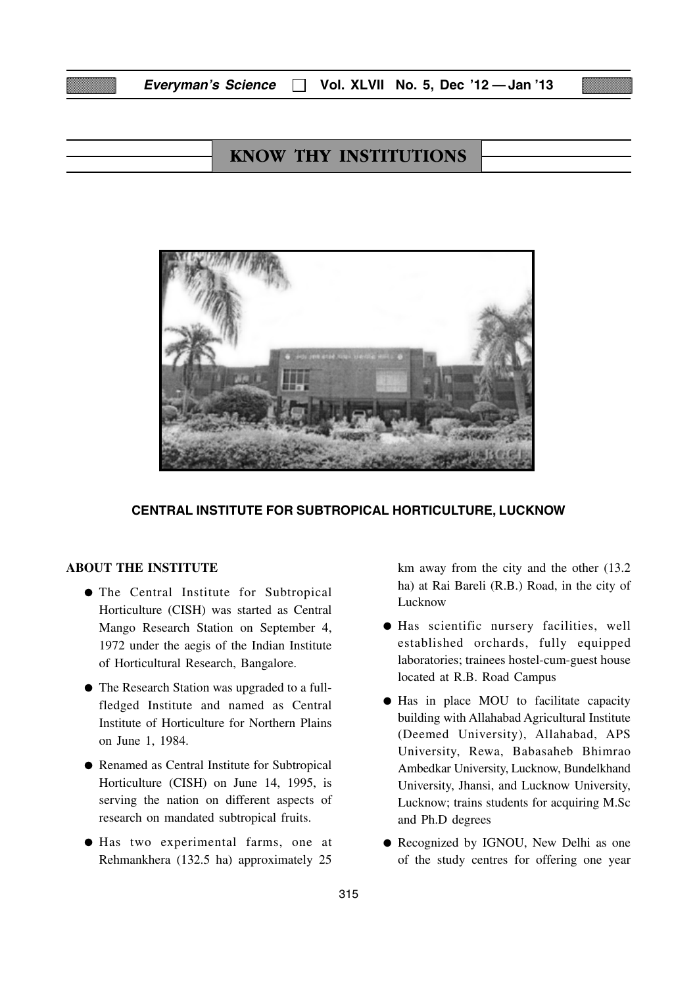| <b>Everyman's Science</b> |  |  |  | $\Box$ Vol. XLVII No. 5, Dec '12 — Jan '13 |
|---------------------------|--|--|--|--------------------------------------------|
|---------------------------|--|--|--|--------------------------------------------|

## KNOW THY INSTITUTIONS



#### **CENTRAL INSTITUTE FOR SUBTROPICAL HORTICULTURE, LUCKNOW**

#### **ABOUT THE INSTITUTE**

- The Central Institute for Subtropical Horticulture (CISH) was started as Central Mango Research Station on September 4, 1972 under the aegis of the Indian Institute of Horticultural Research, Bangalore.
- The Research Station was upgraded to a fullfledged Institute and named as Central Institute of Horticulture for Northern Plains on June 1, 1984.
- Renamed as Central Institute for Subtropical Horticulture (CISH) on June 14, 1995, is serving the nation on different aspects of research on mandated subtropical fruits.
- Has two experimental farms, one at Rehmankhera (132.5 ha) approximately 25

km away from the city and the other (13.2 ha) at Rai Bareli (R.B.) Road, in the city of Lucknow

- Has scientific nursery facilities, well established orchards, fully equipped laboratories; trainees hostel-cum-guest house located at R.B. Road Campus
- Has in place MOU to facilitate capacity building with Allahabad Agricultural Institute (Deemed University), Allahabad, APS University, Rewa, Babasaheb Bhimrao Ambedkar University, Lucknow, Bundelkhand University, Jhansi, and Lucknow University, Lucknow; trains students for acquiring M.Sc and Ph.D degrees
- Recognized by IGNOU, New Delhi as one of the study centres for offering one year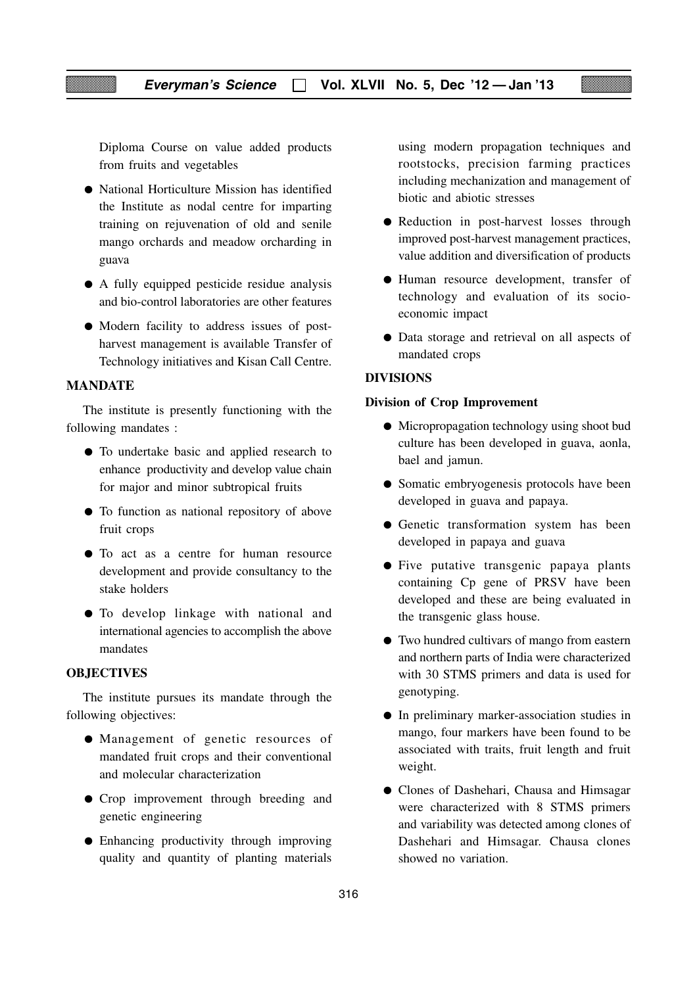Diploma Course on value added products from fruits and vegetables

- National Horticulture Mission has identified the Institute as nodal centre for imparting training on rejuvenation of old and senile mango orchards and meadow orcharding in guava
- A fully equipped pesticide residue analysis and bio-control laboratories are other features
- Modern facility to address issues of postharvest management is available Transfer of Technology initiatives and Kisan Call Centre.

#### **MANDATE**

The institute is presently functioning with the following mandates :

- To undertake basic and applied research to enhance productivity and develop value chain for major and minor subtropical fruits
- To function as national repository of above fruit crops
- To act as a centre for human resource development and provide consultancy to the stake holders
- To develop linkage with national and international agencies to accomplish the above mandates

#### **OBJECTIVES**

The institute pursues its mandate through the following objectives:

- Management of genetic resources of mandated fruit crops and their conventional and molecular characterization
- Crop improvement through breeding and genetic engineering
- Enhancing productivity through improving quality and quantity of planting materials

using modern propagation techniques and rootstocks, precision farming practices including mechanization and management of biotic and abiotic stresses

- Reduction in post-harvest losses through improved post-harvest management practices, value addition and diversification of products
- Human resource development, transfer of technology and evaluation of its socioeconomic impact
- Data storage and retrieval on all aspects of mandated crops

#### **DIVISIONS**

#### **Division of Crop Improvement**

- Micropropagation technology using shoot bud culture has been developed in guava, aonla, bael and jamun.
- Somatic embryogenesis protocols have been developed in guava and papaya.
- Genetic transformation system has been developed in papaya and guava
- Five putative transgenic papaya plants containing Cp gene of PRSV have been developed and these are being evaluated in the transgenic glass house.
- Two hundred cultivars of mango from eastern and northern parts of India were characterized with 30 STMS primers and data is used for genotyping.
- In preliminary marker-association studies in mango, four markers have been found to be associated with traits, fruit length and fruit weight.
- Clones of Dashehari, Chausa and Himsagar were characterized with 8 STMS primers and variability was detected among clones of Dashehari and Himsagar. Chausa clones showed no variation.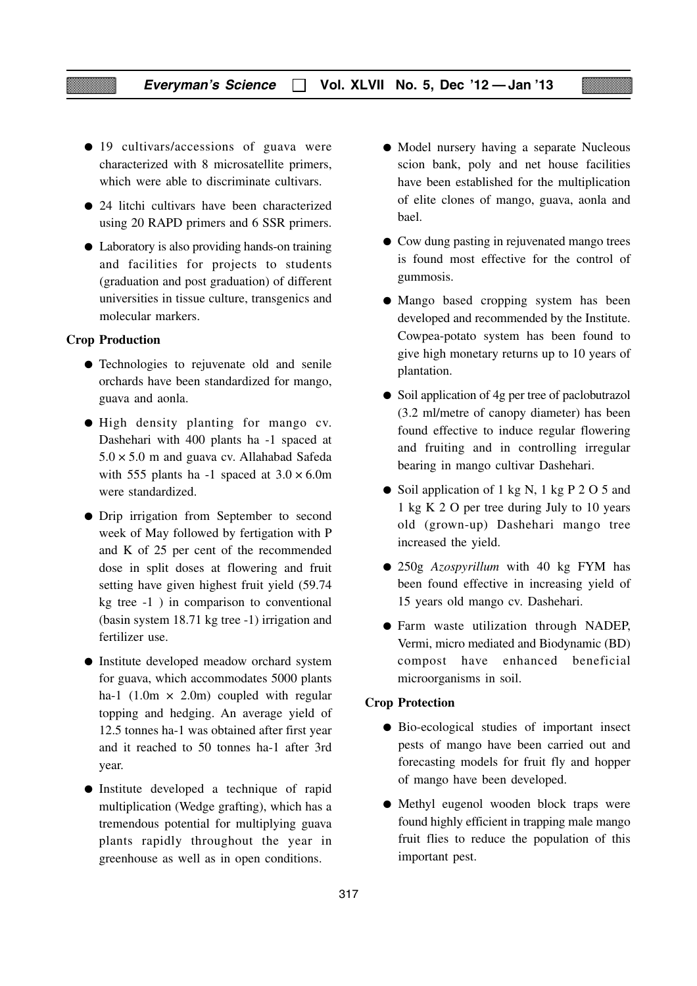- 19 cultivars/accessions of guava were characterized with 8 microsatellite primers, which were able to discriminate cultivars.
- 24 litchi cultivars have been characterized using 20 RAPD primers and 6 SSR primers.
- Laboratory is also providing hands-on training and facilities for projects to students (graduation and post graduation) of different universities in tissue culture, transgenics and molecular markers.

#### **Crop Production**

- Technologies to rejuvenate old and senile orchards have been standardized for mango, guava and aonla.
- High density planting for mango cv. Dashehari with 400 plants ha -1 spaced at  $5.0 \times 5.0$  m and guava cv. Allahabad Safeda with 555 plants ha -1 spaced at  $3.0 \times 6.0$ m were standardized.
- Drip irrigation from September to second week of May followed by fertigation with P and K of 25 per cent of the recommended dose in split doses at flowering and fruit setting have given highest fruit yield (59.74 kg tree -1 ) in comparison to conventional (basin system 18.71 kg tree -1) irrigation and fertilizer use.
- Institute developed meadow orchard system for guava, which accommodates 5000 plants ha-1 (1.0m  $\times$  2.0m) coupled with regular topping and hedging. An average yield of 12.5 tonnes ha-1 was obtained after first year and it reached to 50 tonnes ha-1 after 3rd year.
- Institute developed a technique of rapid multiplication (Wedge grafting), which has a tremendous potential for multiplying guava plants rapidly throughout the year in greenhouse as well as in open conditions.
- Model nursery having a separate Nucleous scion bank, poly and net house facilities have been established for the multiplication of elite clones of mango, guava, aonla and bael.
- Cow dung pasting in rejuvenated mango trees is found most effective for the control of gummosis.
- Mango based cropping system has been developed and recommended by the Institute. Cowpea-potato system has been found to give high monetary returns up to 10 years of plantation.
- Soil application of 4g per tree of paclobutrazol (3.2 ml/metre of canopy diameter) has been found effective to induce regular flowering and fruiting and in controlling irregular bearing in mango cultivar Dashehari.
- Soil application of 1 kg N, 1 kg P 2 O 5 and 1 kg K 2 O per tree during July to 10 years old (grown-up) Dashehari mango tree increased the yield.
- 250g *Azospyrillum* with 40 kg FYM has been found effective in increasing yield of 15 years old mango cv. Dashehari.
- Farm waste utilization through NADEP, Vermi, micro mediated and Biodynamic (BD) compost have enhanced beneficial microorganisms in soil.

#### **Crop Protection**

- Bio-ecological studies of important insect pests of mango have been carried out and forecasting models for fruit fly and hopper of mango have been developed.
- Methyl eugenol wooden block traps were found highly efficient in trapping male mango fruit flies to reduce the population of this important pest.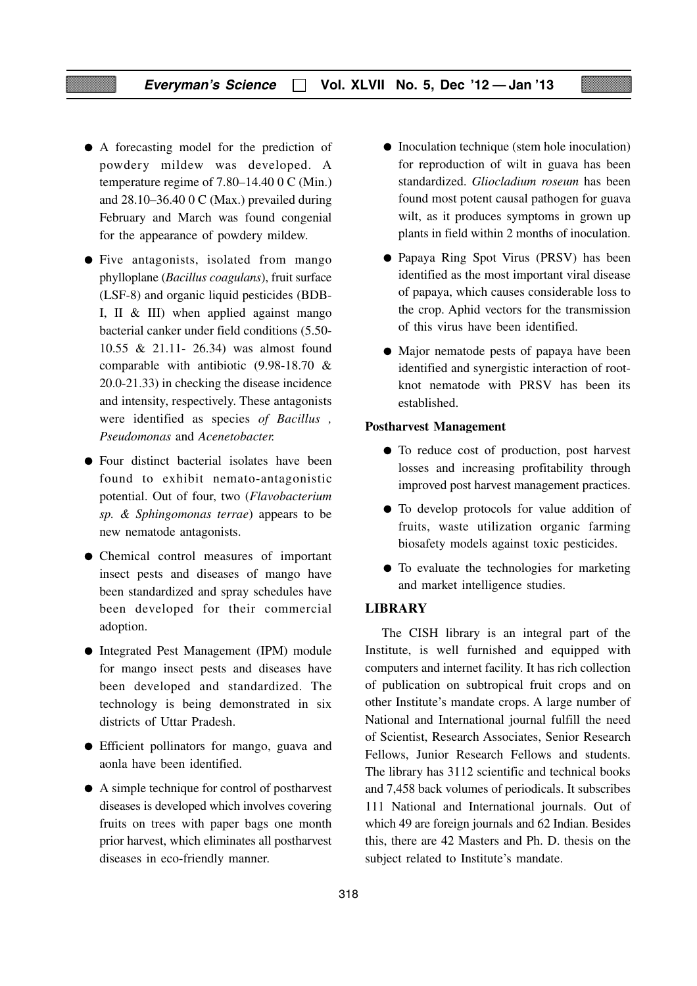- A forecasting model for the prediction of powdery mildew was developed. A temperature regime of 7.80–14.40 0 C (Min.) and 28.10–36.40 0 C (Max.) prevailed during February and March was found congenial for the appearance of powdery mildew.
- Five antagonists, isolated from mango phylloplane (*Bacillus coagulans*), fruit surface (LSF-8) and organic liquid pesticides (BDB-I, II & III) when applied against mango bacterial canker under field conditions (5.50- 10.55 & 21.11- 26.34) was almost found comparable with antibiotic (9.98-18.70 & 20.0-21.33) in checking the disease incidence and intensity, respectively. These antagonists were identified as species *of Bacillus , Pseudomonas* and *Acenetobacter.*
- Four distinct bacterial isolates have been found to exhibit nemato-antagonistic potential. Out of four, two (*Flavobacterium sp. & Sphingomonas terrae*) appears to be new nematode antagonists.
- Chemical control measures of important insect pests and diseases of mango have been standardized and spray schedules have been developed for their commercial adoption.
- Integrated Pest Management (IPM) module for mango insect pests and diseases have been developed and standardized. The technology is being demonstrated in six districts of Uttar Pradesh.
- Efficient pollinators for mango, guava and aonla have been identified.
- A simple technique for control of postharvest diseases is developed which involves covering fruits on trees with paper bags one month prior harvest, which eliminates all postharvest diseases in eco-friendly manner.
- Inoculation technique (stem hole inoculation) for reproduction of wilt in guava has been standardized. *Gliocladium roseum* has been found most potent causal pathogen for guava wilt, as it produces symptoms in grown up plants in field within 2 months of inoculation.
- Papaya Ring Spot Virus (PRSV) has been identified as the most important viral disease of papaya, which causes considerable loss to the crop. Aphid vectors for the transmission of this virus have been identified.
- Major nematode pests of papaya have been identified and synergistic interaction of rootknot nematode with PRSV has been its established.

#### **Postharvest Management**

- To reduce cost of production, post harvest losses and increasing profitability through improved post harvest management practices.
- To develop protocols for value addition of fruits, waste utilization organic farming biosafety models against toxic pesticides.
- To evaluate the technologies for marketing and market intelligence studies.

#### **LIBRARY**

The CISH library is an integral part of the Institute, is well furnished and equipped with computers and internet facility. It has rich collection of publication on subtropical fruit crops and on other Institute's mandate crops. A large number of National and International journal fulfill the need of Scientist, Research Associates, Senior Research Fellows, Junior Research Fellows and students. The library has 3112 scientific and technical books and 7,458 back volumes of periodicals. It subscribes 111 National and International journals. Out of which 49 are foreign journals and 62 Indian. Besides this, there are 42 Masters and Ph. D. thesis on the subject related to Institute's mandate.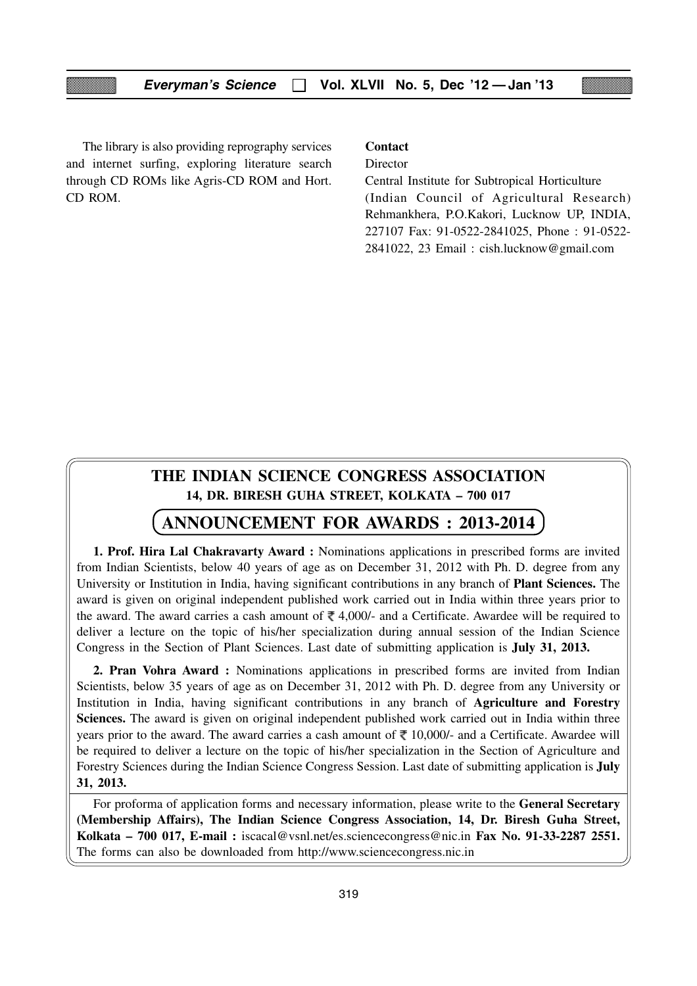The library is also providing reprography services and internet surfing, exploring literature search through CD ROMs like Agris-CD ROM and Hort. CD ROM.

#### **Contact**

Director

Central Institute for Subtropical Horticulture (Indian Council of Agricultural Research) Rehmankhera, P.O.Kakori, Lucknow UP, INDIA, 227107 Fax: 91-0522-2841025, Phone : 91-0522- 2841022, 23 Email : cish.lucknow@gmail.com

## **THE INDIAN SCIENCE CONGRESS ASSOCIATION 14, DR. BIRESH GUHA STREET, KOLKATA – 700 017**

#### **ANNOUNCEMENT FOR AWARDS : 2013-2014**

**1. Prof. Hira Lal Chakravarty Award :** Nominations applications in prescribed forms are invited from Indian Scientists, below 40 years of age as on December 31, 2012 with Ph. D. degree from any University or Institution in India, having significant contributions in any branch of **Plant Sciences.** The award is given on original independent published work carried out in India within three years prior to the award. The award carries a cash amount of  $\bar{\tau}$  4,000/- and a Certificate. Awardee will be required to deliver a lecture on the topic of his/her specialization during annual session of the Indian Science Congress in the Section of Plant Sciences. Last date of submitting application is **July 31, 2013.**

**2. Pran Vohra Award :** Nominations applications in prescribed forms are invited from Indian Scientists, below 35 years of age as on December 31, 2012 with Ph. D. degree from any University or Institution in India, having significant contributions in any branch of **Agriculture and Forestry Sciences.** The award is given on original independent published work carried out in India within three years prior to the award. The award carries a cash amount of  $\bar{\tau}$  10,000/- and a Certificate. Awardee will be required to deliver a lecture on the topic of his/her specialization in the Section of Agriculture and Forestry Sciences during the Indian Science Congress Session. Last date of submitting application is **July 31, 2013.**

For proforma of application forms and necessary information, please write to the **General Secretary (Membership Affairs), The Indian Science Congress Association, 14, Dr. Biresh Guha Street, Kolkata – 700 017, E-mail :** iscacal@vsnl.net/es.sciencecongress@nic.in **Fax No. 91-33-2287 2551.** The forms can also be downloaded from http://www.sciencecongress.nic.in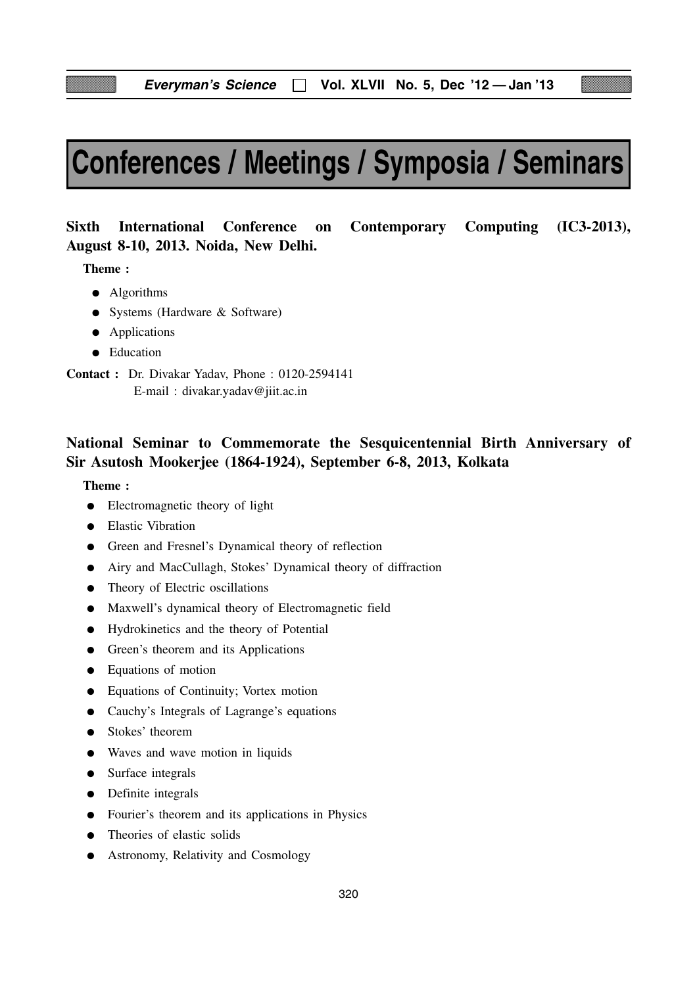# **Conferences / Meetings / Symposia / Seminars**

# **August 8-10, 2013. Noida, New Delhi.**

**Sixth International Conference on Contemporary Computing (IC3-2013),**

**Theme :**

- Algorithms
- Systems (Hardware & Software)
- Applications
- Education

**Contact :** Dr. Divakar Yadav, Phone : 0120-2594141 E-mail : divakar.yadav@jiit.ac.in

## **National Seminar to Commemorate the Sesquicentennial Birth Anniversary of Sir Asutosh Mookerjee (1864-1924), September 6-8, 2013, Kolkata**

- Electromagnetic theory of light
- Elastic Vibration
- Green and Fresnel's Dynamical theory of reflection
- Airy and MacCullagh, Stokes' Dynamical theory of diffraction
- Theory of Electric oscillations
- Maxwell's dynamical theory of Electromagnetic field
- Hydrokinetics and the theory of Potential
- Green's theorem and its Applications
- Equations of motion
- Equations of Continuity; Vortex motion
- Cauchy's Integrals of Lagrange's equations
- Stokes' theorem
- Waves and wave motion in liquids
- Surface integrals
- Definite integrals
- Fourier's theorem and its applications in Physics
- Theories of elastic solids
- Astronomy, Relativity and Cosmology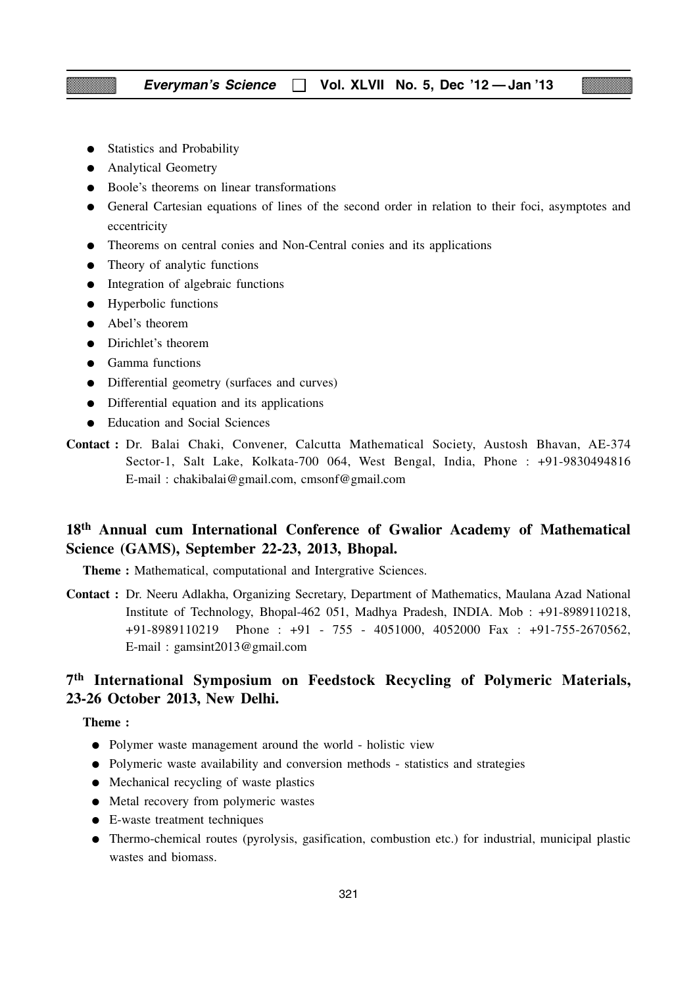- Statistics and Probability
- Analytical Geometry
- Boole's theorems on linear transformations
- General Cartesian equations of lines of the second order in relation to their foci, asymptotes and eccentricity
- Theorems on central conies and Non-Central conies and its applications
- Theory of analytic functions
- Integration of algebraic functions
- Hyperbolic functions
- Abel's theorem
- Dirichlet's theorem
- Gamma functions
- Differential geometry (surfaces and curves)
- Differential equation and its applications
- Education and Social Sciences
- **Contact :** Dr. Balai Chaki, Convener, Calcutta Mathematical Society, Austosh Bhavan, AE-374 Sector-1, Salt Lake, Kolkata-700 064, West Bengal, India, Phone : +91-9830494816 E-mail : chakibalai@gmail.com, cmsonf@gmail.com

## **18th Annual cum International Conference of Gwalior Academy of Mathematical Science (GAMS), September 22-23, 2013, Bhopal.**

**Theme :** Mathematical, computational and Intergrative Sciences.

**Contact :** Dr. Neeru Adlakha, Organizing Secretary, Department of Mathematics, Maulana Azad National Institute of Technology, Bhopal-462 051, Madhya Pradesh, INDIA. Mob : +91-8989110218, +91-8989110219 Phone : +91 - 755 - 4051000, 4052000 Fax : +91-755-2670562, E-mail : gamsint2013@gmail.com

## **7th International Symposium on Feedstock Recycling of Polymeric Materials, 23-26 October 2013, New Delhi.**

- Polymer waste management around the world holistic view
- Polymeric waste availability and conversion methods statistics and strategies
- Mechanical recycling of waste plastics
- Metal recovery from polymeric wastes
- E-waste treatment techniques
- Thermo-chemical routes (pyrolysis, gasification, combustion etc.) for industrial, municipal plastic wastes and biomass.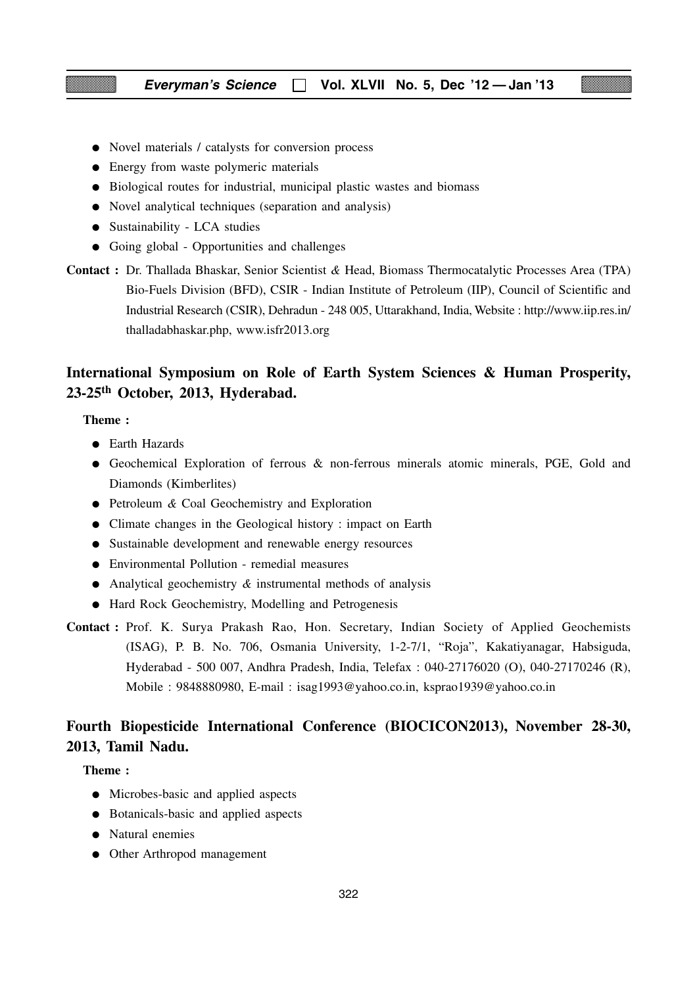- Novel materials / catalysts for conversion process
- Energy from waste polymeric materials
- Biological routes for industrial, municipal plastic wastes and biomass
- Novel analytical techniques (separation and analysis)
- Sustainability LCA studies
- Going global Opportunities and challenges
- **Contact :** Dr. Thallada Bhaskar, Senior Scientist *&* Head, Biomass Thermocatalytic Processes Area (TPA) Bio-Fuels Division (BFD), CSIR - Indian Institute of Petroleum (IIP), Council of Scientific and Industrial Research (CSIR), Dehradun - 248 005, Uttarakhand, India, Website : http://www.iip.res.in/ thalladabhaskar.php, www.isfr2013.org

## **International Symposium on Role of Earth System Sciences & Human Prosperity, 23-25th October, 2013, Hyderabad.**

#### **Theme :**

- Earth Hazards
- Geochemical Exploration of ferrous & non-ferrous minerals atomic minerals, PGE, Gold and Diamonds (Kimberlites)
- Petroleum *&* Coal Geochemistry and Exploration
- Climate changes in the Geological history : impact on Earth
- Sustainable development and renewable energy resources
- Environmental Pollution remedial measures
- Analytical geochemistry *&* instrumental methods of analysis
- Hard Rock Geochemistry, Modelling and Petrogenesis
- **Contact :** Prof. K. Surya Prakash Rao, Hon. Secretary, Indian Society of Applied Geochemists (ISAG), P. B. No. 706, Osmania University, 1-2-7/1, "Roja", Kakatiyanagar, Habsiguda, Hyderabad - 500 007, Andhra Pradesh, India, Telefax : 040-27176020 (O), 040-27170246 (R), Mobile : 9848880980, E-mail : isag1993@yahoo.co.in, ksprao1939@yahoo.co.in

## **Fourth Biopesticide International Conference (BIOCICON2013), November 28-30, 2013, Tamil Nadu.**

- Microbes-basic and applied aspects
- Botanicals-basic and applied aspects
- Natural enemies
- Other Arthropod management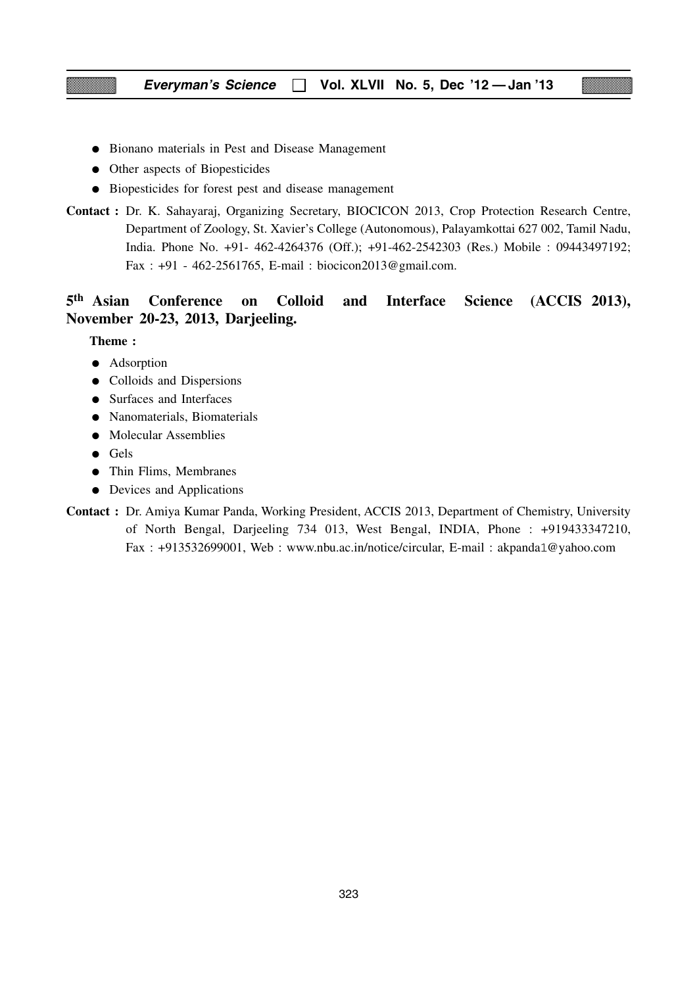- Bionano materials in Pest and Disease Management
- Other aspects of Biopesticides
- Biopesticides for forest pest and disease management
- **Contact :** Dr. K. Sahayaraj, Organizing Secretary, BIOCICON 2013, Crop Protection Research Centre, Department of Zoology, St. Xavier's College (Autonomous), Palayamkottai 627 002, Tamil Nadu, India. Phone No. +91- 462-4264376 (Off.); +91-462-2542303 (Res.) Mobile : 09443497192; Fax : +91 - 462-2561765, E-mail : biocicon2013@gmail.com.

## **5th Asian Conference on Colloid and Interface Science (ACCIS 2013), November 20-23, 2013, Darjeeling.**

- Adsorption
- Colloids and Dispersions
- Surfaces and Interfaces
- Nanomaterials, Biomaterials
- Molecular Assemblies
- Gels
- Thin Flims, Membranes
- Devices and Applications
- **Contact :** Dr. Amiya Kumar Panda, Working President, ACCIS 2013, Department of Chemistry, University of North Bengal, Darjeeling 734 013, West Bengal, INDIA, Phone : +919433347210, Fax : +913532699001, Web : www.nbu.ac.in/notice/circular, E-mail : akpanda1@yahoo.com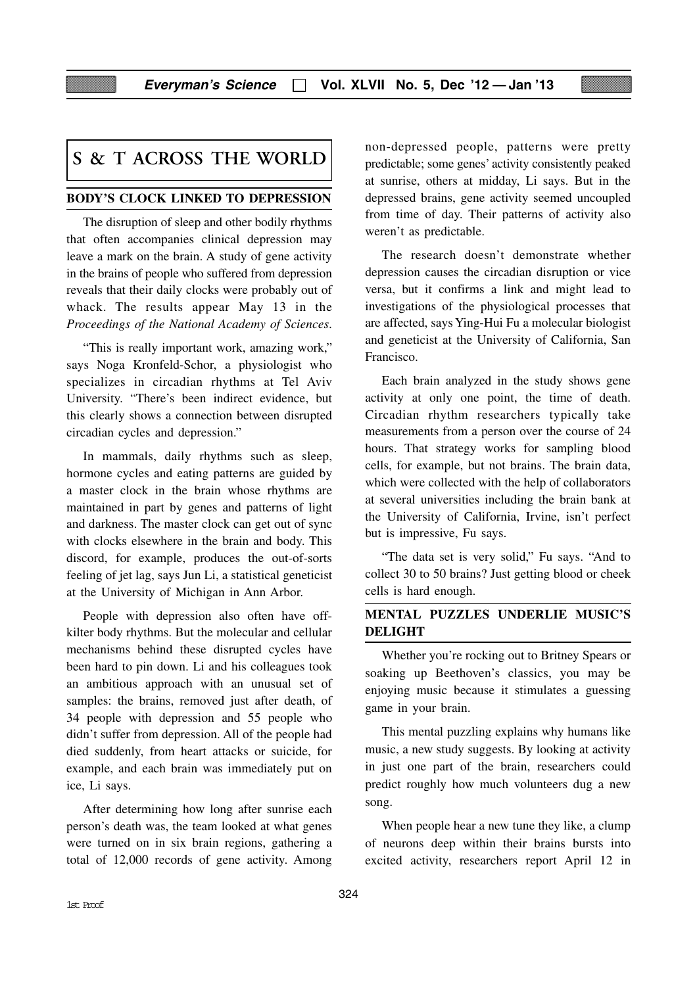## **S & T ACROSS THE WORLD**

#### **BODY'S CLOCK LINKED TO DEPRESSION**

The disruption of sleep and other bodily rhythms that often accompanies clinical depression may leave a mark on the brain. A study of gene activity in the brains of people who suffered from depression reveals that their daily clocks were probably out of whack. The results appear May 13 in the *Proceedings of the National Academy of Sciences*.

"This is really important work, amazing work," says Noga Kronfeld-Schor, a physiologist who specializes in circadian rhythms at Tel Aviv University. "There's been indirect evidence, but this clearly shows a connection between disrupted circadian cycles and depression."

In mammals, daily rhythms such as sleep, hormone cycles and eating patterns are guided by a master clock in the brain whose rhythms are maintained in part by genes and patterns of light and darkness. The master clock can get out of sync with clocks elsewhere in the brain and body. This discord, for example, produces the out-of-sorts feeling of jet lag, says Jun Li, a statistical geneticist at the University of Michigan in Ann Arbor.

People with depression also often have offkilter body rhythms. But the molecular and cellular mechanisms behind these disrupted cycles have been hard to pin down. Li and his colleagues took an ambitious approach with an unusual set of samples: the brains, removed just after death, of 34 people with depression and 55 people who didn't suffer from depression. All of the people had died suddenly, from heart attacks or suicide, for example, and each brain was immediately put on ice, Li says.

After determining how long after sunrise each person's death was, the team looked at what genes were turned on in six brain regions, gathering a total of 12,000 records of gene activity. Among non-depressed people, patterns were pretty predictable; some genes' activity consistently peaked at sunrise, others at midday, Li says. But in the depressed brains, gene activity seemed uncoupled from time of day. Their patterns of activity also weren't as predictable.

The research doesn't demonstrate whether depression causes the circadian disruption or vice versa, but it confirms a link and might lead to investigations of the physiological processes that are affected, says Ying-Hui Fu a molecular biologist and geneticist at the University of California, San Francisco.

Each brain analyzed in the study shows gene activity at only one point, the time of death. Circadian rhythm researchers typically take measurements from a person over the course of 24 hours. That strategy works for sampling blood cells, for example, but not brains. The brain data, which were collected with the help of collaborators at several universities including the brain bank at the University of California, Irvine, isn't perfect but is impressive, Fu says.

"The data set is very solid," Fu says. "And to collect 30 to 50 brains? Just getting blood or cheek cells is hard enough.

#### **MENTAL PUZZLES UNDERLIE MUSIC'S DELIGHT**

Whether you're rocking out to Britney Spears or soaking up Beethoven's classics, you may be enjoying music because it stimulates a guessing game in your brain.

This mental puzzling explains why humans like music, a new study suggests. By looking at activity in just one part of the brain, researchers could predict roughly how much volunteers dug a new song.

When people hear a new tune they like, a clump of neurons deep within their brains bursts into excited activity, researchers report April 12 in